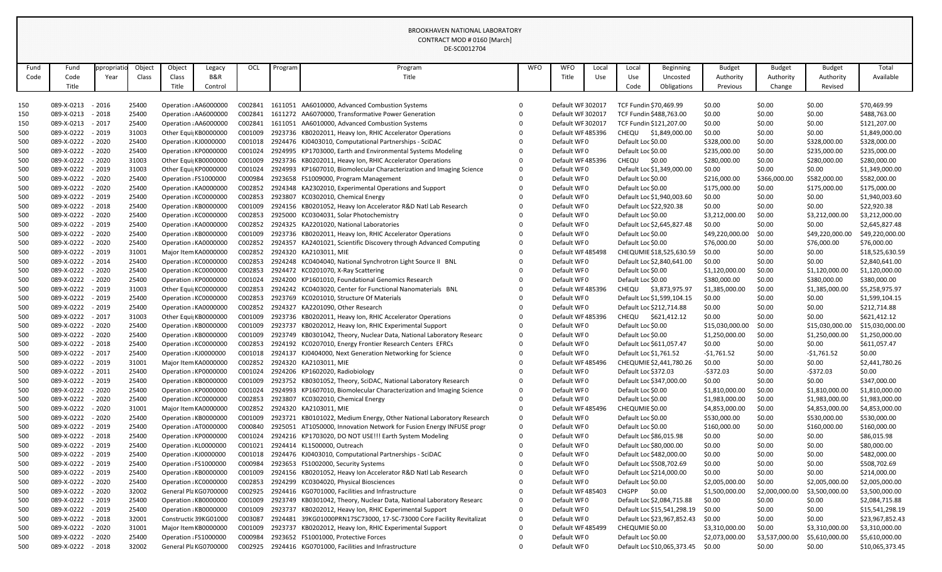|      |            |            |        |        |                       |         |         | DE-SC0012704                                                         |            |                   |       |                         |                             |                 |                |                 |                 |
|------|------------|------------|--------|--------|-----------------------|---------|---------|----------------------------------------------------------------------|------------|-------------------|-------|-------------------------|-----------------------------|-----------------|----------------|-----------------|-----------------|
| Fund | Fund       | ppropriati | Object | Object | Legacy                | OCL     | Program | Program                                                              | <b>WFO</b> | <b>WFO</b>        | Local | Local                   | <b>Beginning</b>            | <b>Budget</b>   | <b>Budget</b>  | <b>Budget</b>   | Total           |
| Code | Code       | Year       | Class  | Class  | B&R                   |         |         | Title                                                                |            | Title             | Use   | Use                     | Uncosted                    | Authority       | Authority      | Authority       | Available       |
|      | Title      |            |        | Title  | Control               |         |         |                                                                      |            |                   |       | Code                    | Obligations                 | Previous        | Change         | Revised         |                 |
|      |            |            |        |        |                       |         |         |                                                                      |            |                   |       |                         |                             |                 |                |                 |                 |
| 150  | 089-X-0213 | $-2016$    | 25400  |        | Operation : AA6000000 | C002841 |         | 1611051 AA6010000, Advanced Combustion Systems                       |            | Default WF 302017 |       | TCF Fundin \$70,469.99  |                             | \$0.00          | \$0.00         | \$0.00          | \$70,469.99     |
| 150  | 089-X-0213 | $-2018$    | 25400  |        | Operation : AA6000000 | C002841 |         | 1611272 AA6070000, Transformative Power Generation                   |            | Default WF 302017 |       |                         | TCF Fundin \$488,763.00     | \$0.00          | \$0.00         | \$0.00          | \$488,763.00    |
| 150  | 089-X-0213 | $-2017$    | 25400  |        | Operation : AA6000000 | C002841 | 1611051 | AA6010000, Advanced Combustion Systems                               |            | Default WF 302017 |       |                         | TCF Fundin \$121,207.00     | \$0.00          | \$0.00         | \$0.00          | \$121,207.00    |
| 500  | 089-X-0222 | $-2019$    | 31003  |        | Other Equi KB0000000  | C001009 |         | 2923736 KB0202011, Heavy Ion, RHIC Accelerator Operations            |            | Default WF 485396 |       | CHEQU                   | \$1,849,000.00              | \$0.00          | \$0.00         | \$0.00          | \$1,849,000.00  |
| 500  | 089-X-0222 | $-2020$    | 25400  |        | Operation : KJ0000000 | C001018 |         | 2924476 KJ0403010, Computational Partnerships - SciDAC               |            | Default WF0       |       | Default Loc \$0.00      |                             | \$328,000.00    | \$0.00         | \$328,000.00    | \$328,000.00    |
| 500  | 089-X-0222 | $-2020$    | 25400  |        | Operation : KP0000000 | C001024 |         | 2924995 KP1703000, Earth and Environmental Systems Modeling          |            | Default WF0       |       | Default Loc \$0.00      |                             | \$235,000.00    | \$0.00         | \$235,000.00    | \$235,000.00    |
| 500  | 089-X-0222 | $-2020$    | 31003  |        | Other Equi KB0000000  | C001009 |         | 2923736 KB0202011, Heavy Ion, RHIC Accelerator Operations            |            | Default WF485396  |       | CHEQU                   | \$0.00                      | \$280,000.00    | \$0.00         | \$280,000.00    | \$280,000.00    |
| 500  | 089-X-0222 | $-2019$    | 31003  |        | Other Equi KP0000000  | C001024 |         | 2924993 KP1607010, Biomolecular Characterization and Imaging Science | 0          | Default WF0       |       |                         | Default Loc \$1,349,000.00  | \$0.00          | \$0.00         | \$0.00          | \$1,349,000.00  |
| 500  | 089-X-0222 | $-2020$    | 25400  |        | Operation : FS1000000 | C000984 |         | 2923658 FS1009000, Program Management                                |            | Default WF0       |       | Default Loc \$0.00      |                             | \$216,000.00    | \$366,000.00   | \$582,000.00    | \$582,000.00    |
| 500  | 089-X-0222 | $-2020$    | 25400  |        | Operation : KA0000000 | C002852 |         | 2924348 KA2302010, Experimental Operations and Support               |            | Default WF0       |       | Default Loc \$0.00      |                             | \$175,000.00    | \$0.00         | \$175,000.00    | \$175,000.00    |
| 500  | 089-X-0222 | $-2019$    | 25400  |        | Operation : KC0000000 | C002853 |         | 2923807 KC0302010, Chemical Energy                                   |            | Default WF0       |       |                         | Default Loc \$1,940,003.60  | \$0.00          | \$0.00         | \$0.00          | \$1,940,003.60  |
| 500  | 089-X-0222 | $-2018$    | 25400  |        | Operation : KB0000000 | C001009 |         | 2924156 KB0201052, Heavy Ion Accelerator R&D Natl Lab Research       |            | Default WF0       |       | Default Loc \$22,920.38 |                             | \$0.00          | \$0.00         | \$0.00          | \$22,920.38     |
| 500  | 089-X-0222 | $-2020$    | 25400  |        | Operation : KC0000000 | C002853 | 2925000 | KC0304031, Solar Photochemistry                                      |            | Default WF0       |       | Default Loc \$0.00      |                             | \$3,212,000.00  | \$0.00         | \$3,212,000.00  | \$3,212,000.00  |
| 500  | 089-X-0222 | $-2019$    | 25400  |        | Operation : KA0000000 | C002852 |         | 2924325 KA2201020, National Laboratories                             |            | Default WF0       |       |                         | Default Loc \$2,645,827.48  | \$0.00          | \$0.00         | \$0.00          | \$2,645,827.48  |
| 500  | 089-X-0222 | $-2020$    | 25400  |        | Operation : KB0000000 | C001009 |         | 2923736 KB0202011, Heavy Ion, RHIC Accelerator Operations            |            | Default WF0       |       | Default Loc \$0.00      |                             | \$49,220,000.00 | \$0.00         | \$49,220,000.00 | \$49,220,000.00 |
| 500  | 089-X-0222 | $-2020$    | 25400  |        | Operation : KA0000000 | C002852 |         | 2924357 KA2401021, Scientific Discovery through Advanced Computing   |            | Default WF0       |       | Default Loc \$0.00      |                             | \$76,000.00     | \$0.00         | \$76,000.00     | \$76,000.00     |
| 500  | 089-X-0222 | $-2019$    | 31001  |        | Major Item KA0000000  | C002852 |         | 2924320 KA2103011, MIE                                               |            | Default WF485498  |       |                         | CHEQUMIE \$18,525,630.59    | \$0.00          | \$0.00         | \$0.00          | \$18,525,630.59 |
| 500  | 089-X-0222 | $-2014$    | 25400  |        | Operation : KC0000000 | C002853 |         | 2924248 KC0404040, National Synchrotron Light Source II BNL          |            | Default WF0       |       |                         | Default Loc \$2,840,641.00  | \$0.00          | \$0.00         | \$0.00          | \$2,840,641.00  |
| 500  | 089-X-0222 | $-2020$    | 25400  |        | Operation : KC0000000 | C002853 |         | 2924472 KC0201070, X-Ray Scattering                                  |            | Default WF0       |       | Default Loc \$0.00      |                             | \$1,120,000.00  | \$0.00         | \$1,120,000.00  | \$1,120,000.00  |
| 500  | 089-X-0222 | $-2020$    | 25400  |        | Operation : KP0000000 | C001024 |         | 2924200 KP1601010, Foundational Genomics Research                    |            | Default WF0       |       | Default Loc \$0.00      |                             | \$380,000.00    | \$0.00         | \$380,000.00    | \$380,000.00    |
| 500  | 089-X-0222 | $-2019$    | 31003  |        | Other Equi KC0000000  | C002853 |         | 2924242 KC0403020, Center for Functional Nanomaterials BNL           |            | Default WF485396  |       | CHEQU                   | \$3,873,975.97              | \$1,385,000.00  | \$0.00         | \$1,385,000.00  | \$5,258,975.97  |
| 500  | 089-X-0222 | $-2019$    | 25400  |        | Operation : KC0000000 | C002853 |         | 2923769 KC0201010, Structure Of Materials                            |            | Default WF0       |       |                         | Default Loc \$1,599,104.15  | \$0.00          | \$0.00         | \$0.00          | \$1,599,104.15  |
| 500  | 089-X-0222 | $-2019$    | 25400  |        | Operation : KA0000000 | C002852 |         | 2924327 KA2201090, Other Research                                    |            | Default WF0       |       |                         | Default Loc \$212,714.88    | \$0.00          | \$0.00         | \$0.00          | \$212,714.88    |
| 500  | 089-X-0222 | $-2017$    | 31003  |        | Other Equi KB0000000  | C001009 |         | 2923736 KB0202011, Heavy Ion, RHIC Accelerator Operations            |            | Default WF 485396 |       | CHEQU                   | \$621,412.12                | \$0.00          | \$0.00         | \$0.00          | \$621,412.12    |
| 500  | 089-X-0222 | $-2020$    | 25400  |        | Operation : KB0000000 | C001009 |         | 2923737 KB0202012, Heavy Ion, RHIC Experimental Support              |            | Default WF0       |       | Default Loc \$0.00      |                             | \$15,030,000.00 | \$0.00         | \$15,030,000.00 | \$15,030,000.00 |
| 500  | 089-X-0222 | $-2020$    | 25400  |        | Operation : KB0000000 | C001009 |         | 2923749 KB0301042, Theory, Nuclear Data, National Laboratory Researc |            | Default WF0       |       | Default Loc \$0.00      |                             | \$1,250,000.00  | \$0.00         | \$1,250,000.00  | \$1,250,000.00  |
| 500  | 089-X-0222 | - 2018     | 25400  |        | Operation : KC0000000 | C002853 |         | 2924192 KC0207010, Energy Frontier Research Centers EFRCs            |            | Default WF0       |       |                         | Default Loc \$611,057.47    | \$0.00          | \$0.00         | \$0.00          | \$611,057.47    |
| 500  | 089-X-0222 | $-2017$    | 25400  |        | Operation ¿KJ0000000  | C001018 |         | 2924137 KJ0404000, Next Generation Networking for Science            |            | Default WF0       |       | Default Loc \$1,761.52  |                             | $-$1,761.52$    | \$0.00         | -\$1,761.52     | \$0.00          |
| 500  | 089-X-0222 | $-2019$    | 31001  |        | Major Item KA0000000  | C002852 |         | 2924320 KA2103011, MIE                                               |            | Default WF 485496 |       |                         | CHEQUMIE \$2,441,780.26     | \$0.00          | \$0.00         | \$0.00          | \$2,441,780.26  |
| 500  | 089-X-0222 | $-2011$    | 25400  |        | Operation : KP0000000 | C001024 |         | 2924206 KP1602020, Radiobiology                                      |            | Default WF0       |       | Default Loc \$372.03    |                             | $-5372.03$      | \$0.00         | -\$372.03       | \$0.00          |
| 500  | 089-X-0222 | $-2019$    | 25400  |        | Operation : KB0000000 | C001009 |         | 2923752 KB0301052, Theory, SciDAC, National Laboratory Research      | $\Omega$   | Default WF0       |       |                         | Default Loc \$347,000.00    | \$0.00          | \$0.00         | \$0.00          | \$347,000.00    |
| 500  | 089-X-0222 | $-2020$    | 25400  |        | Operation : KP0000000 | C001024 |         | 2924993 KP1607010, Biomolecular Characterization and Imaging Science |            | Default WF0       |       | Default Loc \$0.00      |                             | \$1,810,000.00  | \$0.00         | \$1,810,000.00  | \$1,810,000.00  |
| 500  | 089-X-0222 | $-2020$    | 25400  |        | Operation : KC0000000 | C002853 |         | 2923807 KC0302010, Chemical Energy                                   |            | Default WF0       |       | Default Loc \$0.00      |                             | \$1,983,000.00  | \$0.00         | \$1,983,000.00  | \$1,983,000.00  |
| 500  | 089-X-0222 | $-2020$    | 31001  |        | Major Item KA0000000  | C002852 |         | 2924320 KA2103011, MIE                                               | $\Omega$   | Default WF485496  |       | CHEQUMIE \$0.00         |                             | \$4,853,000.00  | \$0.00         | \$4,853,000.00  | \$4,853,000.00  |
| 500  | 089-X-0222 | $-2020$    | 25400  |        | Operation : KB0000000 | C001009 |         | 2923721 KB0101022, Medium Energy, Other National Laboratory Research | 0          | Default WF0       |       | Default Loc \$0.00      |                             | \$530,000.00    | \$0.00         | \$530,000.00    | \$530,000.00    |
| 500  | 089-X-0222 | $-2019$    | 25400  |        | Operation : AT0000000 | C000840 |         | 2925051 AT1050000, Innovation Network for Fusion Energy INFUSE progr | 0          | Default WF0       |       | Default Loc \$0.00      |                             | \$160,000.00    | \$0.00         | \$160,000.00    | \$160,000.00    |
| 500  | 089-X-0222 | $-2018$    | 25400  |        | Operation : KP0000000 | C001024 |         | 2924216 KP1703020, DO NOT USE!!! Earth System Modeling               |            | Default WF0       |       | Default Loc \$86,015.98 |                             | \$0.00          | \$0.00         | \$0.00          | \$86,015.98     |
| 500  | 089-X-0222 | $-2019$    | 25400  |        | Operation : KL0000000 | C001021 |         | 2924414 KL1500000, Outreach                                          |            | Default WF0       |       | Default Loc \$80,000.00 |                             | \$0.00          | \$0.00         | \$0.00          | \$80,000.00     |
| 500  | 089-X-0222 | $-2019$    | 25400  |        | Operation ¿KJ0000000  | C001018 |         | 2924476 KJ0403010, Computational Partnerships - SciDAC               |            | Default WF0       |       |                         | Default Loc \$482,000.00    | \$0.00          | \$0.00         | \$0.00          | \$482,000.00    |
| 500  | 089-X-0222 | $-2019$    | 25400  |        | Operation ¿FS1000000  | C000984 |         | 2923653 FS1002000, Security Systems                                  |            | Default WF0       |       |                         | Default Loc \$508,702.69    | \$0.00          | \$0.00         | \$0.00          | \$508,702.69    |
| 500  | 089-X-0222 | $-2019$    | 25400  |        | Operation : KB0000000 | C001009 |         | 2924156 KB0201052, Heavy Ion Accelerator R&D Natl Lab Research       |            | Default WF0       |       |                         | Default Loc \$214,000.00    | \$0.00          | \$0.00         | \$0.00          | \$214,000.00    |
| 500  | 089-X-0222 | $-2020$    | 25400  |        | Operation : KC0000000 | C002853 |         | 2924299 KC0304020, Physical Biosciences                              |            | Default WF0       |       | Default Loc \$0.00      |                             | \$2,005,000.00  | \$0.00         | \$2,005,000.00  | \$2,005,000.00  |
| 500  | 089-X-0222 | $-2020$    | 32002  |        | General PlaKG0700000  | C002925 |         | 2924416 KG0701000, Facilities and Infrastructure                     |            | Default WF485403  |       | <b>CHGPP</b>            | \$0.00                      | \$1,500,000.00  | \$2,000,000.00 | \$3,500,000.00  | \$3,500,000.00  |
| 500  | 089-X-0222 | $-2019$    | 25400  |        | Operation : KB0000000 | C001009 |         | 2923749 KB0301042, Theory, Nuclear Data, National Laboratory Researc | 0          | Default WF0       |       |                         | Default Loc \$2,084,715.88  | \$0.00          | \$0.00         | \$0.00          | \$2,084,715.88  |
| 500  | 089-X-0222 | $-2019$    | 25400  |        | Operation : KB0000000 | C001009 |         | 2923737 KB0202012, Heavy Ion, RHIC Experimental Support              | 0          | Default WF0       |       |                         | Default Loc \$15,541,298.19 | \$0.00          | \$0.00         | \$0.00          | \$15,541,298.19 |
| 500  | 089-X-0222 | $-2018$    | 32001  |        | Constructic 39KG01000 | C003087 |         | 2924481 39KG01000PRN17SC73000, 17-SC-73000 Core Facility Revitalizat | 0          | Default WF0       |       |                         | Default Loc \$23,967,852.43 | \$0.00          | \$0.00         | \$0.00          | \$23,967,852.43 |
| 500  | 089-X-0222 | $-2020$    | 31001  |        | Major Item KB0000000  | C001009 |         | 2923737 KB0202012, Heavy Ion, RHIC Experimental Support              | $\Omega$   | Default WF 485499 |       | CHEQUMIE \$0.00         |                             | \$3,310,000.00  | \$0.00         | \$3,310,000.00  | \$3,310,000.00  |
| 500  | 089-X-0222 | $-2020$    | 25400  |        | Operation ¿FS1000000  | C000984 |         | 2923652 FS1001000, Protective Forces                                 |            | Default WF0       |       | Default Loc \$0.00      |                             | \$2,073,000.00  | \$3,537,000.00 | \$5,610,000.00  | \$5,610,000.00  |
| 500  | 089-X-0222 | $-2018$    | 32002  |        | General PlaKG0700000  | C002925 |         | 2924416 KG0701000, Facilities and Infrastructure                     | 0          | Default WF0       |       |                         | Default Loc \$10,065,373.45 | \$0.00          | \$0.00         | \$0.00          | \$10,065,373.45 |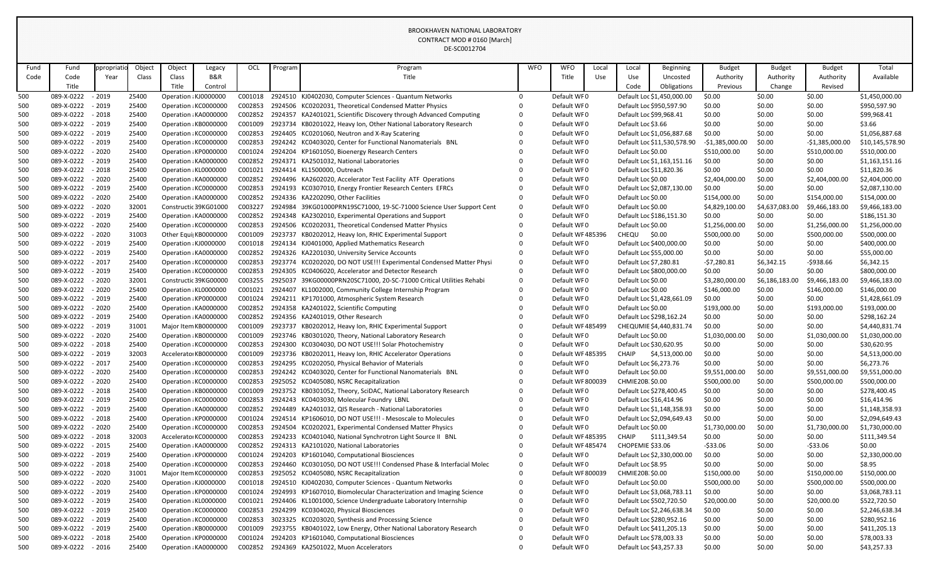|            |                                 |            |                |                       |                                              |                    |         | DL-JCUUIZ7U4                                                                                         |            |                                  |       |                         |                             |                  |                  |                  |                               |
|------------|---------------------------------|------------|----------------|-----------------------|----------------------------------------------|--------------------|---------|------------------------------------------------------------------------------------------------------|------------|----------------------------------|-------|-------------------------|-----------------------------|------------------|------------------|------------------|-------------------------------|
| Fund       | Fund                            | ppropriati | Object         | Object                | Legacy                                       | OCL                | Program | Program                                                                                              | <b>WFO</b> | <b>WFO</b>                       | Local | Local                   | <b>Beginning</b>            | <b>Budget</b>    | <b>Budget</b>    | <b>Budget</b>    | Total                         |
| Code       | Code                            | Year       | Class          | Class                 | B&R                                          |                    |         | Title                                                                                                |            | Title                            | Use   | <b>Use</b>              | Uncosted                    | Authority        | Authority        | Authority        | Available                     |
|            | Title                           |            |                | Title                 | Control                                      |                    |         |                                                                                                      |            |                                  |       | Code                    | Obligations                 | Previous         | Change           | Revised          |                               |
| 500        | 089-X-0222                      | $-2019$    | 25400          | Operation : KJ0000000 |                                              | C001018            |         | 2924510 KJ0402030, Computer Sciences - Quantum Networks                                              | 0          | Default WF0                      |       |                         | Default Loc \$1,450,000.00  | \$0.00           | \$0.00           | \$0.00           | \$1,450,000.00                |
| 500        | 089-X-0222                      | $-2019$    | 25400          |                       | Operation : KC0000000                        | C002853            |         | 2924506 KC0202031, Theoretical Condensed Matter Physics                                              |            | Default WF0                      |       |                         | Default Loc \$950,597.90    | \$0.00           | \$0.00           | \$0.00           | \$950,597.90                  |
| 500        | 089-X-0222                      | $-2018$    | 25400          | Operation : KA0000000 |                                              | C002852            |         | 2924357 KA2401021, Scientific Discovery through Advanced Computing                                   |            | Default WF0                      |       | Default Loc \$99,968.41 |                             | \$0.00           | \$0.00           | \$0.00           | \$99,968.41                   |
| 500        | 089-X-0222                      | $-2019$    | 25400          | Operation : KB0000000 |                                              | C001009            |         | 2923734 KB0201022, Heavy Ion, Other National Laboratory Research                                     |            | Default WF0                      |       | Default Loc \$3.66      |                             | \$0.00           | \$0.00           | \$0.00           | \$3.66                        |
| 500        | 089-X-0222                      | $-2019$    | 25400          |                       | Operation : KC0000000                        | C002853            |         | 2924405 KC0201060, Neutron and X-Ray Scatering                                                       |            | Default WF0                      |       |                         | Default Loc \$1,056,887.68  | \$0.00           | \$0.00           | \$0.00           | \$1,056,887.68                |
| 500        | 089-X-0222                      | $-2019$    | 25400          |                       | Operation : KC0000000                        | C002853            |         | 2924242 KC0403020, Center for Functional Nanomaterials BNL                                           |            | Default WF0                      |       |                         | Default Loc \$11,530,578.90 | $-$1,385,000.00$ | \$0.00           | -\$1,385,000.00  | \$10,145,578.90               |
| 500        | 089-X-0222                      | $-2020$    | 25400          | Operation : KP0000000 |                                              | C001024            |         | 2924204 KP1601050, Bioenergy Research Centers                                                        |            | Default WF0                      |       | Default Loc \$0.00      |                             | \$510,000.00     | \$0.00           | \$510,000.00     | \$510,000.00                  |
| 500        | 089-X-0222                      | $-2019$    | 25400          | Operation : KA0000000 |                                              | C002852            |         | 2924371 KA2501032, National Laboratories                                                             |            | Default WF0                      |       |                         | Default Loc \$1,163,151.16  | \$0.00           | \$0.00           | \$0.00           | \$1,163,151.16                |
| 500        | 089-X-0222                      | $-2018$    | 25400          | Operation : KL0000000 |                                              | C001021            |         | 2924414 KL1500000, Outreach                                                                          |            | Default WF0                      |       | Default Loc \$11,820.36 |                             | \$0.00           | \$0.00           | \$0.00           | \$11,820.36                   |
| 500        | 089-X-0222                      | $-2020$    | 25400          |                       | Operation : KA0000000                        | C002852            |         | 2924496 KA2602020, Accelerator Test Facility ATF Operations                                          |            | Default WF0                      |       | Default Loc \$0.00      |                             | \$2,404,000.00   | \$0.00           | \$2,404,000.00   | \$2,404,000.00                |
| 500        | 089-X-0222                      | $-2019$    | 25400          | Operation : KC0000000 |                                              | C002853            |         | 2924193 KC0307010, Energy Frontier Research Centers EFRCs                                            |            | Default WF0                      |       |                         | Default Loc \$2,087,130.00  | \$0.00           | \$0.00           | \$0.00           | \$2,087,130.00                |
| 500        | 089-X-0222                      | $-2020$    | 25400          | Operation : KA0000000 |                                              | C002852            |         | 2924336 KA2202090, Other Facilities                                                                  |            | Default WF0                      |       | Default Loc \$0.00      |                             | \$154,000.00     | \$0.00           | \$154,000.00     | \$154,000.00                  |
| 500        | 089-X-0222                      | $-2020$    | 32001          |                       | Constructic 39KG01000                        | C003227            |         | 2924984 39KG01000PRN19SC71000, 19-SC-71000 Science User Support Cent                                 | 0          | Default WF0                      |       | Default Loc \$0.00      |                             | \$4,829,100.00   | \$4,637,083.00   | \$9,466,183.00   | \$9,466,183.00                |
| 500        | 089-X-0222                      | $-2019$    | 25400          |                       | Operation : KA0000000                        | C002852            |         | 2924348 KA2302010, Experimental Operations and Support                                               |            | Default WF0                      |       |                         | Default Loc \$186,151.30    | \$0.00           | \$0.00           | \$0.00           | \$186,151.30                  |
| 500        | 089-X-0222 - 2020               |            | 25400          |                       | Operation : KC0000000                        | C002853            |         | 2924506 KC0202031, Theoretical Condensed Matter Physics                                              |            | Default WF0                      |       | Default Loc \$0.00      |                             | \$1,256,000.00   | \$0.00           | \$1,256,000.00   | \$1,256,000.00                |
| 500        | 089-X-0222                      | $-2020$    | 31003          | Other Equi KB0000000  |                                              | C001009            |         | 2923737 KB0202012, Heavy Ion, RHIC Experimental Support                                              |            | Default WF485396                 |       | CHEQU                   | \$0.00                      | \$500,000.00     | \$0.00           | \$500,000.00     | \$500,000.00                  |
| 500        | 089-X-0222                      | $-2019$    | 25400          | Operation : KJ0000000 |                                              | C001018            |         | 2924134 KJ0401000, Applied Mathematics Research                                                      |            | Default WF0                      |       |                         | Default Loc \$400,000.00    | \$0.00           | \$0.00           | \$0.00           | \$400,000.00                  |
| 500        | 089-X-0222                      | $-2019$    | 25400          |                       | Operation : KA0000000                        | C002852            |         | 2924326 KA2201030, University Service Accounts                                                       |            | Default WF0                      |       | Default Loc \$55,000.00 |                             | \$0.00           | \$0.00           | \$0.00           | \$55,000.00                   |
| 500        | 089-X-0222                      | $-2017$    | 25400          | Operation : KC0000000 |                                              | C002853            |         | 2923774 KC0202020, DO NOT USE!!! Experimental Condensed Matter Physi                                 | 0          | Default WF0                      |       | Default Loc \$7,280.81  |                             | $-57,280.81$     | \$6,342.15       | $-5938.66$       | \$6,342.15                    |
| 500        | 089-X-0222                      | $-2019$    | 25400          | Operation : KC0000000 |                                              | C002853            |         | 2924305 KC0406020, Accelerator and Detector Research                                                 |            | Default WF0                      |       |                         | Default Loc \$800,000.00    | \$0.00           | \$0.00           | \$0.00           | \$800,000.00                  |
| 500        | 089-X-0222                      | $-2020$    | 32001          |                       | Constructic 39KG00000                        | C003255            | 2925037 | 39KG00000PRN20SC71000, 20-SC-71000 Critical Utilities Rehabi                                         | $\Omega$   | Default WF0                      |       | Default Loc \$0.00      |                             | \$3,280,000.00   | \$6,186,183.00   | \$9,466,183.00   | \$9,466,183.00                |
| 500        | 089-X-0222                      | $-2020$    | 25400          | Operation : KL0000000 |                                              | C001021            |         | 2924407 KL1002000, Community College Internship Program                                              |            | Default WF0                      |       | Default Loc \$0.00      |                             | \$146,000.00     | \$0.00           | \$146,000.00     | \$146,000.00                  |
| 500        | 089-X-0222                      | $-2019$    | 25400          | Operation : KP0000000 |                                              | C001024            |         | 2924211 KP1701000, Atmospheric System Research                                                       |            | Default WF0                      |       |                         | Default Loc \$1,428,661.09  | \$0.00           | \$0.00           | \$0.00           | \$1,428,661.09                |
| 500        | 089-X-0222                      | $-2020$    | 25400          | Operation : KA0000000 |                                              | C002852            |         | 2924358 KA2401022, Scientific Computing                                                              |            | Default WF0                      |       | Default Loc \$0.00      |                             | \$193,000.00     | \$0.00           | \$193,000.00     | \$193,000.00                  |
| 500        | 089-X-0222                      | $-2019$    | 25400          | Operation : KA0000000 |                                              | C002852            |         | 2924356 KA2401019, Other Research                                                                    |            | Default WF0                      |       |                         | Default Loc \$298,162.24    | \$0.00           | \$0.00           | \$0.00           | \$298,162.24                  |
| 500        | 089-X-0222                      | $-2019$    | 31001          |                       | Major Item KB0000000                         | C001009            |         | 2923737 KB0202012, Heavy Ion, RHIC Experimental Support                                              |            | Default WF 485499                |       |                         | CHEQUMIE \$4,440,831.74     | \$0.00           | \$0.00           | \$0.00           | \$4,440,831.74                |
| 500        | 089-X-0222                      | $-2020$    | 25400          | Operation : KB0000000 |                                              | C001009            |         | 2923746 KB0301020, Theory, National Laboratory Research                                              |            | Default WF0                      |       | Default Loc \$0.00      |                             | \$1,030,000.00   | \$0.00           | \$1,030,000.00   | \$1,030,000.00                |
| 500        | 089-X-0222                      | $-2018$    | 25400          | Operation : KC0000000 |                                              | C002853            |         | 2924300 KC0304030, DO NOT USE!!! Solar Photochemistry                                                |            | Default WF0                      |       | Default Loc \$30,620.95 |                             | \$0.00           | \$0.00           | \$0.00           | \$30,620.95                   |
| 500        | 089-X-0222                      | $-2019$    | 32003          |                       | Accelerator KB0000000                        | C001009            |         | 2923736 KB0202011, Heavy Ion, RHIC Accelerator Operations                                            |            | Default WF 485395                |       | CHAIP                   | \$4,513,000.00              | \$0.00           | \$0.00           | \$0.00           | \$4,513,000.00                |
| 500        | 089-X-0222                      | $-2017$    | 25400          |                       | Operation : KC0000000                        | C002853            |         | 2924295 KC0202050, Physical Behavior of Materials                                                    |            | Default WF0                      |       | Default Loc \$6,273.76  |                             | \$0.00           | \$0.00           | \$0.00           | \$6,273.76                    |
| 500        | 089-X-0222                      | $-2020$    | 25400          |                       | Operation : KC0000000                        | C002853            |         | 2924242 KC0403020, Center for Functional Nanomaterials BNL                                           |            | Default WF0<br>Default WF 800039 |       | Default Loc \$0.00      |                             | \$9,551,000.00   | \$0.00           | \$9,551,000.00   | \$9,551,000.00                |
| 500        | 089-X-0222                      | $-2020$    | 25400          |                       | Operation : KC0000000                        | C002853            |         | 2925052 KC0405080, NSRC Recapitalization                                                             |            |                                  |       | CHMIE20B.\$0.00         |                             | \$500,000.00     | \$0.00           | \$500,000.00     | \$500,000.00                  |
| 500        | 089-X-0222                      | $-2018$    | 25400          |                       | Operation : KB0000000                        | C001009            |         | 2923752 KB0301052, Theory, SciDAC, National Laboratory Research                                      |            | Default WF0                      |       |                         | Default Loc \$278,400.45    | \$0.00           | \$0.00           | \$0.00           | \$278,400.45                  |
| 500<br>500 | 089-X-0222 - 2019<br>089-X-0222 | $-2019$    | 25400<br>25400 |                       | Operation ¿KC0000000<br>Operation ¿KA0000000 | C002853<br>C002852 |         | 2924243 KC0403030, Molecular Foundry LBNL<br>2924489 KA2401032, QIS Research - National Laboratories |            | Default WF0<br>Default WF0       |       | Default Loc \$16,414.96 | Default Loc \$1,148,358.93  | \$0.00<br>\$0.00 | \$0.00<br>\$0.00 | \$0.00<br>\$0.00 | \$16,414.96<br>\$1,148,358.93 |
|            | 089-X-0222                      | $-2018$    | 25400          | Operation : KP0000000 |                                              | C001024            |         | 2924514 KP1606010, DO NOT USE!!! - Mesoscale to Molecules                                            |            | Default WF0                      |       |                         | Default Loc \$2,094,649.43  | \$0.00           | \$0.00           | \$0.00           | \$2,094,649.43                |
| 500<br>500 | 089-X-0222                      | $-2020$    | 25400          |                       | Operation : KC0000000                        | C002853            |         | 2924504 KC0202021, Experimental Condensed Matter Physics                                             |            | Default WF0                      |       | Default Loc \$0.00      |                             | \$1,730,000.00   | \$0.00           | \$1,730,000.00   | \$1,730,000.00                |
| 500        | 089-X-0222 - 2018               |            | 32003          |                       | Accelerator KC0000000                        | C002853            |         | 2924233 KC0401040, National Synchrotron Light Source II BNL                                          |            | Default WF 485395                |       | CHAIP                   | \$111,349.54                | \$0.00           | \$0.00           | \$0.00           | \$111,349.54                  |
| 500        | 089-X-0222 - 2015               |            | 25400          |                       | Operation ¿KA0000000                         | C002852            |         | 2924313 KA2101020, National Laboratories                                                             |            | Default WF 485474                |       | CHOPEMIE \$33.06        |                             | $-533.06$        | \$0.00           | $-533.06$        | \$0.00                        |
| 500        | 089-X-0222                      | $-2019$    | 25400          | Operation : KP0000000 |                                              | C001024            |         | 2924203 KP1601040, Computational Biosciences                                                         |            | Default WF0                      |       |                         | Default Loc \$2,330,000.00  | \$0.00           | \$0.00           | \$0.00           | \$2,330,000.00                |
| 500        | 089-X-0222                      | $-2018$    | 25400          |                       | Operation : KC0000000                        | C002853            |         | 2924460 KC0301050, DO NOT USE!!! Condensed Phase & Interfacial Molec                                 | 0          | Default WF0                      |       | Default Loc \$8.95      |                             | \$0.00           | \$0.00           | \$0.00           | \$8.95                        |
| 500        | 089-X-0222 - 2020               |            | 31001          |                       | Major Item KC0000000                         | C002853            |         | 2925052 KC0405080, NSRC Recapitalization                                                             |            | Default WF 800039                |       | CHMIE20B.\$0.00         |                             | \$150,000.00     | \$0.00           | \$150,000.00     | \$150,000.00                  |
| 500        | 089-X-0222                      | $-2020$    | 25400          | Operation : KJ0000000 |                                              | C001018            |         | 2924510 KJ0402030, Computer Sciences - Quantum Networks                                              |            | Default WF0                      |       | Default Loc \$0.00      |                             | \$500,000.00     | \$0.00           | \$500,000.00     | \$500,000.00                  |
| 500        | 089-X-0222 - 2019               |            | 25400          |                       | Operation : KP0000000                        | C001024            |         | 2924993 KP1607010, Biomolecular Characterization and Imaging Science                                 |            | Default WF0                      |       |                         | Default Loc \$3,068,783.11  | \$0.00           | \$0.00           | \$0.00           | \$3,068,783.11                |
| 500        | 089-X-0222                      | $-2019$    | 25400          | Operation : KL0000000 |                                              | C001021            |         | 2924406 KL1001000, Science Undergraduate Laboratory Internship                                       |            | Default WF0                      |       |                         | Default Loc \$502,720.50    | \$20,000.00      | \$0.00           | \$20,000.00      | \$522,720.50                  |
| 500        | 089-X-0222                      | $-2019$    | 25400          |                       | Operation : KC0000000                        | C002853            |         | 2924299 KC0304020, Physical Biosciences                                                              |            | Default WF0                      |       |                         | Default Loc \$2,246,638.34  | \$0.00           | \$0.00           | \$0.00           | \$2,246,638.34                |
| 500        | 089-X-0222                      | $-2019$    | 25400          |                       | Operation : KC0000000                        | C002853            |         | 3023325 KC0203020, Synthesis and Processing Science                                                  |            | Default WF0                      |       |                         | Default Loc \$280,952.16    | \$0.00           | \$0.00           | \$0.00           | \$280,952.16                  |
| 500        | 089-X-0222                      | $-2019$    | 25400          |                       | Operation : KB0000000                        | C001009            |         | 2923755 KB0401022, Low Energy, Other National Laboratory Research                                    |            | Default WF0                      |       |                         | Default Loc \$411,205.13    | \$0.00           | \$0.00           | \$0.00           | \$411,205.13                  |
| 500        | 089-X-0222                      | $-2018$    | 25400          | Operation : KP0000000 |                                              | C001024            |         | 2924203 KP1601040, Computational Biosciences                                                         |            | Default WF0                      |       | Default Loc \$78,003.33 |                             | \$0.00           | \$0.00           | \$0.00           | \$78,003.33                   |
| 500        | 089-X-0222                      | $-2016$    | 25400          |                       | Operation : KA0000000                        | C002852            |         | 2924369 KA2501022, Muon Accelerators                                                                 |            | Default WF0                      |       | Default Loc \$43,257.33 |                             | \$0.00           | \$0.00           | \$0.00           | \$43,257.33                   |
|            |                                 |            |                |                       |                                              |                    |         |                                                                                                      |            |                                  |       |                         |                             |                  |                  |                  |                               |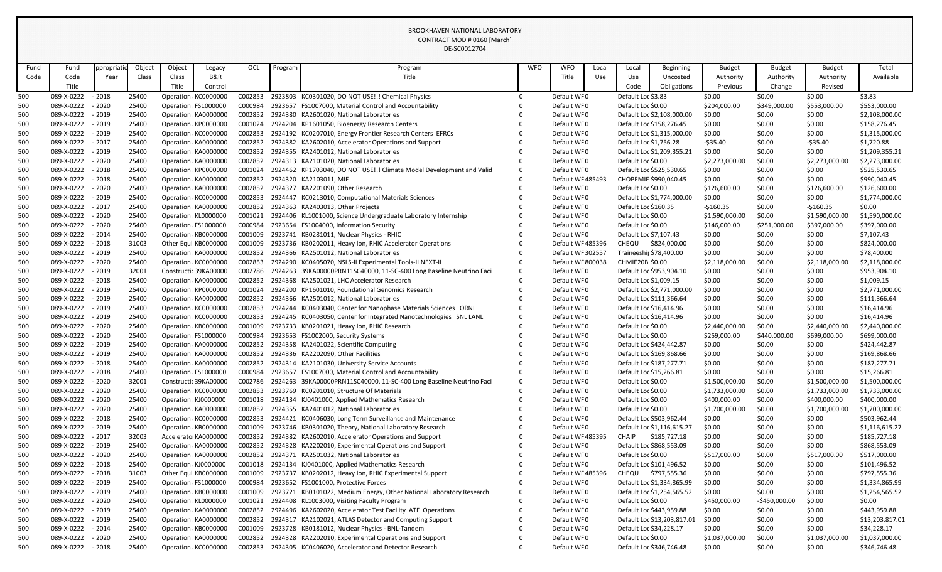|            |                          |                    |                |                       |                                               |                    |         | DE-SCOUTZ/04                                                                                |              |                            |       |                                          |                             |                                |                  |                                |                                |
|------------|--------------------------|--------------------|----------------|-----------------------|-----------------------------------------------|--------------------|---------|---------------------------------------------------------------------------------------------|--------------|----------------------------|-------|------------------------------------------|-----------------------------|--------------------------------|------------------|--------------------------------|--------------------------------|
| Fund       | Fund                     | ppropriati         | Object         | Object                | Legacy                                        | OCL                | Program | Program                                                                                     | <b>WFO</b>   | <b>WFO</b>                 | Local | Local                                    | Beginning                   | <b>Budget</b>                  | <b>Budget</b>    | <b>Budget</b>                  | Total                          |
| Code       | Code                     | Year               | Class          | Class                 | B&R                                           |                    |         | Title                                                                                       |              | Title                      | Use   | Use                                      | Uncosted                    | Authority                      | Authority        | Authority                      | Available                      |
|            | Title                    |                    |                | Title                 | Control                                       |                    |         |                                                                                             |              |                            |       | Code                                     | Obligations                 | Previous                       | Change           | Revised                        |                                |
| 500        | 089-X-0222               | $-2018$            | 25400          |                       | Operation : KC0000000                         | C002853            |         | 2923803 KC0301020, DO NOT USE!!! Chemical Physics                                           | <sup>n</sup> | Default WF0                |       | Default Loc \$3.83                       |                             | \$0.00                         | \$0.00           | \$0.00                         | \$3.83                         |
| 500        | 089-X-0222               | $-2020$            | 25400          |                       | Operation ¿FS1000000                          | C000984            |         | 2923657 FS1007000, Material Control and Accountability                                      |              | Default WF0                |       | Default Loc \$0.00                       |                             | \$204,000.00                   | \$349,000.00     | \$553,000.00                   | \$553,000.00                   |
| 500        | 089-X-0222               | $-2019$            | 25400          |                       | Operation ¿KA0000000                          | C002852            |         | 2924380 KA2601020, National Laboratories                                                    |              | Default WF0                |       |                                          | Default Loc \$2,108,000.00  | \$0.00                         | \$0.00           | \$0.00                         | \$2,108,000.00                 |
| 500        | 089-X-0222               | $-2019$            | 25400          |                       | Operation : KP0000000                         | C001024            |         | 2924204 KP1601050, Bioenergy Research Centers                                               |              | Default WF0                |       |                                          | Default Loc \$158,276.45    | \$0.00                         | \$0.00           | \$0.00                         | \$158,276.45                   |
| 500        | 089-X-0222               | $-2019$            | 25400          |                       | Operation : KC0000000                         | C002853            |         | 2924192 KC0207010, Energy Frontier Research Centers EFRCs                                   |              | Default WF0                |       |                                          | Default Loc \$1,315,000.00  | \$0.00                         | \$0.00           | \$0.00                         | \$1,315,000.00                 |
| 500        | 089-X-0222               | $-2017$            | 25400          |                       | Operation ¿KA0000000                          | C002852            |         | 2924382 KA2602010, Accelerator Operations and Support                                       |              | Default WF0                |       | Default Loc \$1,756.28                   |                             | $-535.40$                      | \$0.00           | $-535.40$                      | \$1,720.88                     |
| 500        | 089-X-0222               | $-2019$            | 25400          |                       | Operation : KA0000000                         | C002852            |         | 2924355 KA2401012, National Laboratories                                                    |              | Default WF0                |       |                                          | Default Loc \$1,209,355.21  | \$0.00                         | \$0.00           | \$0.00                         | \$1,209,355.21                 |
| 500        | 089-X-0222               | $-2020$            | 25400          |                       | Operation : KA0000000                         | C002852            |         | 2924313 KA2101020, National Laboratories                                                    |              | Default WF0                |       | Default Loc \$0.00                       |                             | \$2,273,000.00                 | \$0.00           | \$2,273,000.00                 | \$2,273,000.00                 |
| 500        | 089-X-0222               | $-2018$            | 25400          |                       | Operation : KP0000000                         | C001024            |         | 2924462 KP1703040, DO NOT USE!!! Climate Model Development and Valid                        | 0            | Default WF0                |       |                                          | Default Loc \$525,530.65    | \$0.00                         | \$0.00           | \$0.00                         | \$525,530.65                   |
| 500        | 089-X-0222               | $-2018$            | 25400          |                       | Operation : KA0000000                         | C002852            |         | 2924320 KA2103011, MIE                                                                      |              | Default WF 485493          |       |                                          | CHOPEMIE \$990,040.45       | \$0.00                         | \$0.00           | \$0.00                         | \$990,040.45                   |
| 500        | 089-X-0222               | $-2020$            | 25400          |                       | Operation : KA0000000                         | C002852            |         | 2924327 KA2201090, Other Research                                                           |              | Default WF0                |       | Default Loc \$0.00                       |                             | \$126,600.00                   | \$0.00           | \$126,600.00                   | \$126,600.00                   |
| 500        | 089-X-0222               | $-2019$            | 25400          |                       | Operation ¿KC0000000                          | C002853            | 2924447 | KC0213010, Computational Materials Sciences                                                 |              | Default WF0                |       |                                          | Default Loc \$1,774,000.00  | \$0.00                         | \$0.00           | \$0.00                         | \$1,774,000.00                 |
| 500        | 089-X-0222               | $-2017$            | 25400          |                       | Operation : KA0000000                         | C002852            |         | 2924363 KA2403013, Other Projects                                                           |              | Default WF0                |       | Default Loc \$160.35                     |                             | $-$160.35$                     | \$0.00           | $-$160.35$                     | \$0.00                         |
| 500        | 089-X-0222               | $-2020$            | 25400          |                       | Operation : KL0000000                         | C001021            |         | 2924406 KL1001000, Science Undergraduate Laboratory Internship                              |              | Default WF0                |       | Default Loc \$0.00                       |                             | \$1,590,000.00                 | \$0.00           | \$1,590,000.00                 | \$1,590,000.00                 |
| 500        | 089-X-0222               | $-2020$            | 25400          |                       | Operation ¿FS1000000                          | C000984            |         | 2923654 FS1004000, Information Security                                                     |              | Default WF0                |       | Default Loc \$0.00                       |                             | \$146,000.00                   | \$251,000.00     | \$397,000.00                   | \$397,000.00                   |
| 500        | 089-X-0222               | $-2014$            | 25400          |                       | Operation ¿KB0000000                          | C001009            |         | 2923741 KB0281011, Nuclear Physics - RHIC                                                   |              | Default WF0                |       | Default Loc \$7,107.43                   |                             | \$0.00                         | \$0.00           | \$0.00                         | \$7,107.43                     |
| 500        | 089-X-0222               | $-2018$            | 31003          |                       | Other Equi KB0000000                          | C001009            |         | 2923736 KB0202011, Heavy Ion, RHIC Accelerator Operations                                   |              | Default WF485396           |       | CHEQU                                    | \$824,000.00                | \$0.00                         | \$0.00           | \$0.00                         | \$824,000.00                   |
| 500        | 089-X-0222               | $-2019$            | 25400          |                       | Operation : KA0000000                         | C002852            |         | 2924366 KA2501012, National Laboratories                                                    |              | Default WF 302557          |       |                                          | Traineeshir \$78,400.00     | \$0.00                         | \$0.00           | \$0.00                         | \$78,400.00                    |
| 500        | 089-X-0222               | $-2020$            | 25400          |                       | Operation : KC0000000                         | C002853            |         | 2924290 KC0405070, NSLS-II Experimental Tools-II NEXT-II                                    |              | Default WF 800038          |       | CHMIE20B: \$0.00                         |                             | \$2,118,000.00                 | \$0.00           | \$2,118,000.00                 | \$2,118,000.00                 |
| 500        | 089-X-0222               | $-2019$            | 32001          |                       | Constructic 39KA00000                         | C002786            |         | 2924263 39KA00000PRN11SC40000, 11-SC-400 Long Baseline Neutrino Faci                        | $\mathbf{0}$ | Default WF0                |       |                                          | Default Loc \$953,904.10    | \$0.00                         | \$0.00           | \$0.00                         | \$953,904.10                   |
| 500        | 089-X-0222               | $-2018$            | 25400          |                       | Operation : KA0000000                         | C002852            |         | 2924368 KA2501021, LHC Accelerator Research                                                 |              | Default WF0                |       | Default Loc \$1,009.15                   |                             | \$0.00                         | \$0.00           | \$0.00                         | \$1,009.15                     |
| 500        | 089-X-0222               | $-2019$            | 25400          |                       | Operation : KP0000000                         | C001024            |         | 2924200 KP1601010, Foundational Genomics Research                                           |              | Default WF0                |       |                                          | Default Loc \$2,771,000.00  | \$0.00                         | \$0.00           | \$0.00                         | \$2,771,000.00                 |
| 500        | 089-X-0222               | $-2019$            | 25400          |                       | Operation : KA0000000                         | C002852            |         | 2924366 KA2501012, National Laboratories                                                    |              | Default WF0                |       |                                          | Default Loc \$111,366.64    | \$0.00                         | \$0.00           | \$0.00                         | \$111,366.64                   |
| 500        | 089-X-0222               | $-2019$            | 25400          |                       | Operation ¿KC0000000                          | C002853            |         | 2924244 KC0403040, Center for Nanophase Materials Sciences ORNL                             |              | Default WF0                |       |                                          | Default Loc \$16,414.96     | \$0.00                         | \$0.00           | \$0.00                         | \$16,414.96                    |
| 500        | 089-X-0222               | $-2019$            | 25400          |                       | Operation : KC0000000                         | C002853            |         | 2924245 KC0403050, Center for Integrated Nanotechnologies SNL LANL                          | 0            | Default WF0                |       |                                          | Default Loc \$16,414.96     | \$0.00                         | \$0.00           | \$0.00                         | \$16,414.96                    |
| 500        | 089-X-0222               | $-2020$            | 25400          |                       | Operation ¿KB0000000                          | C001009            |         | 2923733 KB0201021, Heavy Ion, RHIC Research                                                 |              | Default WF0                |       | Default Loc \$0.00                       |                             | \$2,440,000.00                 | \$0.00           | \$2,440,000.00                 | \$2,440,000.00                 |
| 500        | 089-X-0222               | $-2020$            | 25400          |                       | Operation ¿FS1000000                          | C000984            |         | 2923653 FS1002000, Security Systems                                                         |              | Default WF0                |       | Default Loc \$0.00                       |                             | \$259,000.00                   | \$440,000.00     | \$699,000.00                   | \$699,000.00                   |
| 500        | 089-X-0222               | - 2019             | 25400          |                       | Operation : KA0000000                         | C002852            |         | 2924358 KA2401022, Scientific Computing                                                     |              | Default WF0                |       |                                          | Default Loc \$424,442.87    | \$0.00                         | \$0.00           | \$0.00                         | \$424,442.87                   |
| 500        | 089-X-0222               | $-2019$            | 25400          |                       | Operation : KA0000000                         | C002852            |         | 2924336 KA2202090, Other Facilities                                                         |              | Default WF0                |       |                                          | Default Loc \$169,868.66    | \$0.00                         | \$0.00           | \$0.00                         | \$169,868.66                   |
| 500        | 089-X-0222 - 2018        |                    | 25400          |                       | Operation : KA0000000                         | C002852            |         | 2924314 KA2101030, University Service Accounts                                              |              | Default WF0                |       |                                          | Default Loc \$187,277.71    | \$0.00                         | \$0.00           | \$0.00                         | \$187,277.71                   |
| 500        | 089-X-0222               | $-2018$            | 25400          |                       | Operation ¿FS1000000                          | C000984            |         | 2923657 FS1007000, Material Control and Accountability                                      |              | Default WF0                |       |                                          | Default Loc \$15,266.81     | \$0.00                         | \$0.00           | \$0.00                         | \$15,266.81                    |
| 500        | 089-X-0222               | $-2020$            | 32001          |                       | Constructic 39KA00000                         | C002786            |         | 2924263 39KA00000PRN11SC40000, 11-SC-400 Long Baseline Neutrino Faci                        | 0            | Default WF0                |       | Default Loc \$0.00                       |                             | \$1,500,000.00                 | \$0.00           | \$1,500,000.00                 | \$1,500,000.00                 |
| 500        | 089-X-0222 - 2020        |                    | 25400          |                       | Operation : KC0000000                         | C002853            |         | 2923769 KC0201010, Structure Of Materials                                                   |              | Default WF0                |       | Default Loc \$0.00                       |                             | \$1,733,000.00                 | \$0.00           | \$1,733,000.00                 | \$1,733,000.00                 |
| 500<br>500 | 089-X-0222<br>089-X-0222 | $-2020$<br>$-2020$ | 25400<br>25400 |                       | Operation ¿KJ0000000<br>Operation : KA0000000 | C001018<br>C002852 |         | 2924134 KJ0401000, Applied Mathematics Research<br>2924355 KA2401012, National Laboratories |              | Default WF0<br>Default WF0 |       | Default Loc \$0.00<br>Default Loc \$0.00 |                             | \$400,000.00<br>\$1,700,000.00 | \$0.00<br>\$0.00 | \$400,000.00<br>\$1,700,000.00 | \$400,000.00<br>\$1,700,000.00 |
|            | 089-X-0222               | $-2018$            |                |                       | Operation : KC0000000                         | C002853            |         | 2924421 KC0406030, Long Term Surveillance and Maintenance                                   |              | Default WF0                |       |                                          | Default Loc \$503,962.44    |                                |                  |                                | \$503,962.44                   |
| 500<br>500 | 089-X-0222 - 2019        |                    | 25400<br>25400 |                       | Operation : KB0000000                         | C001009            |         | 2923746 KB0301020, Theory, National Laboratory Research                                     |              | Default WF0                |       |                                          | Default Loc \$1,116,615.27  | \$0.00<br>\$0.00               | \$0.00<br>\$0.00 | \$0.00<br>\$0.00               | \$1,116,615.27                 |
| 500        | 089-X-0222 - 2017        |                    | 32003          |                       | Accelerator KA0000000                         | C002852            |         | 2924382 KA2602010, Accelerator Operations and Support                                       |              | Default WF485395           |       | <b>CHAIP</b>                             | \$185,727.18                | \$0.00                         | \$0.00           | \$0.00                         | \$185,727.18                   |
| 500        | 089-X-0222               | $-2019$            | 25400          |                       | Operation ¿KA0000000                          | C002852            |         | 2924328 KA2202010, Experimental Operations and Support                                      |              | Default WF0                |       |                                          | Default Loc \$868,553.09    | \$0.00                         | \$0.00           | \$0.00                         | \$868,553.09                   |
| 500        | 089-X-0222               | $-2020$            | 25400          |                       | Operation : KA0000000                         | C002852            |         | 2924371 KA2501032, National Laboratories                                                    |              | Default WF0                |       | Default Loc \$0.00                       |                             | \$517,000.00                   | \$0.00           | \$517,000.00                   | \$517,000.00                   |
| 500        | 089-X-0222 - 2018        |                    | 25400          |                       | Operation ¿KJ0000000                          | C001018            |         | 2924134 KJ0401000, Applied Mathematics Research                                             |              | Default WF0                |       |                                          | Default Loc \$101,496.52    | \$0.00                         | \$0.00           | \$0.00                         | \$101,496.52                   |
| 500        | 089-X-0222               | $-2018$            | 31003          |                       | Other Equi KB0000000                          | C001009            |         | 2923737 KB0202012, Heavy Ion, RHIC Experimental Support                                     |              | Default WF485396           |       | CHEQU                                    | \$797,555.36                | \$0.00                         | \$0.00           | \$0.00                         | \$797,555.36                   |
| 500        | 089-X-0222               | $-2019$            | 25400          | Operation : FS1000000 |                                               | C000984            |         | 2923652 FS1001000, Protective Forces                                                        |              | Default WF0                |       |                                          | Default Loc \$1,334,865.99  | \$0.00                         | \$0.00           | \$0.00                         | \$1,334,865.99                 |
| 500        | 089-X-0222 - 2019        |                    | 25400          |                       | Operation : KB0000000                         | C001009            |         | 2923721 KB0101022, Medium Energy, Other National Laboratory Research                        | 0            | Default WF0                |       |                                          | Default Loc \$1,254,565.52  | \$0.00                         | \$0.00           | \$0.00                         | \$1,254,565.52                 |
| 500        | 089-X-0222               | $-2020$            | 25400          |                       | Operation ¿KL0000000                          | C001021            |         | 2924408 KL1003000, Visiting Faculty Program                                                 |              | Default WF0                |       | Default Loc \$0.00                       |                             | \$450,000.00                   | $-$450,000.00$   | \$0.00                         | \$0.00                         |
| 500        | 089-X-0222               | $-2019$            | 25400          |                       | Operation : KA0000000                         | C002852            |         | 2924496 KA2602020, Accelerator Test Facility ATF Operations                                 |              | Default WF0                |       |                                          | Default Loc \$443,959.88    | \$0.00                         | \$0.00           | \$0.00                         | \$443,959.88                   |
| 500        | 089-X-0222               | $-2019$            | 25400          |                       | Operation ¿KA0000000                          | C002852            |         | 2924317 KA2102021, ATLAS Detector and Computing Support                                     |              | Default WF0                |       |                                          | Default Loc \$13,203,817.01 | \$0.00                         | \$0.00           | \$0.00                         | \$13,203,817.01                |
| 500        | 089-X-0222               | - 2014             | 25400          |                       | Operation ¿KB0000000                          | C001009            |         | 2923728 KB0181012, Nuclear Physics - BNL-Tandem                                             |              | Default WF0                |       | Default Loc \$34,228.17                  |                             | \$0.00                         | \$0.00           | \$0.00                         | \$34,228.17                    |
| 500        | 089-X-0222 - 2020        |                    | 25400          |                       | Operation : KA0000000                         | C002852            |         | 2924328 KA2202010, Experimental Operations and Support                                      |              | Default WF0                |       | Default Loc \$0.00                       |                             | \$1,037,000.00                 | \$0.00           | \$1,037,000.00                 | \$1,037,000.00                 |
| 500        | 089-X-0222 - 2018        |                    | 25400          |                       | Operation : KC0000000                         | C002853            |         | 2924305 KC0406020, Accelerator and Detector Research                                        |              | Default WF0                |       |                                          | Default Loc \$346,746.48    | \$0.00                         | \$0.00           | \$0.00                         | \$346,746.48                   |
|            |                          |                    |                |                       |                                               |                    |         |                                                                                             |              |                            |       |                                          |                             |                                |                  |                                |                                |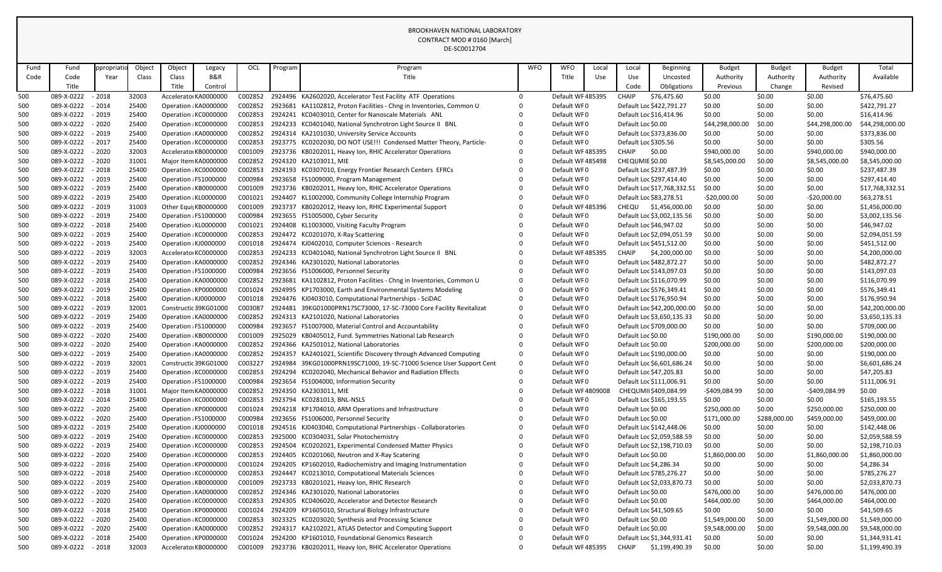|            |                          |                    |                |                       |                       |                    |         | UL-JCUUIZ7U4                                                                                            |            |                                 |       |                      |                                                      |                  |                  |                  |                              |
|------------|--------------------------|--------------------|----------------|-----------------------|-----------------------|--------------------|---------|---------------------------------------------------------------------------------------------------------|------------|---------------------------------|-------|----------------------|------------------------------------------------------|------------------|------------------|------------------|------------------------------|
| Fund       | Fund                     | ppropriati         | Object         | Object                | Legacy                | OCL                | Program | Program                                                                                                 | <b>WFO</b> | <b>WFO</b>                      | Local | Local                | <b>Beginning</b>                                     | <b>Budget</b>    | <b>Budget</b>    | <b>Budget</b>    | Total                        |
| Code       | Code                     | Year               | Class          | Class                 | B&R                   |                    |         | Title                                                                                                   |            | Title                           | Use   | Use                  | Uncosted                                             | Authority        | Authority        | Authority        | Available                    |
|            | Title                    |                    |                | Title                 | Control               |                    |         |                                                                                                         |            |                                 |       | Code                 | Obligations                                          | Previous         | Change           | Revised          |                              |
| 500        | 089-X-0222               | $-2018$            | 32003          |                       | Accelerator KA0000000 | C002852            |         | 2924496 KA2602020, Accelerator Test Facility ATF Operations                                             |            | Default WF 485395               |       | <b>CHAIP</b>         | \$76,475.60                                          | \$0.00           | \$0.00           | \$0.00           | \$76,475.60                  |
| 500        | 089-X-0222 - 2014        |                    | 25400          |                       | Operation : KA0000000 | C002852            |         | 2923681 KA1102812, Proton Facilities - Chng in Inventories, Common U                                    |            | Default WF0                     |       |                      | Default Loc \$422,791.27                             | \$0.00           | \$0.00           | \$0.00           | \$422,791.27                 |
| 500        | 089-X-0222               | $-2019$            | 25400          | Operation : KC0000000 |                       | C002853            |         | 2924241 KC0403010, Center for Nanoscale Materials ANL                                                   |            | Default WF0                     |       |                      | Default Loc \$16,414.96                              | \$0.00           | \$0.00           | \$0.00           | \$16,414.96                  |
| 500        | 089-X-0222               | $-2020$            | 25400          | Operation : KC0000000 |                       | C002853            |         | 2924233 KC0401040, National Synchrotron Light Source II BNL                                             |            | Default WF0                     |       | Default Loc \$0.00   |                                                      | \$44,298,000.00  | \$0.00           | \$44,298,000.00  | \$44,298,000.00              |
| 500        | 089-X-0222 - 2019        |                    | 25400          |                       | Operation : KA0000000 | C002852            |         | 2924314 KA2101030, University Service Accounts                                                          |            | Default WF0                     |       |                      | Default Loc \$373,836.00                             | \$0.00           | \$0.00           | \$0.00           | \$373,836.00                 |
| 500        | 089-X-0222               | $-2017$            | 25400          | Operation ¿KC0000000  |                       | C002853            |         | 2923775 KC0202030, DO NOT USE!!! Condensed Matter Theory, Particle-                                     |            | Default WF0                     |       | Default Loc \$305.56 |                                                      | \$0.00           | \$0.00           | \$0.00           | \$305.56                     |
| 500        | 089-X-0222               | $-2020$            | 32003          |                       | AcceleratorKB0000000  | C001009            |         | 2923736 KB0202011, Heavy Ion, RHIC Accelerator Operations                                               |            | Default WF485395                |       | <b>CHAIP</b>         | \$0.00                                               | \$940,000.00     | \$0.00           | \$940,000.00     | \$940,000.00                 |
| 500        | 089-X-0222               | $-2020$            | 31001          |                       | Major Item KA0000000  | C002852            |         | 2924320 KA2103011, MIE                                                                                  |            | Default WF 485498               |       | CHEQUMIE \$0.00      |                                                      | \$8,545,000.00   | \$0.00           | \$8,545,000.00   | \$8,545,000.00               |
| 500        | 089-X-0222               | $-2018$            | 25400          | Operation : KC0000000 |                       | C002853            |         | 2924193 KC0307010, Energy Frontier Research Centers EFRCs                                               |            | Default WF0                     |       |                      | Default Loc \$237,487.39                             | \$0.00           | \$0.00           | \$0.00           | \$237,487.39                 |
| 500        | 089-X-0222 - 2019        |                    | 25400          | Operation : FS1000000 |                       | C000984            |         | 2923658 FS1009000, Program Management                                                                   |            | Default WF0                     |       |                      | Default Loc \$297,414.40                             | \$0.00           | \$0.00           | \$0.00           | \$297,414.40                 |
| 500        | 089-X-0222               | $-2019$            | 25400          | Operation : KB0000000 |                       | C001009            |         | 2923736 KB0202011, Heavy Ion, RHIC Accelerator Operations                                               |            | Default WF0                     |       |                      | Default Loc \$17,768,332.51                          | \$0.00           | \$0.00           | \$0.00           | \$17,768,332.51              |
| 500        | 089-X-0222               | $-2019$            | 25400          | Operation : KL0000000 |                       | C001021            |         | 2924407 KL1002000, Community College Internship Program                                                 |            | Default WF0                     |       |                      | Default Loc \$83,278.51                              | $-520,000.00$    | \$0.00           | $-520,000.00$    | \$63,278.51                  |
| 500        | 089-X-0222               | $-2019$            | 31003          | Other Equi KB0000000  |                       | C001009            |         | 2923737 KB0202012, Heavy Ion, RHIC Experimental Support                                                 |            | Default WF485396                |       | CHEQU                | \$1,456,000.00                                       | \$0.00           | \$0.00           | \$0.00           | \$1,456,000.00               |
| 500        | 089-X-0222               | $-2019$            | 25400          | Operation : FS1000000 |                       | C000984            |         | 2923655 FS1005000, Cyber Security                                                                       |            | Default WF0                     |       |                      | Default Loc \$3,002,135.56                           | \$0.00           | \$0.00           | \$0.00           | \$3,002,135.56               |
| 500        | 089-X-0222 - 2018        |                    | 25400          | Operation : KL0000000 |                       | C001021            |         | 2924408 KL1003000, Visiting Faculty Program                                                             |            | Default WF0                     |       |                      | Default Loc \$46,947.02                              | \$0.00           | \$0.00           | \$0.00           | \$46,947.02                  |
| 500        | 089-X-0222               | $-2019$            | 25400          | Operation : KC0000000 |                       | C002853            |         | 2924472 KC0201070, X-Ray Scattering                                                                     |            | Default WF0                     |       |                      | Default Loc \$2,094,051.59                           | \$0.00           | \$0.00           | \$0.00           | \$2,094,051.59               |
| 500        | 089-X-0222               | $-2019$            | 25400          | Operation : KJ0000000 |                       | C001018            |         | 2924474 KJ0402010, Computer Sciences - Research                                                         |            | Default WF0                     |       |                      | Default Loc \$451,512.00                             | \$0.00           | \$0.00           | \$0.00           | \$451,512.00                 |
| 500        | 089-X-0222               | $-2019$<br>$-2019$ | 32003          |                       | Accelerator KC0000000 | C002853            |         | 2924233 KC0401040, National Synchrotron Light Source II BNL<br>2924346 KA2301020, National Laboratories |            | Default WF485395<br>Default WF0 |       | <b>CHAIP</b>         | \$4,200,000.00                                       | \$0.00<br>\$0.00 | \$0.00           | \$0.00           | \$4,200,000.00               |
| 500        | 089-X-0222<br>089-X-0222 | $-2019$            | 25400<br>25400 |                       | Operation ¿KA0000000  | C002852<br>C000984 |         | 2923656 FS1006000, Personnel Security                                                                   |            |                                 |       |                      | Default Loc \$482,872.27                             |                  | \$0.00           | \$0.00           | \$482,872.27                 |
| 500<br>500 | 089-X-0222               | $-2018$            | 25400          | Operation : FS1000000 | Operation ¿KA0000000  | C002852            |         | 2923681 KA1102812, Proton Facilities - Chng in Inventories, Common U                                    |            | Default WF0<br>Default WF0      |       |                      | Default Loc \$143,097.03<br>Default Loc \$116,070.99 | \$0.00<br>\$0.00 | \$0.00<br>\$0.00 | \$0.00<br>\$0.00 | \$143,097.03<br>\$116,070.99 |
| 500        | 089-X-0222               | $-2019$            | 25400          | Operation ¿KP0000000  |                       | C001024            |         | 2924995 KP1703000, Earth and Environmental Systems Modeling                                             |            | Default WF0                     |       |                      | Default Loc \$576,349.41                             | \$0.00           | \$0.00           | \$0.00           | \$576,349.41                 |
| 500        | 089-X-0222               | $-2018$            | 25400          | Operation : KJ0000000 |                       | C001018            |         | 2924476 KJ0403010, Computational Partnerships - SciDAC                                                  |            | Default WF0                     |       |                      | Default Loc \$176,950.94                             | \$0.00           | \$0.00           | \$0.00           | \$176,950.94                 |
| 500        | 089-X-0222               | $-2019$            | 32001          |                       | Constructic 39KG01000 | C003087            |         | 2924481 39KG01000PRN17SC73000, 17-SC-73000 Core Facility Revitalizat                                    |            | Default WF0                     |       |                      | Default Loc \$42,200,000.00                          | \$0.00           | \$0.00           | \$0.00           | \$42,200,000.00              |
| 500        | 089-X-0222               | $-2019$            | 25400          |                       | Operation ¿KA0000000  | C002852            |         | 2924313 KA2101020, National Laboratories                                                                |            | Default WF0                     |       |                      | Default Loc \$3,650,135.33                           | \$0.00           | \$0.00           | \$0.00           | \$3,650,135.33               |
| 500        | 089-X-0222               | $-2019$            | 25400          | Operation : FS1000000 |                       | C000984            |         | 2923657 FS1007000, Material Control and Accountability                                                  |            | Default WF0                     |       |                      | Default Loc \$709,000.00                             | \$0.00           | \$0.00           | \$0.00           | \$709,000.00                 |
| 500        | 089-X-0222               | $-2020$            | 25400          | Operation ¿KB0000000  |                       | C001009            | 2925029 | KB0405012, Fund. Symmetries National Lab Research                                                       |            | Default WF0                     |       | Default Loc \$0.00   |                                                      | \$190,000.00     | \$0.00           | \$190,000.00     | \$190,000.00                 |
| 500        | 089-X-0222               | $-2020$            | 25400          |                       | Operation : KA0000000 | C002852            |         | 2924366 KA2501012, National Laboratories                                                                |            | Default WF0                     |       | Default Loc \$0.00   |                                                      | \$200,000.00     | \$0.00           | \$200,000.00     | \$200,000.00                 |
| 500        | 089-X-0222 - 2019        |                    | 25400          |                       | Operation ¿KA0000000  | C002852            |         | 2924357 KA2401021, Scientific Discovery through Advanced Computing                                      |            | Default WF0                     |       |                      | Default Loc \$190,000.00                             | \$0.00           | \$0.00           | \$0.00           | \$190,000.00                 |
| 500        | 089-X-0222               | $-2019$            | 32001          |                       | Constructic 39KG01000 | C003227            |         |                                                                                                         |            | Default WF0                     |       |                      | Default Loc \$6,601,686.24                           | \$0.00           | \$0.00           | \$0.00           | \$6,601,686.24               |
| 500        | 089-X-0222               | $-2019$            | 25400          |                       | Operation ¿KC0000000  | C002853            |         | 2924294 KC0202040, Mechanical Behavior and Radiation Effects                                            |            | Default WF0                     |       |                      | Default Loc \$47,205.83                              | \$0.00           | \$0.00           | \$0.00           | \$47,205.83                  |
| 500        | 089-X-0222               | $-2019$            | 25400          | Operation : FS1000000 |                       | C000984            |         | 2923654 FS1004000, Information Security                                                                 |            | Default WF0                     |       |                      | Default Loc \$111,006.91                             | \$0.00           | \$0.00           | \$0.00           | \$111,006.91                 |
| 500        | 089-X-0222               | $-2018$            | 31001          |                       | Major Item KA0000000  | C002852            |         | 2924350 KA2303011, MIE                                                                                  |            | Default WF 4809008              |       |                      | CHEQUMII\$409,084.99                                 | -\$409,084.99    | \$0.00           | -\$409,084.99    | \$0.00                       |
| 500        | 089-X-0222 - 2014        |                    | 25400          |                       | Operation ¿KC0000000  | C002853            |         | 2923794 KC0281013, BNL-NSLS                                                                             |            | Default WF0                     |       |                      | Default Loc \$165,193.55                             | \$0.00           | \$0.00           | \$0.00           | \$165,193.55                 |
| 500        | 089-X-0222               | $-2020$            | 25400          | Operation : KP0000000 |                       | C001024            |         | 2924218 KP1704010, ARM Operations and Infrastructure                                                    |            | Default WF0                     |       | Default Loc \$0.00   |                                                      | \$250,000.00     | \$0.00           | \$250,000.00     | \$250,000.00                 |
| 500        | 089-X-0222 - 2020        |                    | 25400          | Operation : FS1000000 |                       | C000984            |         | 2923656 FS1006000, Personnel Security                                                                   |            | Default WF0                     |       | Default Loc \$0.00   |                                                      | \$171,000.00     | \$288,000.00     | \$459,000.00     | \$459,000.00                 |
| 500        | 089-X-0222               | $-2019$            | 25400          | Operation : KJ0000000 |                       | C001018            |         | 2924516 KJ0403040, Computational Partnerships - Collaboratories                                         |            | Default WF0                     |       |                      | Default Loc \$142,448.06                             | \$0.00           | \$0.00           | \$0.00           | \$142,448.06                 |
| 500        | 089-X-0222 - 2019        |                    | 25400          |                       | Operation ¿KC0000000  | C002853            |         | 2925000 KC0304031, Solar Photochemistry                                                                 |            | Default WF0                     |       |                      | Default Loc \$2,059,588.59                           | \$0.00           | \$0.00           | \$0.00           | \$2,059,588.59               |
| 500        | 089-X-0222 - 2019        |                    | 25400          |                       | Operation ¿KC0000000  | C002853            |         | 2924504 KC0202021, Experimental Condensed Matter Physics                                                |            | Default WF0                     |       |                      | Default Loc \$2,198,710.03                           | \$0.00           | \$0.00           | \$0.00           | \$2,198,710.03               |
| 500        | 089-X-0222               | $-2020$            | 25400          | Operation ¿KC0000000  |                       | C002853            | 2924405 | KC0201060, Neutron and X-Ray Scatering                                                                  |            | Default WF0                     |       | Default Loc \$0.00   |                                                      | \$1,860,000.00   | \$0.00           | \$1,860,000.00   | \$1,860,000.00               |
| 500        | 089-X-0222               | $-2016$            | 25400          | Operation ¿KP0000000  |                       | C001024            |         | 2924205 KP1602010, Radiochemistry and Imaging Instrumentation                                           |            | Default WF0                     |       |                      | Default Loc \$4,286.34                               | \$0.00           | \$0.00           | \$0.00           | \$4,286.34                   |
| 500        | 089-X-0222 - 2018        |                    | 25400          |                       | Operation ¿KC0000000  | C002853            |         | 2924447 KC0213010, Computational Materials Sciences                                                     |            | Default WF0                     |       |                      | Default Loc \$785,276.27                             | \$0.00           | \$0.00           | \$0.00           | \$785,276.27                 |
| 500        | 089-X-0222               | $-2019$            | 25400          | Operation ¿KB0000000  |                       | C001009            |         | 2923733 KB0201021, Heavy Ion, RHIC Research                                                             |            | Default WF0                     |       |                      | Default Loc \$2,033,870.73                           | \$0.00           | \$0.00           | \$0.00           | \$2,033,870.73               |
| 500        | 089-X-0222 - 2020        |                    | 25400          |                       | Operation ¿KA0000000  | C002852            |         | 2924346 KA2301020, National Laboratories                                                                |            | Default WF0                     |       | Default Loc \$0.00   |                                                      | \$476,000.00     | \$0.00           | \$476,000.00     | \$476,000.00                 |
| 500        | 089-X-0222               | $-2020$            | 25400          | Operation ¿KC0000000  |                       | C002853            |         | 2924305 KC0406020, Accelerator and Detector Research                                                    |            | Default WF0                     |       | Default Loc \$0.00   |                                                      | \$464,000.00     | \$0.00           | \$464,000.00     | \$464,000.00                 |
| 500        | 089-X-0222               | $-2018$            | 25400          | Operation : KP0000000 |                       | C001024            |         | 2924209 KP1605010, Structural Biology Infrastructure                                                    |            | Default WF0                     |       |                      | Default Loc \$41,509.65                              | \$0.00           | \$0.00           | \$0.00           | \$41,509.65                  |
| 500        | 089-X-0222               | $-2020$            | 25400          |                       | Operation ¿KC0000000  | C002853            |         | 3023325 KC0203020, Synthesis and Processing Science                                                     |            | Default WF0                     |       | Default Loc \$0.00   |                                                      | \$1,549,000.00   | \$0.00           | \$1,549,000.00   | \$1,549,000.00               |
| 500        | 089-X-0222               | $-2020$            | 25400          |                       | Operation : KA0000000 | C002852            |         | 2924317 KA2102021, ATLAS Detector and Computing Support                                                 |            | Default WF0                     |       | Default Loc \$0.00   |                                                      | \$9,548,000.00   | \$0.00           | \$9,548,000.00   | \$9,548,000.00               |
| 500        | 089-X-0222               | $-2018$            | 25400          | Operation ¿KP0000000  |                       | C001024            |         | 2924200 KP1601010, Foundational Genomics Research                                                       |            | Default WF0                     |       |                      | Default Loc \$1,344,931.41                           | \$0.00           | \$0.00           | \$0.00           | \$1,344,931.41               |
| 500        | 089-X-0222 - 2018        |                    | 32003          |                       | Accelerator KB0000000 | C001009            |         | 2923736 KB0202011, Heavy Ion, RHIC Accelerator Operations                                               |            | Default WF 485395               |       | CHAIP                | \$1,199,490.39                                       | \$0.00           | \$0.00           | \$0.00           | \$1,199,490.39               |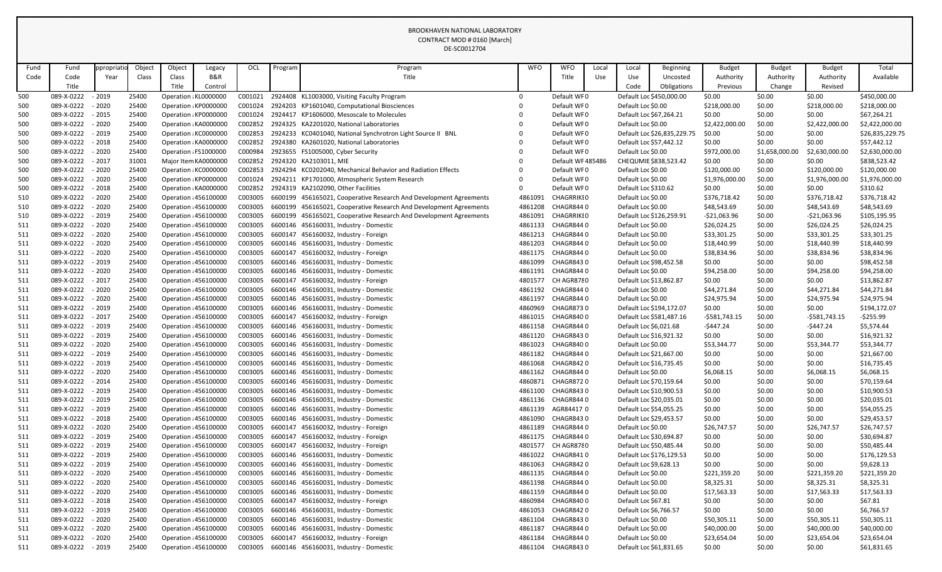| Fund | Fund              | ppropriati | Object | Object                | Legacy               | OCL     | Program | Program                                                            | <b>WFO</b> | <b>WFO</b>        | Local | Local                   | <b>Beginning</b>            | <b>Budget</b>  | <b>Budget</b>  | <b>Budget</b>  | Total           |
|------|-------------------|------------|--------|-----------------------|----------------------|---------|---------|--------------------------------------------------------------------|------------|-------------------|-------|-------------------------|-----------------------------|----------------|----------------|----------------|-----------------|
| Code | Code              | Year       | Class  | Class                 | <b>B&amp;R</b>       |         |         | Title                                                              |            | Title             | Use   | Use                     | Uncosted                    | Authority      | Authority      | Authority      | Available       |
|      | Title             |            |        | Title                 | Control              |         |         |                                                                    |            |                   |       | Code                    | Obligations                 | Previous       | Change         | Revised        |                 |
| 500  | 089-X-0222        | $-2019$    | 25400  | Operation : KL0000000 |                      | C001021 |         | 2924408 KL1003000, Visiting Faculty Program                        | 0          | Default WF0       |       |                         | Default Loc \$450,000.00    | \$0.00         | \$0.00         | \$0.00         | \$450,000.00    |
| 500  | 089-X-0222        | $-2020$    | 25400  | Operation : KP0000000 |                      | C001024 |         | 2924203 KP1601040, Computational Biosciences                       |            | Default WF0       |       | Default Loc \$0.00      |                             | \$218,000.00   | \$0.00         | \$218,000.00   | \$218,000.00    |
| 500  | 089-X-0222        | $-2015$    | 25400  | Operation : KP0000000 |                      | C001024 |         | 2924417 KP1606000, Mesoscale to Molecules                          |            | Default WF0       |       | Default Loc \$67,264.21 |                             | \$0.00         | \$0.00         | \$0.00         | \$67,264.21     |
| 500  | 089-X-0222        | $-2020$    | 25400  | Operation : KA0000000 |                      | C002852 |         | 2924325 KA2201020, National Laboratories                           |            | Default WF0       |       | Default Loc \$0.00      |                             | \$2,422,000.00 | \$0.00         | \$2,422,000.00 | \$2,422,000.00  |
| 500  | 089-X-0222 - 2019 |            | 25400  | Operation : KC0000000 |                      | C002853 |         | 2924233 KC0401040, National Synchrotron Light Source II BNL        |            | Default WF0       |       |                         | Default Loc \$26,835,229.75 | \$0.00         | \$0.00         | \$0.00         | \$26,835,229.75 |
| 500  | 089-X-0222        | $-2018$    | 25400  | Operation : KA0000000 |                      | C002852 |         | 2924380 KA2601020, National Laboratories                           |            | Default WF0       |       | Default Loc \$57,442.12 |                             | \$0.00         | \$0.00         | \$0.00         | \$57,442.12     |
| 500  | 089-X-0222        | $-2020$    | 25400  | Operation : FS1000000 |                      | C000984 |         | 2923655 FS1005000, Cyber Security                                  |            | Default WF0       |       | Default Loc \$0.00      |                             | \$972,000.00   | \$1,658,000.00 | \$2,630,000.00 | \$2,630,000.00  |
| 500  | 089-X-0222        | $-2017$    | 31001  |                       | Major Item KA0000000 | C002852 |         | 2924320 KA2103011, MIE                                             | $\Omega$   | Default WF485486  |       |                         | CHEQUMIE \$838,523.42       | \$0.00         | \$0.00         | \$0.00         | \$838,523.42    |
| 500  | 089-X-0222        | $-2020$    | 25400  | Operation : KC0000000 |                      | C002853 |         | 2924294 KC0202040, Mechanical Behavior and Radiation Effects       |            | Default WF0       |       | Default Loc \$0.00      |                             | \$120,000.00   | \$0.00         | \$120,000.00   | \$120,000.00    |
| 500  | 089-X-0222        | $-2020$    | 25400  | Operation : KP0000000 |                      | C001024 |         | 2924211 KP1701000, Atmospheric System Research                     |            | Default WF0       |       | Default Loc \$0.00      |                             | \$1,976,000.00 | \$0.00         | \$1,976,000.00 | \$1,976,000.00  |
| 500  | 089-X-0222        | $-2018$    | 25400  | Operation : KA0000000 |                      | C002852 |         | 2924319 KA2102090, Other Facilities                                | $\Omega$   | Default WF0       |       | Default Loc \$310.62    |                             | \$0.00         | \$0.00         | \$0.00         | \$310.62        |
| 510  | 089-X-0222        | $-2020$    | 25400  | Operation : 456100000 |                      | C003005 |         | 6600199 456165021, Cooperative Research And Development Agreements | 4861091    | <b>CHAGRRIKIO</b> |       | Default Loc \$0.00      |                             | \$376,718.42   | \$0.00         | \$376,718.42   | \$376,718.42    |
| 510  | 089-X-0222        | $-2020$    | 25400  | Operation : 456100000 |                      | C003005 |         | 6600199 456165021, Cooperative Research And Development Agreements | 4861208    | CHAGR8440         |       | Default Loc \$0.00      |                             | \$48,543.69    | \$0.00         | \$48,543.69    | \$48,543.69     |
| 510  | 089-X-0222        | $-2019$    | 25400  | Operation : 456100000 |                      | C003005 |         | 6600199 456165021, Cooperative Research And Development Agreements | 4861091    | CHAGRRIKI 0       |       |                         | Default Loc \$126,259.91    | $-521,063.96$  | \$0.00         | $-521,063.96$  | \$105,195.95    |
| 511  | 089-X-0222        | $-2020$    | 25400  | Operation : 456100000 |                      | C003005 |         | 6600146 456160031, Industry - Domestic                             | 4861133    | CHAGR8440         |       | Default Loc \$0.00      |                             | \$26,024.25    | \$0.00         | \$26,024.25    | \$26,024.25     |
| 511  | 089-X-0222 - 2020 |            | 25400  | Operation : 456100000 |                      | C003005 |         | 6600147 456160032, Industry - Foreign                              | 4861213    | CHAGR8440         |       | Default Loc \$0.00      |                             | \$33,301.25    | \$0.00         | \$33,301.25    | \$33,301.25     |
| 511  | 089-X-0222        | $-2020$    | 25400  | Operation : 456100000 |                      | C003005 |         | 6600146 456160031, Industry - Domestic                             | 4861203    | CHAGR8440         |       | Default Loc \$0.00      |                             | \$18,440.99    | \$0.00         | \$18,440.99    | \$18,440.99     |
| 511  | 089-X-0222        | $-2020$    | 25400  | Operation : 456100000 |                      | C003005 |         | 6600147 456160032, Industry - Foreign                              | 4861175    | CHAGR8440         |       | Default Loc \$0.00      |                             | \$38,834.96    | \$0.00         | \$38,834.96    | \$38,834.96     |
| 511  | 089-X-0222        | $-2019$    | 25400  | Operation : 456100000 |                      | C003005 |         | 6600146 456160031, Industry - Domestic                             | 4861099    | CHAGR8430         |       | Default Loc \$98,452.58 |                             | \$0.00         | \$0.00         | \$0.00         | \$98,452.58     |
| 511  | 089-X-0222        | $-2020$    | 25400  | Operation : 456100000 |                      | C003005 |         | 6600146 456160031, Industry - Domestic                             | 4861191    | CHAGR8440         |       | Default Loc \$0.00      |                             | \$94,258.00    | \$0.00         | \$94,258.00    | \$94,258.00     |
| 511  | 089-X-0222 - 2017 |            | 25400  | Operation : 456100000 |                      | C003005 |         | 6600147 456160032, Industry - Foreign                              | 4801577    | CH AGR8780        |       | Default Loc \$13,862.87 |                             | \$0.00         | \$0.00         | \$0.00         | \$13,862.87     |
| 511  | 089-X-0222        | $-2020$    | 25400  | Operation : 456100000 |                      | C003005 |         | 6600146 456160031, Industry - Domestic                             | 4861192    | CHAGR8440         |       | Default Loc \$0.00      |                             | \$44,271.84    | \$0.00         | \$44,271.84    | \$44,271.84     |
| 511  | 089-X-0222        | $-2020$    | 25400  | Operation : 456100000 |                      | C003005 |         | 6600146 456160031, Industry - Domestic                             | 4861197    | CHAGR8440         |       | Default Loc \$0.00      |                             | \$24,975.94    | \$0.00         | \$24,975.94    | \$24,975.94     |
| 511  | 089-X-0222        | $-2019$    | 25400  | Operation : 456100000 |                      | C003005 |         | 6600146 456160031, Industry - Domestic                             | 4860969    | CHAGR8730         |       |                         | Default Loc \$194,172.07    | \$0.00         | \$0.00         | \$0.00         | \$194,172.07    |
| 511  | 089-X-0222        | $-2017$    | 25400  | Operation : 456100000 |                      | C003005 |         | 6600147 456160032, Industry - Foreign                              | 4861015    | CHAGR8400         |       |                         | Default Loc \$581,487.16    | $-5581,743.15$ | \$0.00         | $-5581,743.15$ | $-5255.99$      |
| 511  | 089-X-0222        | $-2019$    | 25400  | Operation : 456100000 |                      | C003005 |         | 6600146 456160031, Industry - Domestic                             | 4861158    | CHAGR8440         |       | Default Loc \$6,021.68  |                             | $-5447.24$     | \$0.00         | -\$447.24      | \$5,574.44      |
| 511  | 089-X-0222        | $-2019$    | 25400  | Operation : 456100000 |                      | C003005 |         | 6600146 456160031, Industry - Domestic                             | 4861120    | CHAGR8430         |       | Default Loc \$16,921.32 |                             | \$0.00         | \$0.00         | \$0.00         | \$16,921.32     |
| 511  | 089-X-0222        | $-2020$    | 25400  | Operation : 456100000 |                      | C003005 |         | 6600146 456160031, Industry - Domestic                             | 4861023    | CHAGR8400         |       | Default Loc \$0.00      |                             | \$53,344.77    | \$0.00         | \$53,344.77    | \$53,344.77     |
| 511  | 089-X-0222 - 2019 |            | 25400  | Operation : 456100000 |                      | C003005 |         | 6600146 456160031, Industry - Domestic                             | 4861182    | CHAGR8440         |       | Default Loc \$21,667.00 |                             | \$0.00         | \$0.00         | \$0.00         | \$21,667.00     |
| 511  | 089-X-0222 - 2019 |            | 25400  | Operation : 456100000 |                      | C003005 |         | 6600146 456160031, Industry - Domestic                             | 4861068    | CHAGR8420         |       | Default Loc \$16,735.45 |                             | \$0.00         | \$0.00         | \$0.00         | \$16,735.45     |
| 511  | 089-X-0222        | $-2020$    | 25400  | Operation : 456100000 |                      | C003005 |         | 6600146 456160031, Industry - Domestic                             | 4861162    | CHAGR8440         |       | Default Loc \$0.00      |                             | \$6,068.15     | \$0.00         | \$6,068.15     | \$6,068.15      |
| 511  | 089-X-0222 - 2014 |            | 25400  | Operation : 456100000 |                      | C003005 |         | 6600146 456160031, Industry - Domestic                             | 4860871    | CHAGR8720         |       | Default Loc \$70,159.64 |                             | \$0.00         | \$0.00         | \$0.00         | \$70,159.64     |
| 511  | 089-X-0222 - 2019 |            | 25400  | Operation : 456100000 |                      | C003005 |         | 6600146 456160031, Industry - Domestic                             | 4861100    | CHAGR8430         |       | Default Loc \$10,900.53 |                             | \$0.00         | \$0.00         | \$0.00         | \$10,900.53     |
| 511  | 089-X-0222 - 2019 |            | 25400  | Operation : 456100000 |                      | C003005 |         | 6600146 456160031, Industry - Domestic                             | 4861136    | CHAGR8440         |       | Default Loc \$20,035.01 |                             | \$0.00         | \$0.00         | \$0.00         | \$20,035.01     |
| 511  | 089-X-0222        | $-2019$    | 25400  | Operation : 456100000 |                      | C003005 |         | 6600146 456160031, Industry - Domestic                             | 4861139    | AGR844170         |       | Default Loc \$54,055.25 |                             | \$0.00         | \$0.00         | \$0.00         | \$54,055.25     |
| 511  | 089-X-0222 - 2018 |            | 25400  | Operation : 456100000 |                      | C003005 |         | 6600146 456160031, Industry - Domestic                             | 4861090    | CHAGR8430         |       | Default Loc \$29,453.57 |                             | \$0.00         | \$0.00         | \$0.00         | \$29,453.57     |
| 511  | 089-X-0222 - 2020 |            | 25400  | Operation : 456100000 |                      | C003005 | 6600147 | 456160032, Industry - Foreign                                      | 4861189    | CHAGR8440         |       | Default Loc \$0.00      |                             | \$26,747.57    | \$0.00         | \$26,747.57    | \$26,747.57     |
| 511  | 089-X-0222 - 2019 |            | 25400  | Operation : 456100000 |                      | C003005 |         | 6600147 456160032, Industry - Foreign                              | 4861175    | CHAGR8440         |       | Default Loc \$30,694.87 |                             | \$0.00         | \$0.00         | \$0.00         | \$30,694.87     |
| 511  | 089-X-0222 - 2019 |            | 25400  | Operation : 456100000 |                      | C003005 |         | 6600147 456160032, Industry - Foreign                              | 4801577    | CH AGR8780        |       | Default Loc \$50,485.44 |                             | \$0.00         | \$0.00         | \$0.00         | \$50,485.44     |
| 511  | 089-X-0222 - 2019 |            | 25400  | Operation : 456100000 |                      | C003005 |         | 6600146 456160031, Industry - Domestic                             | 4861022    | CHAGR8410         |       |                         | Default Loc \$176,129.53    | \$0.00         | \$0.00         | \$0.00         | \$176,129.53    |
| 511  | 089-X-0222        | $-2019$    | 25400  | Operation : 456100000 |                      | C003005 |         | 6600146 456160031, Industry - Domestic                             | 4861063    | CHAGR8420         |       | Default Loc \$9,628.13  |                             | \$0.00         | \$0.00         | \$0.00         | \$9,628.13      |
| 511  | 089-X-0222 - 2020 |            | 25400  | Operation : 456100000 |                      | C003005 |         | 6600146 456160031, Industry - Domestic                             | 4861135    | CHAGR8440         |       | Default Loc \$0.00      |                             | \$221,359.20   | \$0.00         | \$221,359.20   | \$221,359.20    |
| 511  | 089-X-0222        | $-2020$    | 25400  | Operation : 456100000 |                      | C003005 |         | 6600146 456160031, Industry - Domestic                             | 4861198    | CHAGR8440         |       | Default Loc \$0.00      |                             | \$8,325.31     | \$0.00         | \$8,325.31     | \$8,325.31      |
| 511  | 089-X-0222        | $-2020$    | 25400  | Operation : 456100000 |                      | C003005 |         | 6600146 456160031, Industry - Domestic                             | 4861159    | CHAGR8440         |       | Default Loc \$0.00      |                             | \$17,563.33    | \$0.00         | \$17,563.33    | \$17,563.33     |
| 511  | 089-X-0222 - 2018 |            | 25400  | Operation : 456100000 |                      | C003005 |         | 6600147 456160032, Industry - Foreign                              | 4860984    | CHAGR8400         |       | Default Loc \$67.81     |                             | \$0.00         | \$0.00         | \$0.00         | \$67.81         |
| 511  | 089-X-0222 - 2019 |            | 25400  | Operation : 456100000 |                      | C003005 |         | 6600146 456160031, Industry - Domestic                             | 4861053    | CHAGR8420         |       | Default Loc \$6,766.57  |                             | \$0.00         | \$0.00         | \$0.00         | \$6,766.57      |
| 511  | 089-X-0222 - 2020 |            | 25400  | Operation : 456100000 |                      | C003005 |         | 6600146 456160031, Industry - Domestic                             | 4861104    | CHAGR8430         |       | Default Loc \$0.00      |                             | \$50,305.11    | \$0.00         | \$50,305.11    | \$50,305.11     |
| 511  | 089-X-0222 - 2020 |            | 25400  | Operation : 456100000 |                      | C003005 |         | 6600146 456160031, Industry - Domestic                             | 4861187    | CHAGR8440         |       | Default Loc \$0.00      |                             | \$40,000.00    | \$0.00         | \$40,000.00    | \$40,000.00     |
| 511  | 089-X-0222        | $-2020$    | 25400  | Operation : 456100000 |                      | C003005 |         | 6600147 456160032, Industry - Foreign                              | 4861184    | CHAGR8440         |       | Default Loc \$0.00      |                             | \$23,654.04    | \$0.00         | \$23,654.04    | \$23,654.04     |
| 511  | 089-X-0222 - 2019 |            | 25400  | Operation : 456100000 |                      | C003005 |         | 6600146 456160031, Industry - Domestic                             | 4861104    | CHAGR8430         |       | Default Loc \$61,831.65 |                             | \$0.00         | \$0.00         | \$0.00         | \$61,831.65     |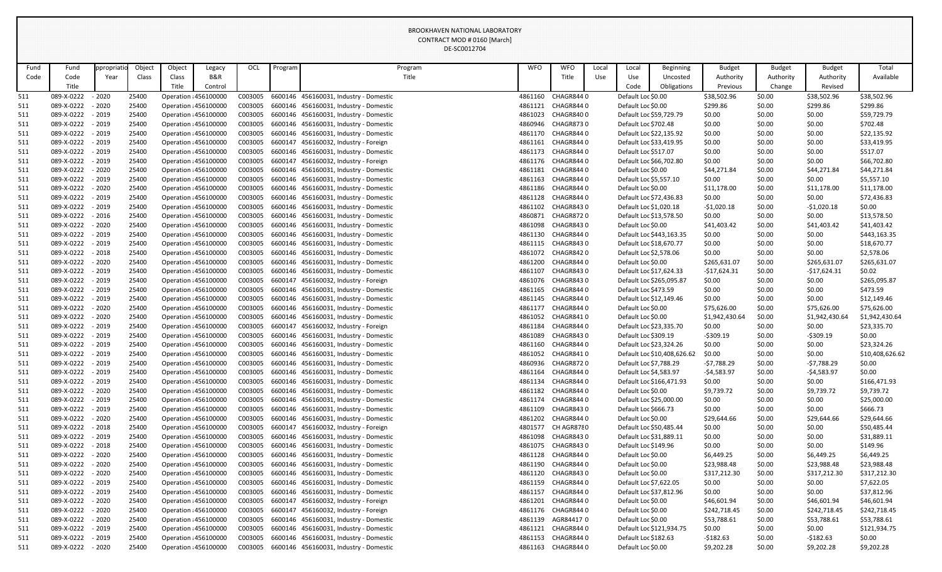|            |                          |                    |                |                       |                                                |                    |         |                                                                                  | DE-3COUTZ704 |                    |                        |       |                                            |                             |                         |                  |                          |                        |
|------------|--------------------------|--------------------|----------------|-----------------------|------------------------------------------------|--------------------|---------|----------------------------------------------------------------------------------|--------------|--------------------|------------------------|-------|--------------------------------------------|-----------------------------|-------------------------|------------------|--------------------------|------------------------|
| Fund       | Fund                     | ppropriati         | Object         | Object                | Legacy                                         | OCL                | Program |                                                                                  | Program      | <b>WFO</b>         | <b>WFO</b>             | Local | Local                                      | <b>Beginning</b>            | <b>Budget</b>           | <b>Budget</b>    | <b>Budget</b>            | Total                  |
| Code       | Code                     | Year               | Class          | Class                 | B&R                                            |                    |         |                                                                                  | Title        |                    | Title                  | Use   | Use                                        | Uncosted                    | Authority               | Authority        | Authority                | Available              |
|            | Title                    |                    |                | Title                 | Control                                        |                    |         |                                                                                  |              |                    |                        |       | Code                                       | Obligations                 | Previous                | Change           | Revised                  |                        |
| 511        | 089-X-0222               | $-2020$            | 25400          | Operation : 456100000 |                                                | C003005            |         | 6600146 456160031, Industry - Domestic                                           |              | 4861160            | CHAGR8440              |       | Default Loc \$0.00                         |                             | \$38,502.96             | \$0.00           | \$38,502.96              | \$38,502.96            |
| 511        | 089-X-0222               | $-2020$            | 25400          |                       | Operation : 456100000                          | C003005            |         | 6600146 456160031, Industry - Domestic                                           |              | 4861121            | CHAGR8440              |       | Default Loc \$0.00                         |                             | \$299.86                | \$0.00           | \$299.86                 | \$299.86               |
| 511        | 089-X-0222               | $-2019$            | 25400          |                       | Operation : 456100000                          | C003005            |         | 6600146 456160031, Industry - Domestic                                           |              | 4861023            | CHAGR8400              |       | Default Loc \$59,729.79                    |                             | \$0.00                  | \$0.00           | \$0.00                   | \$59,729.79            |
| 511        | 089-X-0222               | $-2019$            | 25400          |                       | Operation : 456100000                          | C003005            |         | 6600146 456160031, Industry - Domestic                                           |              | 4860946            | CHAGR8730              |       | Default Loc \$702.48                       |                             | \$0.00                  | \$0.00           | \$0.00                   | \$702.48               |
| 511        | 089-X-0222               | $-2019$            | 25400          | Operation : 456100000 |                                                | C003005            |         | 6600146 456160031, Industry - Domestic                                           |              | 4861170            | CHAGR8440              |       | Default Loc \$22,135.92                    |                             | \$0.00                  | \$0.00           | \$0.00                   | \$22,135.92            |
| 511        | 089-X-0222               | $-2019$            | 25400          | Operation : 456100000 |                                                | C003005            | 6600147 | 456160032, Industry - Foreign                                                    |              | 4861161            | CHAGR8440              |       | Default Loc \$33,419.95                    |                             | \$0.00                  | \$0.00           | \$0.00                   | \$33,419.95            |
| 511        | 089-X-0222               | $-2019$            | 25400          |                       | Operation : 456100000                          | C003005            |         | 6600146 456160031, Industry - Domestic                                           |              | 4861173            | CHAGR8440              |       | Default Loc \$517.07                       |                             | \$0.00                  | \$0.00           | \$0.00                   | \$517.07               |
| 511        | 089-X-0222               | $-2019$            | 25400          |                       | Operation : 456100000                          | C003005            | 6600147 | 456160032, Industry - Foreign                                                    |              | 4861176            | CHAGR8440              |       | Default Loc \$66,702.80                    |                             | \$0.00                  | \$0.00           | \$0.00                   | \$66,702.80            |
| 511        | 089-X-0222               | $-2020$            | 25400          |                       | Operation : 456100000                          | C003005            |         | 6600146 456160031, Industry - Domestic                                           |              | 4861181            | CHAGR8440              |       | Default Loc \$0.00                         |                             | \$44,271.84             | \$0.00           | \$44,271.84              | \$44,271.84            |
| 511        | 089-X-0222               | $-2019$            | 25400          | Operation : 456100000 |                                                | C003005            |         | 6600146 456160031, Industry - Domestic                                           |              | 4861163            | CHAGR8440              |       | Default Loc \$5,557.10                     |                             | \$0.00                  | \$0.00           | \$0.00                   | \$5,557.10             |
| 511        | 089-X-0222               | $-2020$            | 25400          |                       | Operation : 456100000                          | C003005            |         | 6600146 456160031, Industry - Domestic                                           |              | 4861186            | CHAGR8440              |       | Default Loc \$0.00                         |                             | \$11,178.00             | \$0.00           | \$11,178.00              | \$11,178.00            |
| 511        | 089-X-0222               | $-2019$            | 25400          |                       | Operation : 456100000                          | C003005            |         | 6600146 456160031, Industry - Domestic                                           |              | 4861128            | CHAGR8440              |       | Default Loc \$72,436.83                    |                             | \$0.00                  | \$0.00           | \$0.00                   | \$72,436.83            |
| 511        | 089-X-0222               | $-2019$            | 25400          | Operation : 456100000 |                                                | C003005            |         | 6600146 456160031, Industry - Domestic                                           |              | 4861102            | CHAGR8430              |       | Default Loc \$1,020.18                     |                             | $-51,020.18$            | \$0.00           | $-$1,020.18$             | \$0.00                 |
| 511        | 089-X-0222               | $-2016$            | 25400          | Operation : 456100000 |                                                | C003005            |         | 6600146 456160031, Industry - Domestic                                           |              | 4860871            | CHAGR8720              |       | Default Loc \$13,578.50                    |                             | \$0.00                  | \$0.00           | \$0.00                   | \$13,578.50            |
| 511        | 089-X-0222               | $-2020$            | 25400          |                       | Operation : 456100000                          | C003005            |         | 6600146 456160031, Industry - Domestic                                           |              | 4861098            | CHAGR8430              |       | Default Loc \$0.00                         |                             | \$41,403.42             | \$0.00           | \$41,403.42              | \$41,403.42            |
| 511        | 089-X-0222               | $-2019$            | 25400          | Operation : 456100000 |                                                | C003005            |         | 6600146 456160031, Industry - Domestic                                           |              | 4861130            | CHAGR8440              |       |                                            | Default Loc \$443,163.35    | \$0.00                  | \$0.00           | \$0.00                   | \$443,163.35           |
| 511        | 089-X-0222               | $-2019$            | 25400          | Operation : 456100000 |                                                | C003005            |         | 6600146 456160031, Industry - Domestic                                           |              | 4861115            | CHAGR8430              |       | Default Loc \$18,670.77                    |                             | \$0.00                  | \$0.00           | \$0.00                   | \$18,670.77            |
| 511        | 089-X-0222               | $-2018$            | 25400          |                       | Operation : 456100000                          | C003005            |         | 6600146 456160031, Industry - Domestic                                           |              | 4861072            | CHAGR8420              |       | Default Loc \$2,578.06                     |                             | \$0.00                  | \$0.00           | \$0.00                   | \$2,578.06             |
| 511        | 089-X-0222<br>089-X-0222 | $-2020$<br>$-2019$ | 25400<br>25400 |                       | Operation : 456100000                          | C003005            |         | 6600146 456160031, Industry - Domestic<br>6600146 456160031, Industry - Domestic |              | 4861200            | CHAGR8440<br>CHAGR8430 |       | Default Loc \$0.00                         |                             | \$265,631.07            | \$0.00           | \$265,631.07             | \$265,631.07<br>\$0.02 |
| 511        | 089-X-0222               | $-2019$            | 25400          | Operation : 456100000 | Operation : 456100000                          | C003005<br>C003005 | 6600147 | 456160032, Industry - Foreign                                                    |              | 4861107<br>4861076 | CHAGR8430              |       | Default Loc \$17,624.33                    | Default Loc \$265,095.87    | $-$17,624.31$<br>\$0.00 | \$0.00<br>\$0.00 | $-517,624.31$<br>\$0.00  | \$265,095.87           |
| 511<br>511 | 089-X-0222               | $-2019$            | 25400          | Operation : 456100000 |                                                | C003005            |         | 6600146 456160031, Industry - Domestic                                           |              | 4861165            | CHAGR8440              |       | Default Loc \$473.59                       |                             | \$0.00                  | \$0.00           | \$0.00                   | \$473.59               |
| 511        | 089-X-0222               | $-2019$            | 25400          |                       | Operation : 456100000                          | C003005            |         | 6600146 456160031, Industry - Domestic                                           |              | 4861145            | CHAGR8440              |       | Default Loc \$12,149.46                    |                             | \$0.00                  | \$0.00           | \$0.00                   | \$12,149.46            |
| 511        | 089-X-0222               | $-2020$            | 25400          |                       | Operation : 456100000                          | C003005            |         | 6600146 456160031, Industry - Domestic                                           |              | 4861177            | CHAGR8440              |       | Default Loc \$0.00                         |                             | \$75,626.00             | \$0.00           | \$75,626.00              | \$75,626.00            |
| 511        | 089-X-0222               | $-2020$            | 25400          | Operation : 456100000 |                                                | C003005            |         | 6600146 456160031, Industry - Domestic                                           |              | 4861052            | CHAGR8410              |       | Default Loc \$0.00                         |                             | \$1,942,430.64          | \$0.00           | \$1,942,430.64           | \$1,942,430.64         |
| 511        | 089-X-0222               | $-2019$            | 25400          | Operation : 456100000 |                                                | C003005            |         | 6600147 456160032, Industry - Foreign                                            |              | 4861184            | CHAGR8440              |       | Default Loc \$23,335.70                    |                             | \$0.00                  | \$0.00           | \$0.00                   | \$23,335.70            |
| 511        | 089-X-0222               | - 2019             | 25400          |                       | Operation : 456100000                          | C003005            |         | 6600146 456160031, Industry - Domestic                                           |              | 4861089            | CHAGR8430              |       | Default Loc \$309.19                       |                             | $-5309.19$              | \$0.00           | $-5309.19$               | \$0.00                 |
| 511        | 089-X-0222               | $-2019$            | 25400          |                       | Operation : 456100000                          | C003005            |         | 6600146 456160031, Industry - Domestic                                           |              | 4861160            | CHAGR8440              |       | Default Loc \$23,324.26                    |                             | \$0.00                  | \$0.00           | \$0.00                   | \$23,324.26            |
| 511        | 089-X-0222               | $-2019$            | 25400          |                       | Operation : 456100000                          | C003005            |         | 6600146 456160031, Industry - Domestic                                           |              | 4861052            | CHAGR8410              |       |                                            | Default Loc \$10,408,626.62 | \$0.00                  | \$0.00           | \$0.00                   | \$10,408,626.62        |
| 511        | 089-X-0222               | $-2019$            | 25400          |                       | Operation : 456100000                          | C003005            |         | 6600146 456160031, Industry - Domestic                                           |              | 4860936            | CHAGR8720              |       | Default Loc \$7,788.29                     |                             | -\$7,788.29             | \$0.00           | $-57,788.29$             | \$0.00                 |
| 511        | 089-X-0222               | $-2019$            | 25400          |                       | Operation : 456100000                          | C003005            |         | 6600146 456160031, Industry - Domestic                                           |              | 4861164            | CHAGR8440              |       | Default Loc \$4,583.97                     |                             | -\$4,583.97             | \$0.00           | $-54,583.97$             | \$0.00                 |
| 511        | 089-X-0222               | $-2019$            | 25400          |                       | Operation : 456100000                          | C003005            |         | 6600146 456160031, Industry - Domestic                                           |              | 4861134            | CHAGR8440              |       |                                            | Default Loc \$166,471.93    | \$0.00                  | \$0.00           | \$0.00                   | \$166,471.93           |
| 511        | 089-X-0222               | $-2020$            | 25400          |                       | Operation : 456100000                          | C003005            |         | 6600146 456160031, Industry - Domestic                                           |              | 4861182            | CHAGR8440              |       | Default Loc \$0.00                         |                             | \$9,739.72              | \$0.00           | \$9,739.72               | \$9,739.72             |
| 511        | 089-X-0222               | $-2019$            | 25400          |                       | Operation : 456100000                          | C003005            |         | 6600146 456160031, Industry - Domestic                                           |              | 4861174            | CHAGR8440              |       | Default Loc \$25,000.00                    |                             | \$0.00                  | \$0.00           | \$0.00                   | \$25,000.00            |
| 511        | 089-X-0222               | $-2019$            | 25400          |                       | Operation : 456100000                          | C003005            |         | 6600146 456160031, Industry - Domestic                                           |              | 4861109            | CHAGR8430              |       | Default Loc \$666.73                       |                             | \$0.00                  | \$0.00           | \$0.00                   | \$666.73               |
| 511        | 089-X-0222               | $-2020$            | 25400          |                       | Operation : 456100000                          | C003005            |         | 6600146 456160031, Industry - Domestic                                           |              | 4861202            | CHAGR8440              |       | Default Loc \$0.00                         |                             | \$29,644.66             | \$0.00           | \$29,644.66              | \$29,644.66            |
| 511        | 089-X-0222               | $-2018$            | 25400          |                       | Operation : 456100000                          | C003005            |         | 6600147 456160032, Industry - Foreign                                            |              | 4801577            | CH AGR8780             |       | Default Loc \$50,485.44                    |                             | \$0.00                  | \$0.00           | \$0.00                   | \$50,485.44            |
| 511        | 089-X-0222               | $-2019$            | 25400          |                       | Operation : 456100000                          | C003005            |         | 6600146 456160031, Industry - Domestic                                           |              | 4861098            | CHAGR8430              |       | Default Loc \$31,889.11                    |                             | \$0.00                  | \$0.00           | \$0.00                   | \$31,889.11            |
| 511        | 089-X-0222               | $-2018$            | 25400          |                       | Operation : 456100000                          | C003005            |         | 6600146 456160031, Industry - Domestic                                           |              | 4861075            | CHAGR8430              |       | Default Loc \$149.96                       |                             | \$0.00                  | \$0.00           | \$0.00                   | \$149.96               |
| 511        | 089-X-0222               | $-2020$            | 25400          |                       | Operation : 456100000                          | C003005            |         | 6600146 456160031, Industry - Domestic                                           |              | 4861128            | CHAGR8440              |       | Default Loc \$0.00                         |                             | \$6,449.25              | \$0.00           | \$6,449.25               | \$6,449.25             |
| 511        | 089-X-0222               | $-2020$            | 25400          |                       | Operation : 456100000                          | C003005            |         | 6600146 456160031, Industry - Domestic                                           |              | 4861190            | CHAGR8440              |       | Default Loc \$0.00                         |                             | \$23,988.48             | \$0.00           | \$23,988.48              | \$23,988.48            |
| 511        | 089-X-0222               | $-2020$            | 25400          |                       | Operation : 456100000                          | C003005            |         | 6600146 456160031, Industry - Domestic                                           |              | 4861120            | CHAGR8430              |       | Default Loc \$0.00                         |                             | \$317,212.30            | \$0.00           | \$317,212.30             | \$317,212.30           |
| 511        | 089-X-0222               | $-2019$            | 25400          |                       | Operation : 456100000                          | C003005            |         | 6600146 456160031, Industry - Domestic                                           |              | 4861159            | CHAGR8440              |       | Default Loc \$7,622.05                     |                             | \$0.00                  | \$0.00           | \$0.00                   | \$7,622.05             |
| 511        | 089-X-0222               | $-2019$            | 25400          |                       | Operation : 456100000                          | C003005            |         | 6600146 456160031, Industry - Domestic                                           |              | 4861157            | CHAGR8440              |       | Default Loc \$37,812.96                    |                             | \$0.00                  | \$0.00           | \$0.00                   | \$37,812.96            |
| 511        | 089-X-0222               | $-2020$            | 25400          |                       | Operation : 456100000                          | C003005            | 6600147 | 456160032, Industry - Foreign                                                    |              | 4861201            | CHAGR8440              |       | Default Loc \$0.00                         |                             | \$46,601.94             | \$0.00           | \$46,601.94              | \$46,601.94            |
| 511        | 089-X-0222               | $-2020$            | 25400          | Operation : 456100000 |                                                | C003005            |         | 6600147 456160032, Industry - Foreign                                            |              | 4861176            | CHAGR8440              |       | Default Loc \$0.00                         |                             | \$242,718.45            | \$0.00           | \$242,718.45             | \$242,718.45           |
| 511        | 089-X-0222               | $-2020$            | 25400          |                       | Operation : 456100000                          | C003005            |         | 6600146 456160031, Industry - Domestic                                           |              | 4861139            | AGR844170              |       | Default Loc \$0.00                         |                             | \$53,788.61             | \$0.00           | \$53,788.61              | \$53,788.61            |
| 511        | 089-X-0222<br>089-X-0222 | $-2019$<br>$-2019$ | 25400          |                       | Operation : 456100000                          | C003005<br>C003005 |         | 6600146 456160031, Industry - Domestic<br>6600146 456160031, Industry - Domestic |              | 4861121            | CHAGR8440<br>CHAGR8440 |       |                                            | Default Loc \$121,934.75    | \$0.00                  | \$0.00           | \$0.00                   | \$121,934.75           |
| 511        | 089-X-0222               | $-2020$            | 25400<br>25400 |                       | Operation : 456100000<br>Operation : 456100000 | C003005            |         | 6600146 456160031, Industry - Domestic                                           |              | 4861153<br>4861163 | CHAGR8440              |       | Default Loc \$182.63<br>Default Loc \$0.00 |                             | -\$182.63<br>\$9,202.28 | \$0.00<br>\$0.00 | $-5182.63$<br>\$9,202.28 | \$0.00<br>\$9,202.28   |
| 511        |                          |                    |                |                       |                                                |                    |         |                                                                                  |              |                    |                        |       |                                            |                             |                         |                  |                          |                        |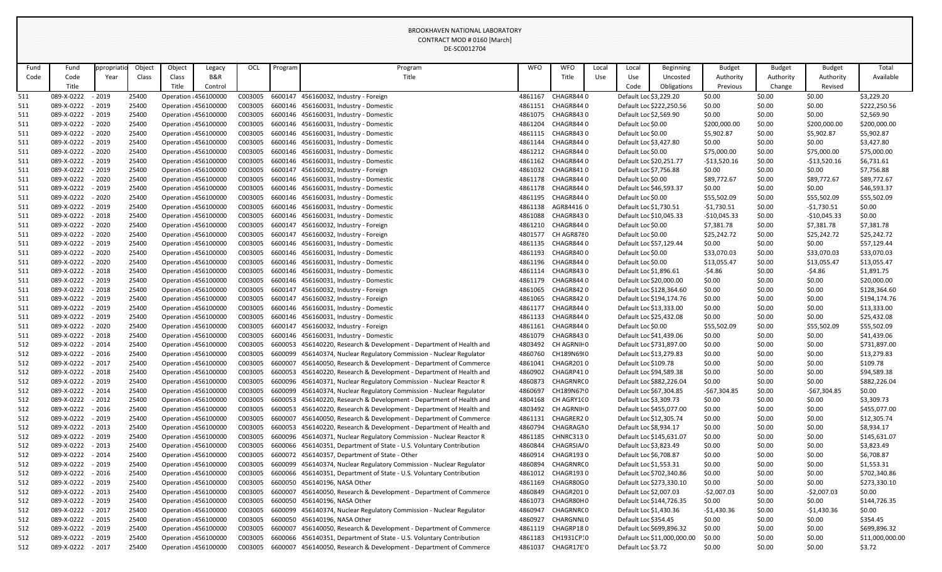|            |                                 |                    |                |                                                |         |                    |         | DE-3COOTZ704                                                                                        |                    |                         |       |                                              |                             |                             |                  |                             |                          |
|------------|---------------------------------|--------------------|----------------|------------------------------------------------|---------|--------------------|---------|-----------------------------------------------------------------------------------------------------|--------------------|-------------------------|-------|----------------------------------------------|-----------------------------|-----------------------------|------------------|-----------------------------|--------------------------|
| Fund       | Fund                            | ppropriati         | Object         | Object                                         | Legacy  | OCL                | Program | Program                                                                                             | <b>WFO</b>         | <b>WFO</b>              | Local | Local                                        | <b>Beginning</b>            | <b>Budget</b>               | <b>Budget</b>    | <b>Budget</b>               | Total                    |
| Code       | Code                            | Year               | Class          | Class                                          | B&R     |                    |         | Title                                                                                               |                    | Title                   | Use   | Use                                          | Uncosted                    | Authority                   | Authority        | Authority                   | Available                |
|            | Title                           |                    |                | Title                                          | Control |                    |         |                                                                                                     |                    |                         |       | Code                                         | Obligations                 | Previous                    | Change           | Revised                     |                          |
| 511        | 089-X-0222                      | $-2019$            | 25400          | Operation : 456100000                          |         | C003005            |         | 6600147 456160032, Industry - Foreign                                                               | 4861167            | CHAGR8440               |       | Default Loc \$3,229.20                       |                             | \$0.00                      | \$0.00           | \$0.00                      | \$3,229.20               |
| 511        | 089-X-0222 - 2019               |                    | 25400          | Operation : 456100000                          |         | C003005            |         | 6600146 456160031, Industry - Domestic                                                              | 4861151            | CHAGR8440               |       |                                              | Default Loc \$222,250.56    | \$0.00                      | \$0.00           | \$0.00                      | \$222,250.56             |
| 511        | 089-X-0222                      | $-2019$            | 25400          | Operation : 456100000                          |         | C003005            |         | 6600146 456160031, Industry - Domestic                                                              | 4861075            | CHAGR8430               |       | Default Loc \$2,569.90                       |                             | \$0.00                      | \$0.00           | \$0.00                      | \$2,569.90               |
| 511        | 089-X-0222                      | $-2020$            | 25400          | Operation : 456100000                          |         | C003005            |         | 6600146 456160031, Industry - Domestic                                                              | 4861204            | CHAGR8440               |       | Default Loc \$0.00                           |                             | \$200,000.00                | \$0.00           | \$200,000.00                | \$200,000.00             |
| 511        | 089-X-0222                      | $-2020$            | 25400          | Operation : 456100000                          |         | C003005            |         | 6600146 456160031, Industry - Domestic                                                              | 4861115            | CHAGR8430               |       | Default Loc \$0.00                           |                             | \$5,902.87                  | \$0.00           | \$5,902.87                  | \$5,902.87               |
| 511        | 089-X-0222                      | $-2019$            | 25400          | Operation : 456100000                          |         | C003005            |         | 6600146 456160031, Industry - Domestic                                                              | 4861144            | CHAGR8440               |       | Default Loc \$3,427.80                       |                             | \$0.00                      | \$0.00           | \$0.00                      | \$3,427.80               |
| 511        | 089-X-0222                      | $-2020$            | 25400          | Operation : 456100000                          |         | C003005            |         | 6600146 456160031, Industry - Domestic                                                              | 4861212            | CHAGR8440               |       | Default Loc \$0.00                           |                             | \$75,000.00                 | \$0.00           | \$75,000.00                 | \$75,000.00              |
| 511        | 089-X-0222                      | $-2019$            | 25400          | Operation : 456100000                          |         | C003005            |         | 6600146 456160031, Industry - Domestic                                                              | 4861162            | CHAGR8440               |       | Default Loc \$20,251.77                      |                             | $-$13,520.16$               | \$0.00           | $-$13,520.16$               | \$6,731.61               |
| 511        | 089-X-0222                      | $-2019$            | 25400          | Operation : 456100000                          |         | C003005            |         | 6600147 456160032, Industry - Foreign                                                               | 4861032            | CHAGR8410               |       | Default Loc \$7,756.88                       |                             | \$0.00                      | \$0.00           | \$0.00                      | \$7,756.88               |
| 511        | 089-X-0222                      | $-2020$            | 25400          | Operation : 456100000                          |         | C003005            |         | 6600146 456160031, Industry - Domestic                                                              | 4861178            | CHAGR8440               |       | Default Loc \$0.00                           |                             | \$89,772.67                 | \$0.00           | \$89,772.67                 | \$89,772.67              |
| 511        | 089-X-0222                      | $-2019$            | 25400          | Operation : 456100000                          |         | C003005            |         | 6600146 456160031, Industry - Domestic                                                              | 4861178            | CHAGR8440               |       | Default Loc \$46,593.37                      |                             | \$0.00                      | \$0.00           | \$0.00                      | \$46,593.37              |
| 511        | 089-X-0222<br>089-X-0222        | $-2020$<br>$-2019$ | 25400<br>25400 | Operation : 456100000<br>Operation : 456100000 |         | C003005<br>C003005 |         | 6600146 456160031, Industry - Domestic<br>6600146 456160031, Industry - Domestic                    | 4861195<br>4861138 | CHAGR8440<br>AGR84416 0 |       | Default Loc \$0.00<br>Default Loc \$1,730.51 |                             | \$55,502.09<br>$-51,730.51$ | \$0.00           | \$55,502.09<br>$-51,730.51$ | \$55,502.09<br>\$0.00    |
| 511<br>511 | 089-X-0222                      | $-2018$            | 25400          | Operation : 456100000                          |         | C003005            |         | 6600146 456160031, Industry - Domestic                                                              | 4861088            | CHAGR8430               |       | Default Loc \$10,045.33                      |                             | $-$10,045.33$               | \$0.00<br>\$0.00 | $-$10,045.33$               | \$0.00                   |
| 511        | 089-X-0222 - 2020               |                    | 25400          | Operation : 456100000                          |         | C003005            |         | 6600147 456160032, Industry - Foreign                                                               | 4861210            | CHAGR8440               |       | Default Loc \$0.00                           |                             | \$7,381.78                  | \$0.00           | \$7,381.78                  | \$7,381.78               |
| 511        | 089-X-0222                      | $-2020$            | 25400          | Operation : 456100000                          |         | C003005            | 6600147 | 456160032, Industry - Foreign                                                                       | 4801577            | CH AGR8780              |       | Default Loc \$0.00                           |                             | \$25,242.72                 | \$0.00           | \$25,242.72                 | \$25,242.72              |
| 511        | 089-X-0222                      | $-2019$            | 25400          | Operation : 456100000                          |         | C003005            |         | 6600146 456160031, Industry - Domestic                                                              | 4861135            | CHAGR8440               |       | Default Loc \$57,129.44                      |                             | \$0.00                      | \$0.00           | \$0.00                      | \$57,129.44              |
| 511        | 089-X-0222                      | $-2020$            | 25400          | Operation : 456100000                          |         | C003005            |         | 6600146 456160031, Industry - Domestic                                                              | 4861193            | CHAGR8400               |       | Default Loc \$0.00                           |                             | \$33,070.03                 | \$0.00           | \$33,070.03                 | \$33,070.03              |
| 511        | 089-X-0222                      | $-2020$            | 25400          | Operation : 456100000                          |         | C003005            |         | 6600146 456160031, Industry - Domestic                                                              | 4861196            | CHAGR8440               |       | Default Loc \$0.00                           |                             | \$13,055.47                 | \$0.00           | \$13,055.47                 | \$13,055.47              |
| 511        | 089-X-0222 - 2018               |                    | 25400          | Operation : 456100000                          |         | C003005            |         | 6600146 456160031, Industry - Domestic                                                              | 4861114            | CHAGR8430               |       | Default Loc \$1,896.61                       |                             | $-54.86$                    | \$0.00           | $-54.86$                    | \$1,891.75               |
| 511        | 089-X-0222                      | $-2019$            | 25400          | Operation : 456100000                          |         | C003005            |         | 6600146 456160031, Industry - Domestic                                                              | 4861179            | CHAGR8440               |       | Default Loc \$20,000.00                      |                             | \$0.00                      | \$0.00           | \$0.00                      | \$20,000.00              |
| 511        | 089-X-0222                      | $-2018$            | 25400          | Operation : 456100000                          |         | C003005            | 6600147 | 456160032, Industry - Foreign                                                                       | 4861065            | CHAGR8420               |       |                                              | Default Loc \$128,364.60    | \$0.00                      | \$0.00           | \$0.00                      | \$128,364.60             |
| 511        | 089-X-0222 - 2019               |                    | 25400          | Operation : 456100000                          |         | C003005            | 6600147 | 456160032, Industry - Foreign                                                                       | 4861065            | CHAGR8420               |       |                                              | Default Loc \$194,174.76    | \$0.00                      | \$0.00           | \$0.00                      | \$194,174.76             |
| 511        | 089-X-0222                      | $-2019$            | 25400          | Operation : 456100000                          |         | C003005            |         | 6600146 456160031, Industry - Domestic                                                              | 4861177            | CHAGR8440               |       | Default Loc \$13,333.00                      |                             | \$0.00                      | \$0.00           | \$0.00                      | \$13,333.00              |
| 511        | 089-X-0222                      | $-2019$            | 25400          | Operation : 456100000                          |         | C003005            |         | 6600146 456160031, Industry - Domestic                                                              | 4861133            | CHAGR8440               |       | Default Loc \$25,432.08                      |                             | \$0.00                      | \$0.00           | \$0.00                      | \$25,432.08              |
| 511        | 089-X-0222                      | $-2020$            | 25400          | Operation : 456100000                          |         | C003005            |         | 6600147 456160032, Industry - Foreign                                                               | 4861161            | CHAGR8440               |       | Default Loc \$0.00                           |                             | \$55,502.09                 | \$0.00           | \$55,502.09                 | \$55,502.09              |
| 511        | 089-X-0222                      | - 2018             | 25400          | Operation : 456100000                          |         | C003005            |         | 6600146 456160031, Industry - Domestic                                                              | 4861079            | CHAGR8430               |       | Default Loc \$41,439.06                      |                             | \$0.00                      | \$0.00           | \$0.00                      | \$41,439.06              |
| 512        | 089-X-0222 - 2014               |                    | 25400          | Operation : 456100000                          |         | C003005            | 6600053 | 456140220, Research & Development - Department of Health and                                        | 4803492            | CH AGRNIF 0             |       |                                              | Default Loc \$731,897.00    | \$0.00                      | \$0.00           | \$0.00                      | \$731,897.00             |
| 512        | 089-X-0222                      | $-2016$            | 25400          | Operation : 456100000                          |         | C003005            | 6600099 | 456140374, Nuclear Regulatory Commission - Nuclear Regulator                                        | 4860760            | CH189N6910              |       | Default Loc \$13,279.83                      |                             | \$0.00                      | \$0.00           | \$0.00                      | \$13,279.83              |
| 512        | 089-X-0222                      | $-2017$            | 25400          | Operation : 456100000                          |         | C003005            | 6600007 | 456140050, Research & Development - Department of Commerce                                          | 4861041            | CHAGR2010               |       | Default Loc \$109.78                         |                             | \$0.00                      | \$0.00           | \$0.00                      | \$109.78                 |
| 512        | 089-X-0222                      | $-2018$            | 25400          | Operation : 456100000                          |         | C003005            |         | 6600053 456140220, Research & Development - Department of Health and                                | 4860902            | CHAGRP410               |       | Default Loc \$94,589.38                      |                             | \$0.00                      | \$0.00           | \$0.00                      | \$94,589.38              |
| 512        | 089-X-0222                      | $-2019$            | 25400          | Operation : 456100000                          |         | C003005            | 6600096 | 456140371, Nuclear Regulatory Commission - Nuclear Reactor R                                        | 4860873            | CHAGRNRC0               |       |                                              | Default Loc \$882,226.04    | \$0.00                      | \$0.00           | \$0.00                      | \$882,226.04             |
| 512        | 089-X-0222                      | $-2014$            | 25400          | Operation : 456100000                          |         | C003005            | 6600099 | 456140374, Nuclear Regulatory Commission - Nuclear Regulator                                        | 4860697            | CH189N67!0              |       | Default Loc \$67,304.85                      |                             | $-567,304.85$               | \$0.00           | $-567,304.85$               | \$0.00                   |
| 512        | 089-X-0222                      | $-2012$            | 25400          | Operation : 456100000                          |         | C003005            | 6600053 | 456140220, Research & Development - Department of Health and                                        | 4804168            | CH AGRY1(0              |       | Default Loc \$3,309.73                       |                             | \$0.00                      | \$0.00           | \$0.00                      | \$3,309.73               |
| 512        | 089-X-0222                      | $-2016$            | 25400          | Operation : 456100000                          |         | C003005            | 6600053 | 456140220, Research & Development - Department of Health and                                        | 4803492            | CH AGRNIF 0             |       |                                              | Default Loc \$455,077.00    | \$0.00                      | \$0.00           | \$0.00                      | \$455,077.00             |
| 512        | 089-X-0222                      | $-2019$            | 25400          | Operation : 456100000                          |         | C003005            |         | 6600007 456140050, Research & Development - Department of Commerce                                  | 4861131            | CHAGRER20               |       | Default Loc \$12,305.74                      |                             | \$0.00                      | \$0.00           | \$0.00                      | \$12,305.74              |
| 512        | 089-X-0222                      | $-2013$            | 25400          | Operation : 456100000                          |         | C003005            | 6600053 | 456140220, Research & Development - Department of Health and                                        | 4860794            | CHAGRAGN0               |       | Default Loc \$8,934.17                       |                             | \$0.00                      | \$0.00           | \$0.00                      | \$8,934.17               |
| 512        | 089-X-0222                      | $-2019$            | 25400          | Operation : 456100000                          |         | C003005            |         | 6600096 456140371, Nuclear Regulatory Commission - Nuclear Reactor R                                | 4861185            | <b>CHNRC3130</b>        |       |                                              | Default Loc \$145,631.07    | \$0.00                      | \$0.00           | \$0.00                      | \$145,631.07             |
| 512        | 089-X-0222 - 2013               |                    | 25400          | Operation : 456100000                          |         | C003005            |         | 6600066 456140351, Department of State - U.S. Voluntary Contribution                                | 4860844            | CHAGRSIA/0              |       | Default Loc \$3,823.49                       |                             | \$0.00                      | \$0.00           | \$0.00                      | \$3,823.49               |
| 512        | 089-X-0222                      | $-2014$            | 25400          | Operation : 456100000                          |         | C003005            |         | 6600072 456140357, Department of State - Other                                                      | 4860914            | CHAGR1930               |       | Default Loc \$6,708.87                       |                             | \$0.00                      | \$0.00           | \$0.00                      | \$6,708.87               |
| 512        | 089-X-0222                      | $-2019$            | 25400          | Operation : 456100000                          |         | C003005            |         | 6600099 456140374, Nuclear Regulatory Commission - Nuclear Regulator                                | 4860894            | CHAGRNRC0               |       | Default Loc \$1,553.31                       |                             | \$0.00                      | \$0.00           | \$0.00                      | \$1,553.31               |
| 512        | 089-X-0222                      | $-2016$            | 25400          | Operation : 456100000                          |         | C003005            |         | 6600066 456140351, Department of State - U.S. Voluntary Contribution                                | 4861012            | CHAGR1930               |       |                                              | Default Loc \$702,340.86    | \$0.00                      | \$0.00           | \$0.00                      | \$702,340.86             |
| 512        | 089-X-0222 - 2019               |                    | 25400          | Operation : 456100000                          |         | C003005            |         | 6600050 456140196, NASA Other                                                                       | 4861169            | CHAGR80G0               |       |                                              | Default Loc \$273,330.10    | \$0.00                      | \$0.00           | \$0.00                      | \$273,330.10             |
| 512        | 089-X-0222 - 2013               |                    | 25400          | Operation : 456100000                          |         | C003005            |         | 6600007 456140050, Research & Development - Department of Commerce                                  | 4860849            | CHAGR2010               |       | Default Loc \$2,007.03                       |                             | $-52,007.03$                | \$0.00           | $-52,007.03$                | \$0.00                   |
| 512        | 089-X-0222                      | $-2019$            | 25400          | Operation : 456100000                          |         | C003005            |         | 6600050 456140196, NASA Other                                                                       | 4861073            | CHAGR80H0               |       |                                              | Default Loc \$144,726.35    | \$0.00                      | \$0.00           | \$0.00                      | \$144,726.35             |
| 512        | 089-X-0222                      | $-2017$            | 25400          | Operation : 456100000                          |         | C003005            | 6600099 | 456140374, Nuclear Regulatory Commission - Nuclear Regulator                                        | 4860947            | CHAGRNRC0               |       | Default Loc \$1,430.36                       |                             | $-$1,430.36$                | \$0.00           | $-$1,430.36$                | \$0.00                   |
| 512<br>512 | 089-X-0222 - 2015<br>089-X-0222 | $-2019$            | 25400<br>25400 | Operation : 456100000<br>Operation : 456100000 |         | C003005<br>C003005 |         | 6600050 456140196, NASA Other<br>6600007 456140050, Research & Development - Department of Commerce | 4860927<br>4861119 | CHARGNNI 0<br>CHAGRP180 |       | Default Loc \$354.45                         | Default Loc \$699,896.32    | \$0.00<br>\$0.00            | \$0.00<br>\$0.00 | \$0.00<br>\$0.00            | \$354.45<br>\$699,896.32 |
| 512        | 089-X-0222                      | $-2019$            | 25400          | Operation : 456100000                          |         | C003005            |         | 6600066 456140351, Department of State - U.S. Voluntary Contribution                                | 4861183            | CH1931CP:0              |       |                                              | Default Loc \$11,000,000.00 | \$0.00                      | \$0.00           | \$0.00                      | \$11,000,000.00          |
|            | 089-X-0222 - 2017               |                    | 25400          | Operation : 456100000                          |         | C003005            | 6600007 | 456140050, Research & Development - Department of Commerce                                          | 4861037            | CHAGR17E 0              |       | Default Loc \$3.72                           |                             | \$0.00                      | \$0.00           | \$0.00                      | \$3.72                   |
| 512        |                                 |                    |                |                                                |         |                    |         |                                                                                                     |                    |                         |       |                                              |                             |                             |                  |                             |                          |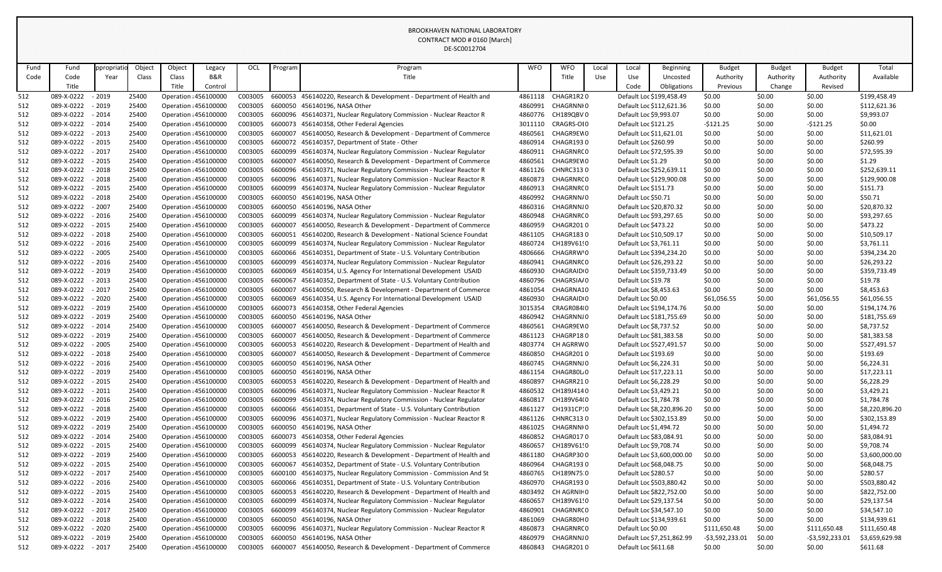|            |                                        |                    |                |                                                |         |                    |         | UL-JLUUIZ7U4                                                                                                                                 |                    |                         |       |                                                   |                                                      |                                  |                  |                        |                             |
|------------|----------------------------------------|--------------------|----------------|------------------------------------------------|---------|--------------------|---------|----------------------------------------------------------------------------------------------------------------------------------------------|--------------------|-------------------------|-------|---------------------------------------------------|------------------------------------------------------|----------------------------------|------------------|------------------------|-----------------------------|
| Fund       | Fund                                   | opropriati         | Object         | Object                                         | Legacy  | OCL                | Program | Program                                                                                                                                      | <b>WFO</b>         | <b>WFO</b>              | Local | Local                                             | <b>Beginning</b>                                     | <b>Budget</b>                    | <b>Budget</b>    | <b>Budget</b>          | Total                       |
| Code       | Code                                   | Year               | Class          | Class                                          | B&R     |                    |         | Title                                                                                                                                        |                    | Title                   | Use   | Use                                               | Uncosted                                             | Authority                        | Authority        | Authority              | Available                   |
|            | Title                                  |                    |                | Title                                          | Control |                    |         |                                                                                                                                              |                    |                         |       | Code                                              | Obligations                                          | Previous                         | Change           | Revised                |                             |
| 512        | 089-X-0222                             | $-2019$            | 25400          | Operation : 456100000                          |         | C003005            |         | 6600053 456140220, Research & Development - Department of Health and                                                                         | 4861118            | CHAGR1R20               |       |                                                   | Default Loc \$199,458.49                             | \$0.00                           | \$0.00           | \$0.00                 | \$199,458.49                |
| 512        | 089-X-0222                             | $-2019$            | 25400          | Operation : 456100000                          |         | C003005            |         | 6600050 456140196, NASA Other                                                                                                                | 4860991            | CHAGRNNI 0              |       |                                                   | Default Loc \$112,621.36                             | \$0.00                           | \$0.00           | \$0.00                 | \$112,621.36                |
| 512        | 089-X-0222                             | $-2014$            | 25400          | Operation : 456100000                          |         | C003005            |         | 6600096 456140371, Nuclear Regulatory Commission - Nuclear Reactor R                                                                         | 4860776            | CH189QBV0               |       | Default Loc \$9,993.07                            |                                                      | \$0.00                           | \$0.00           | \$0.00                 | \$9,993.07                  |
| 512        | 089-X-0222 - 2014                      |                    | 25400          | Operation : 456100000                          |         | C003005            |         | 6600073 456140358, Other Federal Agencies                                                                                                    | 3011110            | CRAGRS-OI0              |       | Default Loc \$121.25                              |                                                      | $-5121.25$                       | \$0.00           | $-5121.25$             | \$0.00                      |
| 512        | 089-X-0222                             | $-2013$            | 25400          | Operation : 456100000                          |         | C003005            | 6600007 | 456140050, Research & Development - Department of Commerce                                                                                   | 4860561            | CHAGR9EW0               |       | Default Loc \$11,621.01                           |                                                      | \$0.00                           | \$0.00           | \$0.00                 | \$11,621.01                 |
| 512        | 089-X-0222                             | $-2015$            | 25400          | Operation : 456100000                          |         | C003005            |         | 6600072 456140357, Department of State - Other                                                                                               | 4860914            | CHAGR1930               |       | Default Loc \$260.99                              |                                                      | \$0.00                           | \$0.00           | \$0.00                 | \$260.99                    |
| 512        | 089-X-0222                             | $-2017$            | 25400          | Operation : 456100000                          |         | C003005            |         | 6600099 456140374, Nuclear Regulatory Commission - Nuclear Regulator                                                                         | 4860911            | CHAGRNRC 0              |       | Default Loc \$72,595.39                           |                                                      | \$0.00                           | \$0.00           | \$0.00                 | \$72,595.39                 |
| 512        | 089-X-0222                             | $-2015$            | 25400          | Operation : 456100000                          |         | C003005            | 6600007 | 456140050, Research & Development - Department of Commerce                                                                                   | 4860561            | CHAGR9EW0               |       | Default Loc \$1.29                                |                                                      | \$0.00                           | \$0.00           | \$0.00                 | \$1.29                      |
| 512        | 089-X-0222                             | $-2018$            | 25400          | Operation : 456100000                          |         | C003005            |         | 6600096 456140371, Nuclear Regulatory Commission - Nuclear Reactor R                                                                         | 4861126            | CHNRC3130               |       |                                                   | Default Loc \$252,639.11                             | \$0.00                           | \$0.00           | \$0.00                 | \$252,639.11                |
| 512        | 089-X-0222                             | $-2018$            | 25400          | Operation : 456100000                          |         | C003005            |         | 6600096 456140371, Nuclear Regulatory Commission - Nuclear Reactor R                                                                         | 4860873            | CHAGRNRC0               |       |                                                   | Default Loc \$129,900.08                             | \$0.00                           | \$0.00           | \$0.00                 | \$129,900.08                |
| 512        | 089-X-0222                             | $-2015$            | 25400          | Operation : 456100000                          |         | C003005            |         | 6600099 456140374, Nuclear Regulatory Commission - Nuclear Regulator                                                                         | 4860913            | CHAGRNRC0               |       | Default Loc \$151.73                              |                                                      | \$0.00                           | \$0.00           | \$0.00                 | \$151.73                    |
| 512        | 089-X-0222                             | $-2018$            | 25400          | Operation : 456100000                          |         | C003005            |         | 6600050 456140196, NASA Other                                                                                                                | 4860992            | CHAGRNN/0               |       | Default Loc \$50.71                               |                                                      | \$0.00                           | \$0.00           | \$0.00                 | \$50.71                     |
| 512        | 089-X-0222                             | $-2007$            | 25400          | Operation : 456100000                          |         | C003005            | 6600050 | 456140196, NASA Other                                                                                                                        | 4860316            | CHAGRNNJ 0              |       | Default Loc \$20,870.32                           |                                                      | \$0.00                           | \$0.00           | \$0.00                 | \$20,870.32                 |
| 512        | 089-X-0222                             | $-2016$            | 25400          | Operation : 456100000                          |         | C003005            |         | 6600099 456140374, Nuclear Regulatory Commission - Nuclear Regulator                                                                         | 4860948            | CHAGRNRC0               |       | Default Loc \$93,297.65                           |                                                      | \$0.00                           | \$0.00           | \$0.00                 | \$93,297.65                 |
| 512        | 089-X-0222                             | $-2015$            | 25400          | Operation : 456100000                          |         | C003005            |         | 6600007 456140050, Research & Development - Department of Commerce                                                                           | 4860959            | CHAGR2010               |       | Default Loc \$473.22                              |                                                      | \$0.00                           | \$0.00           | \$0.00                 | \$473.22                    |
| 512        | 089-X-0222                             | $-2018$            | 25400          | Operation : 456100000                          |         | C003005            |         | 6600051 456140200, Research & Development - National Science Foundat                                                                         | 4861105            | CHAGR1830               |       | Default Loc \$10,509.17                           |                                                      | \$0.00                           | \$0.00           | \$0.00                 | \$10,509.17                 |
| 512        | 089-X-0222                             | $-2016$            | 25400          | Operation : 456100000                          |         | C003005            |         | 6600099 456140374, Nuclear Regulatory Commission - Nuclear Regulator                                                                         | 4860724            | CH189V61!0              |       | Default Loc \$3,761.11                            |                                                      | \$0.00                           | \$0.00           | \$0.00                 | \$3,761.11                  |
| 512        | 089-X-0222                             | $-2005$            | 25400          | Operation : 456100000                          |         | C003005            |         | 6600066 456140351, Department of State - U.S. Voluntary Contribution                                                                         | 4806666            | CHAGRRW'O               |       |                                                   | Default Loc \$394,234.20                             | \$0.00                           | \$0.00           | \$0.00                 | \$394,234.20                |
| 512        | 089-X-0222                             | $-2016$            | 25400          | Operation : 456100000                          |         | C003005            |         | 6600099 456140374, Nuclear Regulatory Commission - Nuclear Regulator                                                                         | 4860941            | CHAGRNRC 0              |       | Default Loc \$26,293.22                           |                                                      | \$0.00                           | \$0.00           | \$0.00                 | \$26,293.22                 |
| 512        | 089-X-0222 - 2019                      |                    | 25400          | Operation : 456100000                          |         | C003005            |         | 6600069 456140354, U.S. Agency For International Development USAID                                                                           | 4860930            | CHAGRAID <sub>10</sub>  |       |                                                   | Default Loc \$359,733.49                             | \$0.00                           | \$0.00           | \$0.00                 | \$359,733.49                |
| 512        | 089-X-0222                             | $-2013$            | 25400          | Operation : 456100000                          |         | C003005            | 6600067 | 456140352, Department of State - U.S. Voluntary Contribution                                                                                 | 4860796            | CHAGRSIA/0              |       | Default Loc \$19.78                               |                                                      | \$0.00                           | \$0.00           | \$0.00                 | \$19.78                     |
| 512        | 089-X-0222                             | $-2017$            | 25400          | Operation : 456100000                          |         | C003005            | 6600007 | 456140050, Research & Development - Department of Commerce                                                                                   | 4861054            | CHAGRNA10               |       | Default Loc \$8,453.63                            |                                                      | \$0.00                           | \$0.00           | \$0.00                 | \$8,453.63                  |
| 512        | 089-X-0222                             | $-2020$            | 25400          | Operation : 456100000                          |         | C003005            |         | 6600069 456140354, U.S. Agency For International Development USAID                                                                           | 4860930            | CHAGRAID <sub>10</sub>  |       | Default Loc \$0.00                                |                                                      | \$61,056.55                      | \$0.00           | \$61,056.55            | \$61,056.55                 |
| 512        | 089-X-0222                             | $-2019$            | 25400          | Operation : 456100000                          |         | C003005            |         | 6600073 456140358, Other Federal Agencies                                                                                                    | 3015354            | CRAGR084 0              |       |                                                   | Default Loc \$194,174.76                             | \$0.00                           | \$0.00           | \$0.00                 | \$194,174.76                |
| 512        | 089-X-0222                             | $-2019$            | 25400          | Operation : 456100000                          |         | C003005            |         | 6600050 456140196, NASA Other                                                                                                                | 4860942            | CHAGRNNJ0               |       |                                                   | Default Loc \$181,755.69                             | \$0.00                           | \$0.00           | \$0.00                 | \$181,755.69                |
| 512        | 089-X-0222                             | $-2014$            | 25400          | Operation : 456100000                          |         | C003005            | 6600007 | 456140050, Research & Development - Department of Commerce                                                                                   | 4860561            | CHAGR9EW0               |       | Default Loc \$8,737.52                            |                                                      | \$0.00                           | \$0.00           | \$0.00                 | \$8,737.52                  |
| 512        | 089-X-0222                             | - 2019             | 25400          | Operation : 456100000                          |         | C003005            | 6600007 | 456140050, Research & Development - Department of Commerce                                                                                   | 4861123            | CHAGRP180               |       | Default Loc \$81,383.58                           |                                                      | \$0.00                           | \$0.00           | \$0.00                 | \$81,383.58                 |
| 512        | 089-X-0222                             | $-2005$            | 25400          | Operation : 456100000                          |         | C003005            |         | 6600053 456140220, Research & Development - Department of Health and                                                                         | 4803774            | CH AGRRW0               |       |                                                   | Default Loc \$527,491.57                             | \$0.00                           | \$0.00           | \$0.00                 | \$527,491.57                |
| 512        | 089-X-0222                             | $-2018$            | 25400          | Operation : 456100000                          |         | C003005            | 6600007 | 456140050, Research & Development - Department of Commerce                                                                                   | 4860850            | CHAGR2010               |       | Default Loc \$193.69                              |                                                      | \$0.00                           | \$0.00           | \$0.00                 | \$193.69                    |
| 512        | 089-X-0222                             | $-2016$            | 25400          | Operation : 456100000                          |         | C003005            |         | 6600050 456140196, NASA Other                                                                                                                | 4860745            | CHAGRNNJ0               |       | Default Loc \$6,224.31                            |                                                      | \$0.00                           | \$0.00           | \$0.00                 | \$6,224.31                  |
| 512        | 089-X-0222 - 2019                      |                    | 25400          | Operation : 456100000                          |         | C003005            |         | 6600050 456140196, NASA Other                                                                                                                | 4861154            | CHAGR80L0               |       | Default Loc \$17,223.11                           |                                                      | \$0.00                           | \$0.00           | \$0.00                 | \$17,223.11                 |
| 512        | 089-X-0222                             | $-2015$            | 25400          | Operation : 456100000                          |         | C003005            |         | 6600053 456140220, Research & Development - Department of Health and                                                                         | 4860897            | CHAGRR210               |       | Default Loc \$6,228.29                            |                                                      | \$0.00                           | \$0.00           | \$0.00                 | \$6,228.29                  |
| 512        | 089-X-0222 - 2011                      |                    | 25400          | Operation : 456100000                          |         | C003005            |         | 6600096 456140371, Nuclear Regulatory Commission - Nuclear Reactor R                                                                         | 4860532            | CH189J4140              |       | Default Loc \$3,429.21                            |                                                      | \$0.00                           | \$0.00           | \$0.00                 | \$3,429.21                  |
| 512        | 089-X-0222                             | $-2016$            | 25400          | Operation : 456100000                          |         | C003005            |         | 6600099 456140374, Nuclear Regulatory Commission - Nuclear Regulator                                                                         | 4860817            | CH189V64(0              |       | Default Loc \$1,784.78                            |                                                      | \$0.00                           | \$0.00           | \$0.00                 | \$1,784.78                  |
| 512        | 089-X-0222                             | $-2018$            | 25400          | Operation : 456100000                          |         | C003005            |         | 6600066 456140351, Department of State - U.S. Voluntary Contribution                                                                         | 4861127            | CH1931CP:0              |       |                                                   | Default Loc \$8,220,896.20                           | \$0.00                           | \$0.00           | \$0.00                 | \$8,220,896.20              |
| 512        | 089-X-0222 - 2019                      |                    | 25400          | Operation : 456100000                          |         | C003005            |         | 6600096 456140371, Nuclear Regulatory Commission - Nuclear Reactor R                                                                         | 4861126            | <b>CHNRC3130</b>        |       |                                                   | Default Loc \$302,153.89                             | \$0.00                           | \$0.00           | \$0.00                 | \$302,153.89                |
| 512<br>512 | 089-X-0222<br>089-X-0222               | $-2019$<br>$-2014$ | 25400<br>25400 | Operation : 456100000<br>Operation : 456100000 |         | C003005<br>C003005 |         | 6600050 456140196, NASA Other<br>6600073 456140358, Other Federal Agencies                                                                   | 4861025<br>4860852 | CHAGRNNI 0<br>CHAGR0170 |       | Default Loc \$1,494.72<br>Default Loc \$83,084.91 |                                                      | \$0.00                           | \$0.00<br>\$0.00 | \$0.00<br>\$0.00       | \$1,494.72<br>\$83,084.91   |
|            | 089-X-0222 - 2015                      |                    | 25400          | Operation : 456100000                          |         | C003005            |         | 6600099 456140374, Nuclear Regulatory Commission - Nuclear Regulator                                                                         | 4860657            | CH189V61!0              |       | Default Loc \$9,708.74                            |                                                      | \$0.00                           | \$0.00           |                        | \$9,708.74                  |
| 512        |                                        |                    |                |                                                |         |                    |         |                                                                                                                                              |                    | CHAGRP300               |       |                                                   | Default Loc \$3,600,000.00                           | \$0.00                           |                  | \$0.00                 |                             |
| 512        | 089-X-0222<br>089-X-0222               | $-2019$            | 25400          | Operation : 456100000                          |         | C003005            |         | 6600053 456140220, Research & Development - Department of Health and                                                                         | 4861180            |                         |       |                                                   |                                                      | \$0.00                           | \$0.00           | \$0.00                 | \$3,600,000.00              |
| 512        |                                        | $-2015$            | 25400          | Operation : 456100000                          |         | C003005            |         | 6600067 456140352, Department of State - U.S. Voluntary Contribution                                                                         | 4860964            | CHAGR1930               |       | Default Loc \$68,048.75                           |                                                      | \$0.00                           | \$0.00           | \$0.00                 | \$68,048.75                 |
| 512        | 089-X-0222                             | $-2017$            | 25400          | Operation : 456100000                          |         | C003005            |         | 6600100 456140375, Nuclear Regulatory Commission - Commission And St                                                                         | 4860765            | CH189N75.0<br>CHAGR1930 |       | Default Loc \$280.57                              |                                                      | \$0.00                           | \$0.00           | \$0.00                 | \$280.57                    |
| 512        | 089-X-0222 - 2016<br>089-X-0222 - 2015 |                    | 25400          | Operation : 456100000                          |         | C003005            |         | 6600066 456140351, Department of State - U.S. Voluntary Contribution<br>6600053 456140220, Research & Development - Department of Health and | 4860970            | CH AGRNIF 0             |       |                                                   | Default Loc \$503,880.42<br>Default Loc \$822,752.00 | \$0.00                           | \$0.00           | \$0.00                 | \$503,880.42                |
| 512        | 089-X-0222                             | $-2014$            | 25400          | Operation : 456100000<br>Operation : 456100000 |         | C003005            |         | 6600099 456140374, Nuclear Regulatory Commission - Nuclear Regulator                                                                         | 4803492            | CH189V61!0              |       | Default Loc \$29,137.54                           |                                                      | \$0.00                           | \$0.00           | \$0.00                 | \$822,752.00<br>\$29,137.54 |
| 512        | 089-X-0222                             | $-2017$            | 25400          |                                                |         | C003005            |         |                                                                                                                                              | 4860657            | CHAGRNRC0               |       | Default Loc \$34,547.10                           |                                                      | \$0.00                           | \$0.00<br>\$0.00 | \$0.00                 |                             |
| 512        | 089-X-0222 - 2018                      |                    | 25400          | Operation : 456100000                          |         | C003005<br>C003005 |         | 6600099 456140374, Nuclear Regulatory Commission - Nuclear Regulator<br>6600050 456140196, NASA Other                                        | 4860901            | CHAGR80H0               |       |                                                   | Default Loc \$134,939.61                             | \$0.00<br>\$0.00                 |                  | \$0.00                 | \$34,547.10<br>\$134,939.61 |
| 512        | 089-X-0222                             | $-2020$            | 25400<br>25400 | Operation : 456100000<br>Operation : 456100000 |         | C003005            |         | 6600096 456140371, Nuclear Regulatory Commission - Nuclear Reactor R                                                                         | 4861069<br>4860873 | CHAGRNRC0               |       | Default Loc \$0.00                                |                                                      |                                  | \$0.00<br>\$0.00 | \$0.00<br>\$111,650.48 | \$111,650.48                |
| 512<br>512 | 089-X-0222 - 2019                      |                    | 25400          | Operation : 456100000                          |         | C003005            |         | 6600050 456140196, NASA Other                                                                                                                | 4860979            | CHAGRNNJ0               |       |                                                   | Default Loc \$7,251,862.99                           | \$111,650.48<br>$-53,592,233.01$ | \$0.00           | $-53,592,233.01$       | \$3,659,629.98              |
|            | 089-X-0222 - 2017                      |                    | 25400          | Operation : 456100000                          |         | C003005            |         | 6600007 456140050, Research & Development - Department of Commerce                                                                           | 4860843            | CHAGR2010               |       | Default Loc \$611.68                              |                                                      | \$0.00                           |                  | \$0.00                 | \$611.68                    |
| 512        |                                        |                    |                |                                                |         |                    |         |                                                                                                                                              |                    |                         |       |                                                   |                                                      |                                  | \$0.00           |                        |                             |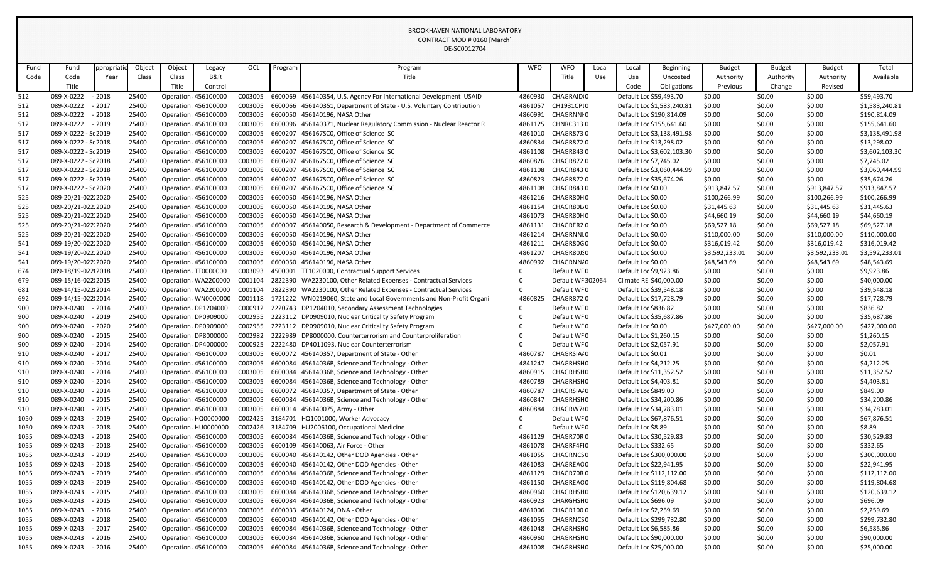|      |                      |            |        |                              |                       |         |         | DE-SCOULZ/04                                                         |            |                        |       |                         |                            |                |               |                |                |
|------|----------------------|------------|--------|------------------------------|-----------------------|---------|---------|----------------------------------------------------------------------|------------|------------------------|-------|-------------------------|----------------------------|----------------|---------------|----------------|----------------|
| Fund | Fund                 | ppropriati | Object | Object                       | Legacy                | OCL     | Program | Program                                                              | <b>WFO</b> | <b>WFO</b>             | Local | Local                   | Beginning                  | <b>Budget</b>  | <b>Budget</b> | <b>Budget</b>  | Total          |
| Code | Code                 | Year       | Class  | Class                        | B&R                   |         |         | Title                                                                |            | Title                  | Use   | Use                     | Uncosted                   | Authority      | Authority     | Authority      | Available      |
|      | Title                |            |        | Title                        | Control               |         |         |                                                                      |            |                        |       | Code                    | Obligations                | Previous       | Change        | Revised        |                |
| 512  | 089-X-0222           | $-2018$    | 25400  |                              | Operation : 456100000 | C003005 |         | 6600069 456140354, U.S. Agency For International Development USAID   | 4860930    | CHAGRAID <sub>10</sub> |       | Default Loc \$59,493.70 |                            | \$0.00         | \$0.00        | \$0.00         | \$59,493.70    |
| 512  | 089-X-0222           | $-2017$    | 25400  | Operation : 456100000        |                       | C003005 |         | 6600066 456140351, Department of State - U.S. Voluntary Contribution | 4861057    | CH1931CP:0             |       |                         | Default Loc \$1,583,240.81 | \$0.00         | \$0.00        | \$0.00         | \$1,583,240.81 |
| 512  | 089-X-0222           | $-2018$    | 25400  | Operation : 456100000        |                       | C003005 |         | 6600050 456140196, NASA Other                                        | 4860991    | CHAGRNNI 0             |       |                         | Default Loc \$190,814.09   | \$0.00         | \$0.00        | \$0.00         | \$190,814.09   |
| 512  | 089-X-0222 - 2019    |            | 25400  | Operation : 456100000        |                       | C003005 |         | 6600096 456140371, Nuclear Regulatory Commission - Nuclear Reactor R | 4861125    | <b>CHNRC3130</b>       |       |                         | Default Loc \$155,641.60   | \$0.00         | \$0.00        | \$0.00         | \$155,641.60   |
| 517  | 089-X-0222 - Sc 2019 |            | 25400  |                              | Operation : 456100000 | C003005 | 6600207 | 456167SC0, Office of Science SC                                      | 4861010    | CHAGR8730              |       |                         | Default Loc \$3,138,491.98 | \$0.00         | \$0.00        | \$0.00         | \$3,138,491.98 |
| 517  | 089-X-0222 - Sc 2018 |            | 25400  | Operation : 456100000        |                       | C003005 |         | 6600207 456167SC0, Office of Science SC                              | 4860834    | CHAGR8720              |       | Default Loc \$13,298.02 |                            | \$0.00         | \$0.00        | \$0.00         | \$13,298.02    |
| 517  | 089-X-0222 - Sc 2019 |            | 25400  | Operation : 456100000        |                       | C003005 | 6600207 | 456167SC0, Office of Science SC                                      | 4861108    | CHAGR8430              |       |                         | Default Loc \$3,602,103.30 | \$0.00         | \$0.00        | \$0.00         | \$3,602,103.30 |
| 517  | 089-X-0222 - Sc 2018 |            | 25400  | Operation : 456100000        |                       | C003005 | 6600207 | 456167SC0, Office of Science SC                                      | 4860826    | CHAGR8720              |       | Default Loc \$7,745.02  |                            | \$0.00         | \$0.00        | \$0.00         | \$7,745.02     |
| 517  | 089-X-0222 - Sc 2018 |            | 25400  | Operation : 456100000        |                       | C003005 |         | 6600207 456167SC0, Office of Science SC                              | 4861108    | CHAGR8430              |       |                         | Default Loc \$3,060,444.99 | \$0.00         | \$0.00        | \$0.00         | \$3,060,444.99 |
| 517  | 089-X-0222 - Sc 2019 |            | 25400  | Operation : 456100000        |                       | C003005 | 6600207 | 456167SC0, Office of Science SC                                      | 4860823    | CHAGR8720              |       | Default Loc \$35,674.26 |                            | \$0.00         | \$0.00        | \$0.00         | \$35,674.26    |
| 517  | 089-X-0222 - Sc 2020 |            | 25400  | Operation : 456100000        |                       | C003005 |         | 6600207 456167SC0, Office of Science SC                              | 4861108    | CHAGR8430              |       | Default Loc \$0.00      |                            | \$913,847.57   | \$0.00        | \$913,847.57   | \$913,847.57   |
| 525  | 089-20/21-022.2020   |            | 25400  | Operation : 456100000        |                       | C003005 |         | 6600050 456140196, NASA Other                                        | 4861216    | CHAGR80H0              |       | Default Loc \$0.00      |                            | \$100,266.99   | \$0.00        | \$100,266.99   | \$100,266.99   |
| 525  | 089-20/21-022.2020   |            | 25400  | Operation : 456100000        |                       | C003005 |         | 6600050 456140196, NASA Other                                        | 4861154    | CHAGR80L0              |       | Default Loc \$0.00      |                            | \$31,445.63    | \$0.00        | \$31,445.63    | \$31,445.63    |
| 525  | 089-20/21-022.2020   |            | 25400  | Operation : 456100000        |                       | C003005 |         | 6600050 456140196, NASA Other                                        | 4861073    | CHAGR80H0              |       | Default Loc \$0.00      |                            | \$44,660.19    | \$0.00        | \$44,660.19    | \$44,660.19    |
| 525  | 089-20/21-022.2020   |            | 25400  | Operation : 456100000        |                       | C003005 | 6600007 | 456140050, Research & Development - Department of Commerce           | 4861131    | CHAGRER20              |       | Default Loc \$0.00      |                            | \$69,527.18    | \$0.00        | \$69,527.18    | \$69,527.18    |
| 525  | 089-20/21-022.2020   |            | 25400  | Operation : 456100000        |                       | C003005 |         | 6600050 456140196, NASA Other                                        | 4861214    | CHAGRNNI 0             |       | Default Loc \$0.00      |                            | \$110,000.00   | \$0.00        | \$110,000.00   | \$110,000.00   |
| 541  | 089-19/20-022.2020   |            | 25400  |                              | Operation : 456100000 | C003005 |         | 6600050 456140196, NASA Other                                        | 4861211    | CHAGR80G0              |       | Default Loc \$0.00      |                            | \$316,019.42   | \$0.00        | \$316,019.42   | \$316,019.42   |
| 541  | 089-19/20-022.2020   |            | 25400  | Operation : 456100000        |                       | C003005 |         | 6600050 456140196, NASA Other                                        | 4861207    | CHAGR80JS0             |       | Default Loc \$0.00      |                            | \$3,592,233.01 | \$0.00        | \$3,592,233.01 | \$3,592,233.01 |
| 541  | 089-19/20-022.2020   |            | 25400  | Operation : 456100000        |                       | C003005 |         | 6600050 456140196, NASA Other                                        | 4860992    | CHAGRNN/0              |       | Default Loc \$0.00      |                            | \$48,543.69    | \$0.00        | \$48,543.69    | \$48,543.69    |
| 674  | 089-18/19-022 2018   |            | 25400  | Operation : TT0000000        |                       | C003093 |         | 4500001 TT1020000, Contractual Support Services                      | $\Omega$   | Default WF0            |       | Default Loc \$9,923.86  |                            | \$0.00         | \$0.00        | \$0.00         | \$9,923.86     |
| 679  | 089-15/16-022 2015   |            | 25400  |                              | Operation (WA2200000  | C001104 |         | 2822390 WA2230100, Other Related Expenses - Contractual Services     | 0          | Default WF 302064      |       | Climate REI\$40,000.00  |                            | \$0.00         | \$0.00        | \$0.00         | \$40,000.00    |
| 681  | 089-14/15-022 2014   |            | 25400  |                              | Operation : WA2200000 | C001104 |         | 2822390 WA2230100, Other Related Expenses - Contractual Services     | $\Omega$   | Default WF0            |       | Default Loc \$39,548.18 |                            | \$0.00         | \$0.00        | \$0.00         | \$39,548.18    |
| 692  | 089-14/15-022 2014   |            | 25400  |                              | Operation : WN0000000 | C001118 |         | 1721222 WN0219060, State and Local Governments and Non-Profit Organi | 4860825    | CHAGR8720              |       | Default Loc \$17,728.79 |                            | \$0.00         | \$0.00        | \$0.00         | \$17,728.79    |
| 900  | 089-X-0240 - 2014    |            | 25400  |                              | Operation : DP1204000 | C000912 |         | 2220743 DP1204010, Secondary Assessment Technologies                 | 0          | Default WF0            |       | Default Loc \$836.82    |                            | \$0.00         | \$0.00        | \$0.00         | \$836.82       |
| 900  | 089-X-0240 - 2019    |            | 25400  |                              | Operation : DP0909000 | C002955 |         | 2223112 DP0909010, Nuclear Criticality Safety Program                | 0          | Default WF0            |       | Default Loc \$35,687.86 |                            | \$0.00         | \$0.00        | \$0.00         | \$35,687.86    |
| 900  | 089-X-0240           | $-2020$    | 25400  |                              | Operation : DP0909000 | C002955 |         | 2223112 DP0909010, Nuclear Criticality Safety Program                |            | Default WF0            |       | Default Loc \$0.00      |                            | \$427,000.00   | \$0.00        | \$427,000.00   | \$427,000.00   |
| 900  | 089-X-0240           | - 2015     | 25400  |                              | Operation ¿DP8000000  | C002982 |         | 2222989 DP8000000, Counterterrorism and Counterproliferation         |            | Default WF0            |       | Default Loc \$1,260.15  |                            | \$0.00         | \$0.00        | \$0.00         | \$1,260.15     |
| 900  | 089-X-0240           | - 2014     | 25400  |                              | Operation : DP4000000 | C000925 |         | 2222480 DP4011093, Nuclear Counterterrorism                          | 0          | Default WF0            |       | Default Loc \$2,057.91  |                            | \$0.00         | \$0.00        | \$0.00         | \$2,057.91     |
| 910  | 089-X-0240           | - 2017     | 25400  |                              | Operation : 456100000 | C003005 |         | 6600072 456140357, Department of State - Other                       | 4860787    | CHAGRSIA/0             |       | Default Loc \$0.01      |                            | \$0.00         | \$0.00        | \$0.00         | \$0.01         |
| 910  | 089-X-0240 - 2014    |            | 25400  |                              | Operation : 456100000 | C003005 |         | 6600084 45614036B, Science and Technology - Other                    | 4841247    | CHAGRHSH0              |       | Default Loc \$4,212.25  |                            | \$0.00         | \$0.00        | \$0.00         | \$4,212.25     |
| 910  | 089-X-0240           | $-2014$    | 25400  |                              | Operation : 456100000 | C003005 |         | 6600084 45614036B, Science and Technology - Other                    | 4860915    | CHAGRHSH0              |       | Default Loc \$11,352.52 |                            | \$0.00         | \$0.00        | \$0.00         | \$11,352.52    |
| 910  | 089-X-0240           | $-2014$    | 25400  | Operation : 456100000        |                       | C003005 |         | 6600084 45614036B, Science and Technology - Other                    | 4860789    | CHAGRHSH0              |       | Default Loc \$4,403.81  |                            | \$0.00         | \$0.00        | \$0.00         | \$4,403.81     |
| 910  | 089-X-0240 - 2014    |            | 25400  |                              | Operation : 456100000 | C003005 |         | 6600072 456140357, Department of State - Other                       | 4860787    | CHAGRSIA/0             |       | Default Loc \$849.00    |                            | \$0.00         | \$0.00        | \$0.00         | \$849.00       |
| 910  | 089-X-0240           | $-2015$    | 25400  |                              | Operation : 456100000 | C003005 |         | 6600084 45614036B, Science and Technology - Other                    | 4860847    | CHAGRHSH0              |       | Default Loc \$34,200.86 |                            | \$0.00         | \$0.00        | \$0.00         | \$34,200.86    |
| 910  | 089-X-0240 - 2015    |            | 25400  |                              | Operation : 456100000 | C003005 |         | 6600014 456140075, Army - Other                                      | 4860884    | CHAGRW7 <sub>0</sub>   |       | Default Loc \$34,783.01 |                            | \$0.00         | \$0.00        | \$0.00         | \$34,783.01    |
| 1050 | 089-X-0243           | $-2019$    | 25400  |                              | Operation : HQ0000000 | C002425 |         | 3184701 HQ1001000, Worker Advocacy                                   | 0          | Default WF0            |       | Default Loc \$67,876.51 |                            | \$0.00         | \$0.00        | \$0.00         | \$67,876.51    |
| 1050 | 089-X-0243           | $-2018$    | 25400  |                              | Operation : HU0000000 | C002426 |         | 3184709 HU2006100, Occupational Medicine                             | 0          | Default WF0            |       | Default Loc \$8.89      |                            | \$0.00         | \$0.00        | \$0.00         | \$8.89         |
| 1055 | 089-X-0243 - 2018    |            | 25400  |                              | Operation : 456100000 | C003005 |         | 6600084 45614036B, Science and Technology - Other                    | 4861129    | CHAGR70R 0             |       | Default Loc \$30,529.83 |                            | \$0.00         | \$0.00        | \$0.00         | \$30,529.83    |
| 1055 | 089-X-0243           | $-2018$    | 25400  |                              | Operation : 456100000 | C003005 |         | 6600109 456140063, Air Force - Other                                 | 4861078    | CHAGRF4FI0             |       | Default Loc \$332.65    |                            | \$0.00         | \$0.00        | \$0.00         | \$332.65       |
| 1055 | 089-X-0243           | $-2019$    | 25400  |                              | Operation : 456100000 | C003005 |         | 6600040 456140142, Other DOD Agencies - Other                        | 4861055    | <b>CHAGRNCSO</b>       |       |                         | Default Loc \$300,000.00   | \$0.00         | \$0.00        | \$0.00         | \$300,000.00   |
| 1055 | 089-X-0243           | $-2018$    | 25400  |                              | Operation : 456100000 | C003005 |         | 6600040 456140142, Other DOD Agencies - Other                        | 4861083    | CHAGREAC 0             |       | Default Loc \$22,941.95 |                            | \$0.00         | \$0.00        | \$0.00         | \$22,941.95    |
| 1055 | 089-X-0243           | $-2019$    | 25400  |                              | Operation : 456100000 | C003005 |         | 6600084 45614036B, Science and Technology - Other                    | 4861129    | CHAGR70R0              |       |                         | Default Loc \$112,112.00   | \$0.00         | \$0.00        | \$0.00         | \$112,112.00   |
| 1055 | 089-X-0243           | $-2019$    | 25400  |                              | Operation : 456100000 | C003005 |         | 6600040 456140142, Other DOD Agencies - Other                        | 4861150    | CHAGREAC 0             |       |                         | Default Loc \$119,804.68   | \$0.00         | \$0.00        | \$0.00         | \$119,804.68   |
| 1055 | 089-X-0243           | $-2015$    | 25400  |                              | Operation : 456100000 | C003005 |         | 6600084 45614036B, Science and Technology - Other                    | 4860960    | CHAGRHSH0              |       |                         | Default Loc \$120,639.12   | \$0.00         | \$0.00        | \$0.00         | \$120,639.12   |
| 1055 | 089-X-0243           | $-2015$    | 25400  |                              | Operation : 456100000 | C003005 | 6600084 | 45614036B, Science and Technology - Other                            | 4860923    | CHARGHSH0              |       | Default Loc \$696.09    |                            | \$0.00         | \$0.00        | \$0.00         | \$696.09       |
| 1055 | 089-X-0243           | $-2016$    | 25400  |                              | Operation : 456100000 | C003005 |         | 6600033 456140124, DNA - Other                                       | 4861006    | CHAGR1000              |       | Default Loc \$2,259.69  |                            | \$0.00         | \$0.00        | \$0.00         | \$2,259.69     |
| 1055 | 089-X-0243           | $-2018$    | 25400  | Operation : 456100000        |                       | C003005 |         | 6600040 456140142, Other DOD Agencies - Other                        | 4861055    | <b>CHAGRNCSO</b>       |       |                         | Default Loc \$299,732.80   | \$0.00         | \$0.00        | \$0.00         | \$299,732.80   |
| 1055 | 089-X-0243           | $-2017$    | 25400  | <b>Operation : 456100000</b> |                       | C003005 |         | 6600084 45614036B, Science and Technology - Other                    | 4861048    | CHAGRHSH0              |       | Default Loc \$6,585.86  |                            | \$0.00         | \$0.00        | \$0.00         | \$6,585.86     |
| 1055 | 089-X-0243           | $-2016$    | 25400  |                              | Operation : 456100000 | C003005 |         | 6600084 45614036B, Science and Technology - Other                    | 4860960    | CHAGRHSH0              |       | Default Loc \$90,000.00 |                            | \$0.00         | \$0.00        | \$0.00         | \$90,000.00    |
| 1055 | 089-X-0243           | $-2016$    | 25400  |                              | Operation : 456100000 | C003005 |         | 6600084 45614036B, Science and Technology - Other                    | 4861008    | CHAGRHSH0              |       | Default Loc \$25,000.00 |                            | \$0.00         | \$0.00        | \$0.00         | \$25,000.00    |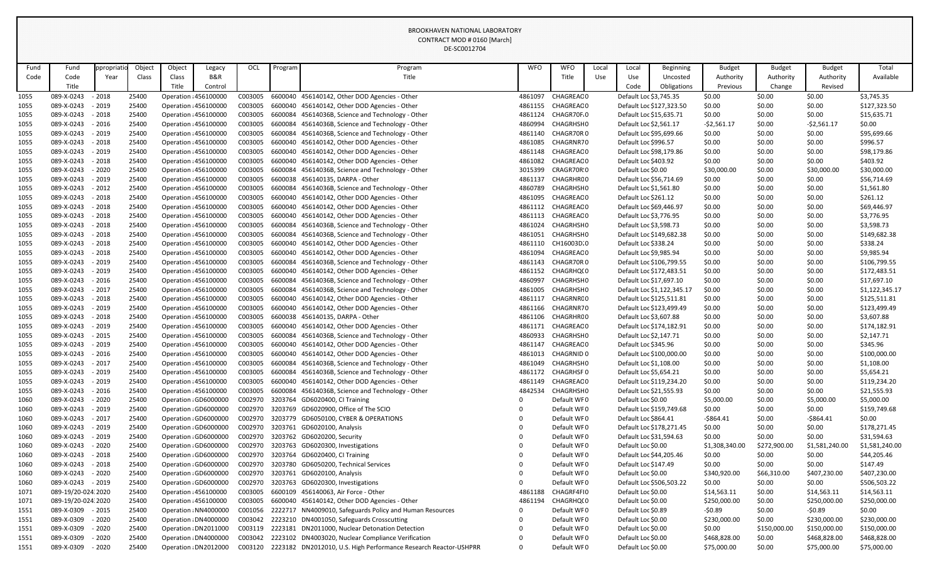|      |                          |                    |                |                       |                       |         |         | DE-SCOUTZ704                                                                                          |            |                            |       |                          |                            |                |               |                |                |
|------|--------------------------|--------------------|----------------|-----------------------|-----------------------|---------|---------|-------------------------------------------------------------------------------------------------------|------------|----------------------------|-------|--------------------------|----------------------------|----------------|---------------|----------------|----------------|
| Fund | Fund                     | ppropriati         | Object         | Object                | Legacy                | OCL     | Program | Program                                                                                               | <b>WFO</b> | <b>WFO</b>                 | Local | Local                    | Beginning                  | <b>Budget</b>  | <b>Budget</b> | <b>Budget</b>  | Total          |
| Code | Code                     | Year               | Class          | Class                 | B&R                   |         |         | Title                                                                                                 |            | Title                      | Use   | Use                      | Uncosted                   | Authority      | Authority     | Authority      | Available      |
|      | Title                    |                    |                | Title                 | Control               |         |         |                                                                                                       |            |                            |       | Code                     | Obligations                | Previous       | Change        | Revised        |                |
| 1055 | 089-X-0243               | $-2018$            | 25400          | Operation : 456100000 |                       | C003005 |         | 6600040 456140142, Other DOD Agencies - Other                                                         | 4861097    | CHAGREAC0                  |       | Default Loc \$3,745.35   |                            | \$0.00         | \$0.00        | \$0.00         | \$3,745.35     |
| 1055 | 089-X-0243               | $-2019$            | 25400          | Operation : 456100000 |                       | C003005 |         | 6600040 456140142, Other DOD Agencies - Other                                                         | 4861155    | CHAGREAC0                  |       | Default Loc \$127,323.50 |                            | \$0.00         | \$0.00        | \$0.00         | \$127,323.50   |
| 1055 | 089-X-0243 - 2018        |                    | 25400          | Operation : 456100000 |                       | C003005 |         | 6600084 45614036B, Science and Technology - Other                                                     | 4861124    | CHAGR70F.0                 |       | Default Loc \$15,635.71  |                            | \$0.00         | \$0.00        | \$0.00         | \$15,635.71    |
| 1055 | 089-X-0243               | $-2016$            | 25400          | Operation : 456100000 |                       | C003005 |         | 6600084 45614036B, Science and Technology - Other                                                     | 4860994    | CHAGRHSH0                  |       | Default Loc \$2,561.17   |                            | $-52,561.17$   | \$0.00        | $-52,561.17$   | \$0.00         |
| 1055 | 089-X-0243               | $-2019$            | 25400          | Operation : 456100000 |                       | C003005 |         | 6600084 45614036B, Science and Technology - Other                                                     | 4861140    | CHAGR70R0                  |       | Default Loc \$95,699.66  |                            | \$0.00         | \$0.00        | \$0.00         | \$95,699.66    |
| 1055 | 089-X-0243               | $-2018$            | 25400          | Operation : 456100000 |                       | C003005 |         | 6600040 456140142, Other DOD Agencies - Other                                                         | 4861085    | CHAGRNR70                  |       | Default Loc \$996.57     |                            | \$0.00         | \$0.00        | \$0.00         | \$996.57       |
| 1055 | 089-X-0243 - 2019        |                    | 25400          | Operation : 456100000 |                       | C003005 |         | 6600040 456140142, Other DOD Agencies - Other                                                         | 4861148    | CHAGREAC 0                 |       | Default Loc \$98,179.86  |                            | \$0.00         | \$0.00        | \$0.00         | \$98,179.86    |
| 1055 | 089-X-0243               | - 2018             | 25400          | Operation : 456100000 |                       | C003005 |         | 6600040 456140142, Other DOD Agencies - Other                                                         | 4861082    | CHAGREAC0                  |       | Default Loc \$403.92     |                            | \$0.00         | \$0.00        | \$0.00         | \$403.92       |
| 1055 | 089-X-0243               | $-2020$            | 25400          | Operation : 456100000 |                       | C003005 |         | 6600084 45614036B, Science and Technology - Other                                                     | 3015399    | CRAGR70R:0                 |       | Default Loc \$0.00       |                            | \$30,000.00    | \$0.00        | \$30,000.00    | \$30,000.00    |
| 1055 | 089-X-0243               | $-2019$            | 25400          | Operation : 456100000 |                       | C003005 |         | 6600038 456140135, DARPA - Other                                                                      | 4861137    | CHAGRHR00                  |       | Default Loc \$56,714.69  |                            | \$0.00         | \$0.00        | \$0.00         | \$56,714.69    |
| 1055 | 089-X-0243               | $-2012$            | 25400          | Operation : 456100000 |                       | C003005 |         | 6600084 45614036B, Science and Technology - Other                                                     | 4860789    | CHAGRHSH0                  |       | Default Loc \$1,561.80   |                            | \$0.00         | \$0.00        | \$0.00         | \$1,561.80     |
| 1055 | 089-X-0243               | $-2018$            | 25400          | Operation : 456100000 |                       | C003005 |         | 6600040 456140142, Other DOD Agencies - Other                                                         | 4861095    | CHAGREAC 0                 |       | Default Loc \$261.12     |                            | \$0.00         | \$0.00        | \$0.00         | \$261.12       |
| 1055 | 089-X-0243               | $-2018$            | 25400          | Operation : 456100000 |                       | C003005 |         | 6600040 456140142, Other DOD Agencies - Other                                                         | 4861112    | CHAGREAC0                  |       | Default Loc \$69,446.97  |                            | \$0.00         | \$0.00        | \$0.00         | \$69,446.97    |
| 1055 | 089-X-0243               | $-2018$            | 25400          | Operation : 456100000 |                       | C003005 |         | 6600040 456140142, Other DOD Agencies - Other                                                         | 4861113    | CHAGREAC 0                 |       | Default Loc \$3,776.95   |                            | \$0.00         | \$0.00        | \$0.00         | \$3,776.95     |
| 1055 | 089-X-0243 - 2018        |                    | 25400          | Operation : 456100000 |                       | C003005 |         | 6600084 45614036B, Science and Technology - Other                                                     | 4861024    | CHAGRHSH0                  |       | Default Loc \$3,598.73   |                            | \$0.00         | \$0.00        | \$0.00         | \$3,598.73     |
| 1055 | 089-X-0243               | $-2018$            | 25400          | Operation : 456100000 |                       | C003005 |         | 6600084 45614036B, Science and Technology - Other                                                     | 4861051    | CHAGRHSH0                  |       | Default Loc \$149,682.38 |                            | \$0.00         | \$0.00        | \$0.00         | \$149,682.38   |
| 1055 | 089-X-0243               | $-2018$            | 25400          | Operation : 456100000 |                       | C003005 |         | 6600040 456140142, Other DOD Agencies - Other                                                         | 4861110    | CH16003D.0                 |       | Default Loc \$338.24     |                            | \$0.00         | \$0.00        | \$0.00         | \$338.24       |
| 1055 | 089-X-0243               | $-2018$            | 25400          | Operation : 456100000 |                       | C003005 |         | 6600040 456140142, Other DOD Agencies - Other                                                         | 4861094    | CHAGREAC 0                 |       | Default Loc \$9,985.94   |                            | \$0.00         | \$0.00        | \$0.00         | \$9,985.94     |
| 1055 | 089-X-0243               | $-2019$            | 25400          | Operation : 456100000 |                       | C003005 |         | 6600084 45614036B, Science and Technology - Other                                                     | 4861143    | CHAGR70R0                  |       | Default Loc \$106,799.55 |                            | \$0.00         | \$0.00        | \$0.00         | \$106,799.55   |
| 1055 | 089-X-0243 - 2019        |                    | 25400          | Operation : 456100000 |                       | C003005 |         | 6600040 456140142, Other DOD Agencies - Other                                                         | 4861152    | CHAGRHQ(0                  |       | Default Loc \$172,483.51 |                            | \$0.00         | \$0.00        | \$0.00         | \$172,483.51   |
| 1055 | 089-X-0243               | $-2016$            | 25400          | Operation : 456100000 |                       | C003005 |         | 6600084 45614036B, Science and Technology - Other                                                     | 4860997    | CHAGRHSH0                  |       | Default Loc \$17,697.10  |                            | \$0.00         | \$0.00        | \$0.00         | \$17,697.10    |
| 1055 | 089-X-0243               | $-2017$            | 25400          | Operation : 456100000 |                       | C003005 |         | 6600084 45614036B, Science and Technology - Other                                                     | 4861005    | CHAGRHSH0                  |       |                          | Default Loc \$1,122,345.17 | \$0.00         | \$0.00        | \$0.00         | \$1,122,345.17 |
| 1055 | 089-X-0243               | $-2018$            | 25400          | Operation : 456100000 |                       | C003005 |         | 6600040 456140142, Other DOD Agencies - Other                                                         | 4861117    | CHAGRNRC 0                 |       | Default Loc \$125,511.81 |                            | \$0.00         | \$0.00        | \$0.00         | \$125,511.81   |
| 1055 | 089-X-0243               | - 2019             | 25400          | Operation : 456100000 |                       | C003005 |         | 6600040 456140142, Other DOD Agencies - Other                                                         | 4861166    | CHAGRNR70                  |       | Default Loc \$123,499.49 |                            | \$0.00         | \$0.00        | \$0.00         | \$123,499.49   |
| 1055 | 089-X-0243               | $-2018$            | 25400          | Operation : 456100000 |                       | C003005 |         | 6600038 456140135, DARPA - Other                                                                      | 4861106    | CHAGRHR00                  |       | Default Loc \$3,607.88   |                            | \$0.00         | \$0.00        | \$0.00         | \$3,607.88     |
| 1055 | 089-X-0243               | $-2019$            | 25400          | Operation : 456100000 |                       | C003005 |         | 6600040 456140142, Other DOD Agencies - Other                                                         | 4861171    | CHAGREAC 0                 |       | Default Loc \$174,182.91 |                            | \$0.00         | \$0.00        | \$0.00         | \$174,182.91   |
| 1055 | 089-X-0243               | $-2015$            | 25400          | Operation : 456100000 |                       | C003005 |         | 6600084 45614036B, Science and Technology - Other                                                     | 4860933    | <b>CHAGRHSHO</b>           |       | Default Loc \$2,147.71   |                            | \$0.00         | \$0.00        | \$0.00         | \$2,147.71     |
| 1055 | 089-X-0243 - 2019        |                    | 25400          | Operation : 456100000 |                       | C003005 |         | 6600040 456140142, Other DOD Agencies - Other                                                         | 4861147    | CHAGREAC0                  |       | Default Loc \$345.96     |                            | \$0.00         | \$0.00        | \$0.00         | \$345.96       |
| 1055 | 089-X-0243               | $-2016$            | 25400          | Operation : 456100000 |                       | C003005 |         | 6600040 456140142, Other DOD Agencies - Other                                                         | 4861013    | <b>CHAGRNID 0</b>          |       | Default Loc \$100,000.00 |                            | \$0.00         | \$0.00        | \$0.00         | \$100,000.00   |
| 1055 | 089-X-0243               | $-2017$            | 25400          | Operation : 456100000 |                       | C003005 |         | 6600084 45614036B, Science and Technology - Other                                                     | 4861049    | CHAGRHSH0                  |       | Default Loc \$1,108.00   |                            | \$0.00         | \$0.00        | \$0.00         | \$1,108.00     |
| 1055 | 089-X-0243 - 2019        |                    | 25400          | Operation : 456100000 |                       | C003005 |         | 6600084 45614036B, Science and Technology - Other                                                     | 4861172    | <b>CHAGRHSF 0</b>          |       | Default Loc \$5,654.21   |                            | \$0.00         | \$0.00        | \$0.00         | \$5,654.21     |
| 1055 | 089-X-0243 - 2019        |                    | 25400          | Operation : 456100000 |                       | C003005 |         | 6600040 456140142, Other DOD Agencies - Other                                                         | 4861149    | CHAGREAC0                  |       | Default Loc \$119,234.20 |                            | \$0.00         | \$0.00        | \$0.00         | \$119,234.20   |
| 1055 | 089-X-0243 - 2016        |                    | 25400          | Operation : 456100000 |                       | C003005 |         | 6600084 45614036B, Science and Technology - Other                                                     | 4842534    | CHAGRHSH0                  |       | Default Loc \$21,555.93  |                            | \$0.00         | \$0.00        | \$0.00         | \$21,555.93    |
| 1060 | 089-X-0243               | $-2020$            | 25400          |                       | Operation : GD6000000 | C002970 |         | 3203764 GD6020400, CI Training                                                                        |            | Default WF0                |       | Default Loc \$0.00       |                            | \$5,000.00     | \$0.00        | \$5,000.00     | \$5,000.00     |
| 1060 | 089-X-0243               | - 2019             | 25400          |                       | Operation ¿GD6000000  | C002970 |         | 3203769 GD6020900, Office of The SCIO                                                                 |            | Default WF0                |       | Default Loc \$159,749.68 |                            | \$0.00         | \$0.00        | \$0.00         | \$159,749.68   |
| 1060 | 089-X-0243 - 2017        |                    | 25400          |                       | Operation ¿GD6000000  | C002970 |         | 3203779 GD6050100, CYBER & OPERATIONS                                                                 |            | Default WF0                |       | Default Loc \$864.41     |                            | $-5864.41$     | \$0.00        | $-$ \$864.41   | \$0.00         |
| 1060 | 089-X-0243               | - 2019             | 25400          |                       | Operation ¿GD6000000  | C002970 |         | 3203761 GD6020100, Analysis                                                                           |            | Default WF0                |       | Default Loc \$178,271.45 |                            | \$0.00         | \$0.00        | \$0.00         | \$178,271.45   |
| 1060 | 089-X-0243 - 2019        |                    | 25400          |                       | Operation ¿GD6000000  | C002970 |         | 3203762 GD6020200, Security                                                                           |            | Default WF0                |       | Default Loc \$31,594.63  |                            | \$0.00         | \$0.00        | \$0.00         | \$31,594.63    |
| 1060 | 089-X-0243               | $-2020$            | 25400          |                       | Operation : GD6000000 | C002970 |         | 3203763 GD6020300, Investigations                                                                     |            | Default WF0                |       | Default Loc \$0.00       |                            | \$1,308,340.00 | \$272,900.00  | \$1,581,240.00 | \$1,581,240.00 |
| 1060 | 089-X-0243 - 2018        |                    | 25400          |                       | Operation ¿GD6000000  | C002970 |         | 3203764 GD6020400, CI Training                                                                        |            | Default WF0                |       | Default Loc \$44,205.46  |                            | \$0.00         | \$0.00        | \$0.00         | \$44,205.46    |
| 1060 | 089-X-0243 - 2018        |                    | 25400          |                       | Operation (GD6000000  | C002970 |         | 3203780 GD6050200, Technical Services                                                                 |            | Default WF0                |       | Default Loc \$147.49     |                            | \$0.00         | \$0.00        | \$0.00         | \$147.49       |
| 1060 | 089-X-0243               | $-2020$            | 25400          |                       | Operation (GD6000000  | C002970 |         | 3203761 GD6020100, Analysis                                                                           |            | Default WF0                |       | Default Loc \$0.00       |                            | \$340,920.00   | \$66,310.00   | \$407,230.00   | \$407,230.00   |
| 1060 | 089-X-0243 - 2019        |                    | 25400          |                       | Operation ¿GD6000000  | C002970 |         | 3203763 GD6020300, Investigations                                                                     |            | Default WF0                |       | Default Loc \$506,503.22 |                            | \$0.00         | \$0.00        | \$0.00         | \$506,503.22   |
| 1071 | 089-19/20-024 2020       |                    | 25400          | Operation : 456100000 |                       | C003005 |         | 6600109 456140063, Air Force - Other                                                                  | 4861188    | CHAGRF4FI0                 |       | Default Loc \$0.00       |                            | \$14,563.11    | \$0.00        | \$14,563.11    | \$14,563.11    |
| 1071 | 089-19/20-024.2020       |                    | 25400          | Operation : 456100000 |                       | C003005 |         | 6600040 456140142, Other DOD Agencies - Other                                                         | 4861194    | CHAGRHQ(0                  |       | Default Loc \$0.00       |                            | \$250,000.00   | \$0.00        | \$250,000.00   | \$250,000.00   |
| 1551 | 089-X-0309 - 2015        |                    | 25400          |                       | Operation : NN4000000 | C001056 |         | 2222717 NN4009010, Safeguards Policy and Human Resources                                              |            | Default WF0                |       | Default Loc \$0.89       |                            | $-50.89$       | \$0.00        | $-50.89$       | \$0.00         |
| 1551 | 089-X-0309               | $-2020$            | 25400          |                       | Operation : DN4000000 | C003042 |         | 2223210 DN4001050, Safeguards Crosscutting                                                            |            | Default WF0                |       | Default Loc \$0.00       |                            | \$230,000.00   | \$0.00        | \$230,000.00   | \$230,000.00   |
| 1551 | 089-X-0309<br>089-X-0309 | $-2020$<br>$-2020$ | 25400<br>25400 |                       | Operation ¿DN2011000  | C003119 |         | 2223181 DN2011000, Nuclear Detonation Detection<br>2223102 DN4003020, Nuclear Compliance Verification |            | Default WF0<br>Default WF0 |       | Default Loc \$0.00       |                            | \$0.00         | \$150,000.00  | \$150,000.00   | \$150,000.00   |
| 1551 |                          |                    |                |                       | Operation ¿DN4000000  | C003042 |         |                                                                                                       |            |                            |       | Default Loc \$0.00       |                            | \$468,828.00   | \$0.00        | \$468,828.00   | \$468,828.00   |
| 1551 | 089-X-0309               | $-2020$            | 25400          |                       | Operation ¿DN2012000  | C003120 |         | 2223182 DN2012010, U.S. High Performance Research Reactor-USHPRR                                      | 0          | Default WF0                |       | Default Loc \$0.00       |                            | \$75,000.00    | \$0.00        | \$75,000.00    | \$75,000.00    |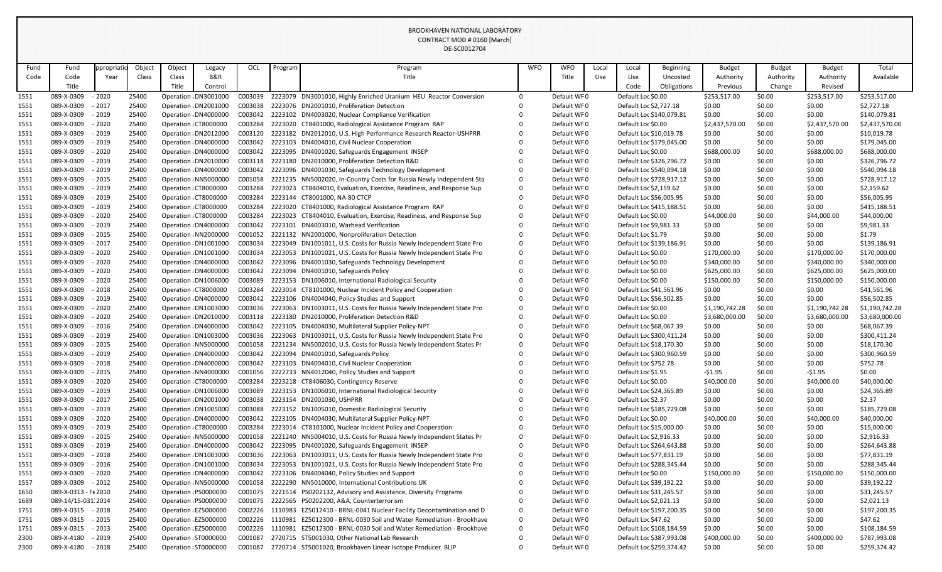| Fund | Fund                 | <b>propriati</b> | Object | Object | Legacy                | OCL     | Program | Program                                                              | <b>WFO</b>   | <b>WFO</b>  | Local | Local                   | <b>Beginning</b>         | <b>Budget</b>  | <b>Budget</b> | <b>Budget</b>  | Total          |
|------|----------------------|------------------|--------|--------|-----------------------|---------|---------|----------------------------------------------------------------------|--------------|-------------|-------|-------------------------|--------------------------|----------------|---------------|----------------|----------------|
| Code | Code                 | Year             | Class  | Class  | B&R                   |         |         | Title                                                                |              | Title       | Use   | Use                     | Uncosted                 | Authority      | Authority     | Authority      | Available      |
|      | Title                |                  |        | Title  | Control               |         |         |                                                                      |              |             |       | Code                    | Obligations              | Previous       | Change        | Revised        |                |
| 1551 | 089-X-0309           | $-2020$          | 25400  |        | Operation ¿DN3001000  | C003039 |         | 2223079 DN3001010, Highly Enriched Uranium HEU Reactor Conversion    | $\mathbf{0}$ | Default WF0 |       | Default Loc \$0.00      |                          | \$253,517.00   | \$0.00        | \$253,517.00   | \$253,517.00   |
| 1551 | 089-X-0309           | $-2017$          | 25400  |        | Operation ¿DN2001000  | C003038 |         | 2223076 DN2001010, Proliferation Detection                           |              | Default WF0 |       | Default Loc \$2,727.18  |                          | \$0.00         | \$0.00        | \$0.00         | \$2,727.18     |
| 1551 | 089-X-0309           | $-2019$          | 25400  |        | Operation : DN4000000 | C003042 |         | 2223102 DN4003020, Nuclear Compliance Verification                   |              | Default WF0 |       |                         | Default Loc \$140,079.81 | \$0.00         | \$0.00        | \$0.00         | \$140,079.81   |
| 1551 | 089-X-0309           | $-2020$          | 25400  |        | Operation ¿CT8000000  | C003284 |         | 2223020 CT8401000, Radiological Assistance Program RAP               |              | Default WF0 |       | Default Loc \$0.00      |                          | \$2,437,570.00 | \$0.00        | \$2,437,570.00 | \$2,437,570.00 |
| 1551 | 089-X-0309           | $-2019$          | 25400  |        | Operation ¿DN2012000  | C003120 |         | 2223182 DN2012010, U.S. High Performance Research Reactor-USHPRR     | 0            | Default WF0 |       | Default Loc \$10,019.78 |                          | \$0.00         | \$0.00        | \$0.00         | \$10,019.78    |
| 1551 | 089-X-0309           | $-2019$          | 25400  |        | Operation ¿DN4000000  | C003042 |         | 2223103 DN4004010, Civil Nuclear Cooperation                         |              | Default WF0 |       |                         | Default Loc \$179,045.00 | \$0.00         | \$0.00        | \$0.00         | \$179,045.00   |
| 1551 | 089-X-0309           | $-2020$          | 25400  |        | Operation ¿DN4000000  | C003042 |         | 2223095 DN4001020, Safeguards Engagement INSEP                       |              | Default WF0 |       | Default Loc \$0.00      |                          | \$688,000.00   | \$0.00        | \$688,000.00   | \$688,000.00   |
| 1551 | 089-X-0309           | $-2019$          | 25400  |        | Operation : DN2010000 | C003118 |         | 2223180 DN2010000, Proliferation Detection R&D                       |              | Default WF0 |       |                         | Default Loc \$326,796.72 | \$0.00         | \$0.00        | \$0.00         | \$326,796.72   |
| 1551 | 089-X-0309           | $-2019$          | 25400  |        | Operation : DN4000000 | C003042 |         | 2223096 DN4001030, Safeguards Technology Development                 |              | Default WF0 |       |                         | Default Loc \$540,094.18 | \$0.00         | \$0.00        | \$0.00         | \$540,094.18   |
| 1551 | 089-X-0309           | $-2015$          | 25400  |        | Operation : NN5000000 | C001058 |         | 2221235 NN5002020, In-Country Costs for Russia Newly Independent Sta | 0            | Default WF0 |       |                         | Default Loc \$728,917.12 | \$0.00         | \$0.00        | \$0.00         | \$728,917.12   |
| 1551 | 089-X-0309           | $-2019$          | 25400  |        | Operation ¿CT8000000  | C003284 |         | 2223023 CT8404010, Evaluation, Exercise, Readiness, and Response Sup | 0            | Default WF0 |       | Default Loc \$2,159.62  |                          | \$0.00         | \$0.00        | \$0.00         | \$2,159.62     |
| 1551 | 089-X-0309           | $-2019$          | 25400  |        | Operation ¿CT8000000  | C003284 |         | 2223144 CT8001000, NA-80 CTCP                                        |              | Default WF0 |       | Default Loc \$56,005.95 |                          | \$0.00         | \$0.00        | \$0.00         | \$56,005.95    |
| 1551 | 089-X-0309           | $-2019$          | 25400  |        | Operation ¿CT8000000  | C003284 |         | 2223020 CT8401000, Radiological Assistance Program RAP               |              | Default WF0 |       |                         | Default Loc \$415,188.51 | \$0.00         | \$0.00        | \$0.00         | \$415,188.51   |
| 1551 | 089-X-0309           | $-2020$          | 25400  |        | Operation ¿CT8000000  | C003284 |         | 2223023 CT8404010, Evaluation, Exercise, Readiness, and Response Sup |              | Default WF0 |       | Default Loc \$0.00      |                          | \$44,000.00    | \$0.00        | \$44,000.00    | \$44,000.00    |
| 1551 | 089-X-0309           | $-2019$          | 25400  |        | Operation ¿DN4000000  | C003042 |         | 2223101 DN4003010, Warhead Verification                              |              | Default WF0 |       | Default Loc \$9,981.33  |                          | \$0.00         | \$0.00        | \$0.00         | \$9,981.33     |
| 1551 | 089-X-0309           | $-2015$          | 25400  |        | Operation : NN2000000 | C001052 |         | 2221132 NN2001000, Nonproliferation Detection                        |              | Default WF0 |       | Default Loc \$1.79      |                          | \$0.00         | \$0.00        | \$0.00         | \$1.79         |
| 1551 | 089-X-0309           | $-2017$          | 25400  |        | Operation ¿DN1001000  | C003034 |         | 2223049 DN1001011, U.S. Costs for Russia Newly Independent State Pro | 0            | Default WF0 |       |                         | Default Loc \$139,186.91 | \$0.00         | \$0.00        | \$0.00         | \$139,186.91   |
| 1551 | 089-X-0309           | $-2020$          | 25400  |        | Operation ¿DN1001000  | C003034 |         | 2223053 DN1001021, U.S. Costs for Russia Newly Independent State Pro | 0            | Default WF0 |       | Default Loc \$0.00      |                          | \$170,000.00   | \$0.00        | \$170,000.00   | \$170,000.00   |
| 1551 | 089-X-0309           | $-2020$          | 25400  |        | Operation : DN4000000 | C003042 |         | 2223096 DN4001030, Safeguards Technology Development                 |              | Default WF0 |       | Default Loc \$0.00      |                          | \$340,000.00   | \$0.00        | \$340,000.00   | \$340,000.00   |
| 1551 | 089-X-0309           | $-2020$          | 25400  |        | Operation ¿DN4000000  | C003042 |         | 2223094 DN4001010, Safeguards Policy                                 |              | Default WF0 |       | Default Loc \$0.00      |                          | \$625,000.00   | \$0.00        | \$625,000.00   | \$625,000.00   |
| 1551 | 089-X-0309           | $-2020$          | 25400  |        | Operation ¿DN1006000  | C003089 |         | 2223153 DN1006010, International Radiological Security               |              | Default WF0 |       | Default Loc \$0.00      |                          | \$150,000.00   | \$0.00        | \$150,000.00   | \$150,000.00   |
| 1551 | 089-X-0309           | $-2018$          | 25400  |        | Operation ¿CT8000000  | C003284 | 2223014 | CT8101000, Nuclear Incident Policy and Cooperation                   |              | Default WF0 |       | Default Loc \$41,561.96 |                          | \$0.00         | \$0.00        | \$0.00         | \$41,561.96    |
| 1551 | 089-X-0309           | $-2019$          | 25400  |        | Operation : DN4000000 | C003042 |         | 2223106 DN4004040, Policy Studies and Support                        |              | Default WF0 |       | Default Loc \$56,502.85 |                          | \$0.00         | \$0.00        | \$0.00         | \$56,502.85    |
| 1551 | 089-X-0309           | $-2020$          | 25400  |        | Operation ¿DN1003000  | C003036 |         | 2223063 DN1003011, U.S. Costs for Russia Newly Independent State Pro |              | Default WF0 |       | Default Loc \$0.00      |                          | \$1,190,742.28 | \$0.00        | \$1,190,742.28 | \$1,190,742.28 |
| 1551 | 089-X-0309           | $-2020$          | 25400  |        | Operation : DN2010000 | C003118 |         | 2223180 DN2010000, Proliferation Detection R&D                       |              | Default WF0 |       | Default Loc \$0.00      |                          | \$3,680,000.00 | \$0.00        | \$3,680,000.00 | \$3,680,000.00 |
| 1551 | 089-X-0309           | $-2016$          | 25400  |        | Operation : DN4000000 | C003042 |         | 2223105 DN4004030, Multilateral Supplier Policy-NPT                  |              | Default WF0 |       | Default Loc \$68,067.39 |                          | \$0.00         | \$0.00        | \$0.00         | \$68,067.39    |
| 1551 | 089-X-0309           | $-2019$          | 25400  |        | Operation ¿DN1003000  | C003036 |         | 2223063 DN1003011, U.S. Costs for Russia Newly Independent State Pro | $\Omega$     | Default WF0 |       |                         | Default Loc \$300,411.24 | \$0.00         | \$0.00        | \$0.00         | \$300,411.24   |
| 1551 | 089-X-0309           | $-2015$          | 25400  |        | Operation : NN5000000 | C001058 |         | 2221234 NN5002010, U.S. Costs for Russia Newly Independent States Pr | 0            | Default WF0 |       | Default Loc \$18,170.30 |                          | \$0.00         | \$0.00        | \$0.00         | \$18,170.30    |
| 1551 | 089-X-0309           | $-2019$          | 25400  |        | Operation : DN4000000 | C003042 |         | 2223094 DN4001010, Safeguards Policy                                 |              | Default WF0 |       |                         | Default Loc \$300,960.59 | \$0.00         | \$0.00        | \$0.00         | \$300,960.59   |
| 1551 | 089-X-0309           | $-2018$          | 25400  |        | Operation : DN4000000 | C003042 |         | 2223103 DN4004010, Civil Nuclear Cooperation                         |              | Default WF0 |       | Default Loc \$752.78    |                          | \$0.00         | \$0.00        | \$0.00         | \$752.78       |
| 1551 | 089-X-0309           | $-2015$          | 25400  |        | Operation : NN4000000 | C001056 |         | 2222733 NN4012040, Policy Studies and Support                        |              | Default WF0 |       | Default Loc \$1.95      |                          | $-51.95$       | \$0.00        | $-51.95$       | \$0.00         |
| 1551 | 089-X-0309           | $-2020$          | 25400  |        | Operation ¿CT8000000  | C003284 |         | 2223218 CT8406030, Contingency Reserve                               |              | Default WF0 |       | Default Loc \$0.00      |                          | \$40,000.00    | \$0.00        | \$40,000.00    | \$40,000.00    |
| 1551 | 089-X-0309           | $-2019$          | 25400  |        | Operation : DN1006000 | C003089 |         | 2223153 DN1006010, International Radiological Security               |              | Default WF0 |       | Default Loc \$24,365.89 |                          | \$0.00         | \$0.00        | \$0.00         | \$24,365.89    |
| 1551 | 089-X-0309           | $-2017$          | 25400  |        | Operation : DN2001000 | C003038 |         | 2223154 DN2001030, USHPRR                                            |              | Default WF0 |       | Default Loc \$2.37      |                          | \$0.00         | \$0.00        | \$0.00         | \$2.37         |
| 1551 | 089-X-0309           | $-2019$          | 25400  |        | Operation ¿DN1005000  | C003088 |         | 2223152 DN1005010, Domestic Radiological Security                    |              | Default WF0 |       |                         | Default Loc \$185,729.08 | \$0.00         | \$0.00        | \$0.00         | \$185,729.08   |
| 1551 | 089-X-0309           | $-2020$          | 25400  |        | Operation ¿DN4000000  | C003042 |         | 2223105 DN4004030, Multilateral Supplier Policy-NPT                  |              | Default WF0 |       | Default Loc \$0.00      |                          | \$40,000.00    | \$0.00        | \$40,000.00    | \$40,000.00    |
| 1551 | 089-X-0309           | $-2019$          | 25400  |        | Operation ¿CT8000000  | C003284 |         | 2223014 CT8101000, Nuclear Incident Policy and Cooperation           |              | Default WF0 |       | Default Loc \$15,000.00 |                          | \$0.00         | \$0.00        | \$0.00         | \$15,000.00    |
| 1551 | 089-X-0309           | $-2015$          | 25400  |        | Operation : NN5000000 | C001058 |         | 2221240 NN5004010, U.S. Costs for Russia Newly Independent States Pr |              | Default WF0 |       | Default Loc \$2,916.33  |                          | \$0.00         | \$0.00        | \$0.00         | \$2,916.33     |
| 1551 | 089-X-0309           | $-2019$          | 25400  |        | Operation ¿DN4000000  |         |         | C003042 2223095 DN4001020, Safeguards Engagement INSEP               |              | Default WF0 |       |                         | Default Loc \$264,643.88 | \$0.00         | \$0.00        | \$0.00         | \$264,643.88   |
| 1551 | 089-X-0309           | $-2018$          | 25400  |        | Operation : DN1003000 | C003036 |         | 2223063 DN1003011, U.S. Costs for Russia Newly Independent State Pro | 0            | Default WF0 |       | Default Loc \$77,831.19 |                          | \$0.00         | \$0.00        | \$0.00         | \$77,831.19    |
| 1551 | 089-X-0309           | $-2016$          | 25400  |        | Operation ¿DN1001000  | C003034 |         | 2223053 DN1001021, U.S. Costs for Russia Newly Independent State Pro | 0            | Default WF0 |       |                         | Default Loc \$288,345.44 | \$0.00         | \$0.00        | \$0.00         | \$288,345.44   |
| 1551 | 089-X-0309           | $-2020$          | 25400  |        | Operation ¿DN4000000  | C003042 |         | 2223106 DN4004040, Policy Studies and Support                        |              | Default WF0 |       | Default Loc \$0.00      |                          | \$150,000.00   | \$0.00        | \$150,000.00   | \$150,000.00   |
| 1557 | 089-X-0309           | $-2012$          | 25400  |        | Operation : NN5000000 | C001058 |         | 2222290 NN5010000, International Contributions UK                    |              | Default WF0 |       | Default Loc \$39,192.22 |                          | \$0.00         | \$0.00        | \$0.00         | \$39,192.22    |
| 1650 | 089-X-0313 - Fe 2010 |                  | 25400  |        | Operation ¿PS0000000  | C001075 |         | 2221514 PS0202132, Advisory and Assistance, Diversity Programs       |              | Default WF0 |       | Default Loc \$31,245.57 |                          | \$0.00         | \$0.00        | \$0.00         | \$31,245.57    |
| 1689 | 089-14/15-031.2014   |                  | 25400  |        | Operation : PS0000000 |         |         | C001075 2222565 PS0202200, A&A, Counterterrorism                     |              | Default WF0 |       | Default Loc \$2,021.13  |                          | \$0.00         | \$0.00        | \$0.00         | \$2,021.13     |
| 1751 | 089-X-0315 - 2018    |                  | 25400  |        | Operation ¿EZ5000000  | C002226 | 1110983 | EZ5012410 - BRNL-0041 Nuclear Facility Decontamination and D         | 0            | Default WF0 |       |                         | Default Loc \$197,200.35 | \$0.00         | \$0.00        | \$0.00         | \$197,200.35   |
| 1751 | 089-X-0315 - 2015    |                  | 25400  |        | Operation ¿EZ5000000  | C002226 |         | 1110981 EZ5012300 - BRNL-0030 Soil and Water Remediation - Brookhave | 0            | Default WF0 |       | Default Loc \$47.62     |                          | \$0.00         | \$0.00        | \$0.00         | \$47.62        |
| 1751 | 089-X-0315           | $-2013$          | 25400  |        | Operation ¿EZ5000000  | C002226 | 1110981 | EZ5012300 - BRNL-0030 Soil and Water Remediation - Brookhave         | 0            | Default WF0 |       |                         | Default Loc \$108,184.59 | \$0.00         | \$0.00        | \$0.00         | \$108,184.59   |
| 2300 | 089-X-4180           | $-2019$          | 25400  |        | Operation : ST0000000 | C001087 |         | 2720715 ST5001030, Other National Lab Research                       |              | Default WF0 |       |                         | Default Loc \$387,993.08 | \$400,000.00   | \$0.00        | \$400,000.00   | \$787,993.08   |
| 2300 | 089-X-4180           | $-2018$          | 25400  |        | Operation ¿ST0000000  | C001087 |         | 2720714 ST5001020, Brookhaven Linear Isotope Producer BLIP           | 0            | Default WF0 |       |                         | Default Loc \$259,374.42 | \$0.00         | \$0.00        | \$0.00         | \$259,374.42   |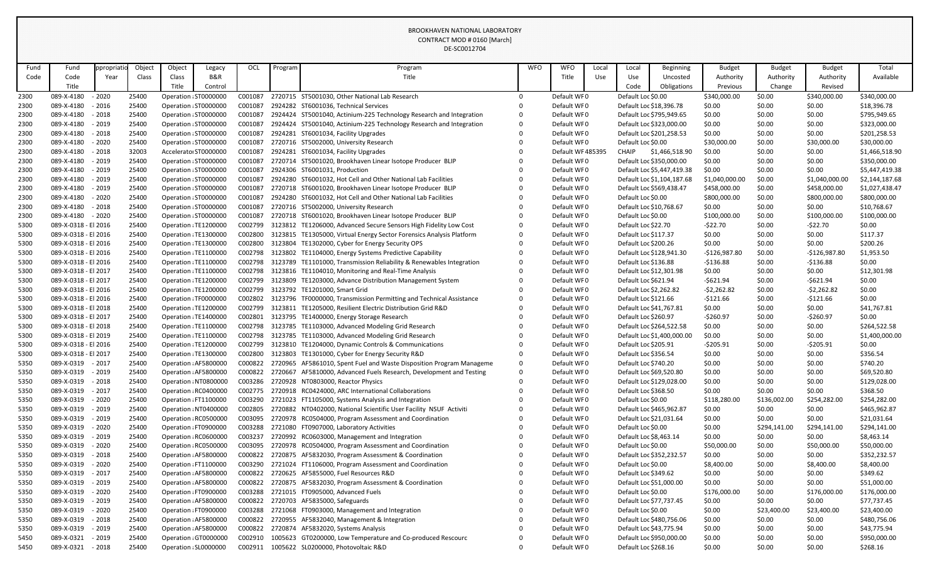|              |                                              |            |                |                       |                                                |                    |         | DE-SCUUIZ7U4                                                                                                |            |                            |       |                                               |                            |                          |                  |                          |                             |
|--------------|----------------------------------------------|------------|----------------|-----------------------|------------------------------------------------|--------------------|---------|-------------------------------------------------------------------------------------------------------------|------------|----------------------------|-------|-----------------------------------------------|----------------------------|--------------------------|------------------|--------------------------|-----------------------------|
| Fund         | Fund                                         | ppropriati | Object         | Object                | Legacy                                         | OCL                | Program | Program                                                                                                     | <b>WFO</b> | <b>WFO</b>                 | Local | Local                                         | Beginning                  | <b>Budget</b>            | <b>Budget</b>    | <b>Budget</b>            | Total                       |
| Code         | Code                                         | Year       | Class          | Class                 | B&R                                            |                    |         | Title                                                                                                       |            | Title                      | Use   | Use                                           | Uncosted                   | Authority                | Authority        | Authority                | Available                   |
|              | Title                                        |            |                | Title                 | Control                                        |                    |         |                                                                                                             |            |                            |       | Code                                          | Obligations                | Previous                 | Change           | Revised                  |                             |
| 2300         | 089-X-4180                                   | $-2020$    | 25400          |                       | Operation ¿ST0000000                           | C001087            |         | 2720715 ST5001030, Other National Lab Research                                                              |            | Default WF0                |       | Default Loc \$0.00                            |                            | \$340,000.00             | \$0.00           | \$340,000.00             | \$340,000.00                |
| 2300         | 089-X-4180                                   | - 2016     | 25400          |                       | Operation ¿ST0000000                           | C001087            |         | 2924282 ST6001036, Technical Services                                                                       |            | Default WF0                |       | Default Loc \$18,396.78                       |                            | \$0.00                   | \$0.00           | \$0.00                   | \$18,396.78                 |
| 2300         | 089-X-4180                                   | $-2018$    | 25400          |                       | Operation ¿ST0000000                           | C001087            |         | 2924424 ST5001040, Actinium-225 Technology Research and Integration                                         |            | Default WF0                |       |                                               | Default Loc \$795,949.65   | \$0.00                   | \$0.00           | \$0.00                   | \$795,949.65                |
| 2300         | 089-X-4180                                   | $-2019$    | 25400          |                       | Operation ¿ST0000000                           | C001087            |         | 2924424 ST5001040, Actinium-225 Technology Research and Integration                                         |            | Default WF0                |       |                                               | Default Loc \$323,000.00   | \$0.00                   | \$0.00           | \$0.00                   | \$323,000.00                |
| 2300         | 089-X-4180                                   | $-2018$    | 25400          | Operation : ST0000000 |                                                | C001087            |         | 2924281 ST6001034, Facility Upgrades                                                                        |            | Default WF0                |       |                                               | Default Loc \$201,258.53   | \$0.00                   | \$0.00           | \$0.00                   | \$201,258.53                |
| 2300         | 089-X-4180                                   | $-2020$    | 25400          | Operation : ST0000000 |                                                | C001087            |         | 2720716 ST5002000, University Research                                                                      |            | Default WF0                |       | Default Loc \$0.00                            |                            | \$30,000.00              | \$0.00           | \$30,000.00              | \$30,000.00                 |
| 2300         | 089-X-4180 - 2018                            |            | 32003          |                       | Accelerator ST0000000                          | C001087            |         | 2924281 ST6001034, Facility Upgrades                                                                        |            | Default WF 485395          |       | <b>CHAIP</b>                                  | \$1,466,518.90             | \$0.00                   | \$0.00           | \$0.00                   | \$1,466,518.90              |
| 2300         | 089-X-4180                                   | $-2019$    | 25400          |                       | Operation ¿ST0000000                           | C001087            |         | 2720714 ST5001020, Brookhaven Linear Isotope Producer BLIP                                                  |            | Default WF0                |       |                                               | Default Loc \$350,000.00   | \$0.00                   | \$0.00           | \$0.00                   | \$350,000.00                |
| 2300         | 089-X-4180 - 2019                            |            | 25400          |                       | Operation ¿ST0000000                           | C001087            |         | 2924306 ST6001031, Production                                                                               |            | Default WF0                |       |                                               | Default Loc \$5,447,419.38 | \$0.00                   | \$0.00           | \$0.00                   | \$5,447,419.38              |
| 2300         | 089-X-4180                                   | $-2019$    | 25400          | Operation : ST0000000 |                                                | C001087            |         | 2924280 ST6001032, Hot Cell and Other National Lab Facilities                                               |            | Default WF0                |       |                                               | Default Loc \$1,104,187.68 | \$1,040,000.00           | \$0.00           | \$1,040,000.00           | \$2,144,187.68              |
| 2300         | 089-X-4180                                   | $-2019$    | 25400          | Operation : ST0000000 |                                                | C001087            |         | 2720718 ST6001020, Brookhaven Linear Isotope Producer BLIP                                                  |            | Default WF0                |       |                                               | Default Loc \$569,438.47   | \$458,000.00             | \$0.00           | \$458,000.00             | \$1,027,438.47              |
| 2300         | 089-X-4180                                   | $-2020$    | 25400          |                       | Operation ¿ST0000000                           | C001087            |         | 2924280 ST6001032, Hot Cell and Other National Lab Facilities                                               |            | Default WF0                |       | Default Loc \$0.00                            |                            | \$800,000.00             | \$0.00           | \$800,000.00             | \$800,000.00                |
| 2300         | 089-X-4180                                   | $-2018$    | 25400          |                       | Operation ¿ST0000000                           | C001087            |         | 2720716 ST5002000, University Research                                                                      |            | Default WF0                |       | Default Loc \$10,768.67                       |                            | \$0.00                   | \$0.00           | \$0.00                   | \$10,768.67                 |
| 2300         | 089-X-4180                                   | $-2020$    | 25400          |                       | Operation ¿ST0000000                           | C001087            |         | 2720718 ST6001020, Brookhaven Linear Isotope Producer BLIP                                                  |            | Default WF0                |       | Default Loc \$0.00                            |                            | \$100,000.00             | \$0.00           | \$100,000.00             | \$100,000.00                |
| 5300         | 089-X-0318 - El 2016                         |            | 25400          |                       | Operation ¿TE1200000                           | C002799            |         | 3123812 TE1206000, Advanced Secure Sensors High Fidelity Low Cost                                           |            | Default WF0                |       | Default Loc \$22.70                           |                            | $-522.70$                | \$0.00           | $-522.70$                | \$0.00                      |
| 5300         | 089-X-0318 - El 2016                         |            | 25400          | Operation : TE1300000 |                                                | C002800            |         | 3123815 TE1305000, Virtual Energy Sector Forensics Analysis Platform                                        |            | Default WF0                |       | Default Loc \$117.37                          |                            | \$0.00                   | \$0.00           | \$0.00                   | \$117.37                    |
| 5300<br>5300 | 089-X-0318 - El 2016<br>089-X-0318 - El 2016 |            | 25400<br>25400 | Operation : TE1300000 | Operation ¿TE1100000                           | C002800<br>C002798 |         | 3123804 TE1302000, Cyber for Energy Security OPS<br>3123802 TE1104000, Energy Systems Predictive Capability |            | Default WF0<br>Default WF0 |       | Default Loc \$200.26                          | Default Loc \$128,941.30   | \$0.00<br>$-$126,987.80$ | \$0.00<br>\$0.00 | \$0.00<br>$-$126,987.80$ | \$200.26<br>\$1,953.50      |
| 5300         | 089-X-0318 - El 2016                         |            | 25400          |                       | Operation : TE1100000                          | C002798            |         | 3123789 TE1101000, Transmission Reliability & Renewables Integration                                        |            | Default WF0                |       | Default Loc \$136.88                          |                            | $-$136.88$               | \$0.00           | $-5136.88$               | \$0.00                      |
| 5300         | 089-X-0318 - El 2017                         |            | 25400          |                       | Operation : TE1100000                          | C002798            |         | 3123816 TE1104010, Monitoring and Real-Time Analysis                                                        |            | Default WF0                |       | Default Loc \$12,301.98                       |                            | \$0.00                   | \$0.00           | \$0.00                   | \$12,301.98                 |
| 5300         | 089-X-0318 - El 2017                         |            | 25400          |                       | Operation : TE1200000                          | C002799            |         | 3123809 TE1203000, Advance Distribution Management System                                                   |            | Default WF0                |       | Default Loc \$621.94                          |                            | $-5621.94$               | \$0.00           | $-5621.94$               | \$0.00                      |
| 5300         | 089-X-0318 - El 2016                         |            | 25400          | Operation : TE1200000 |                                                | C002799            |         | 3123792 TE1201000, Smart Grid                                                                               |            | Default WF0                |       | Default Loc \$2,262.82                        |                            | $-52,262.82$             | \$0.00           | $-52,262.82$             | \$0.00                      |
| 5300         | 089-X-0318 - El 2016                         |            | 25400          |                       | Operation ¿TF0000000                           | C002802            |         | 3123796 TF0000000, Transmission Permitting and Technical Assistance                                         |            | Default WF0                |       | Default Loc \$121.66                          |                            | $-$121.66$               | \$0.00           | $-5121.66$               | \$0.00                      |
| 5300         | 089-X-0318 - El 2018                         |            | 25400          |                       | Operation ¿TE1200000                           | C002799            |         | 3123811 TE1205000, Resilient Electric Distribution Grid R&D                                                 |            | Default WF0                |       | Default Loc \$41,767.81                       |                            | \$0.00                   | \$0.00           | \$0.00                   | \$41,767.81                 |
| 5300         | 089-X-0318 - El 2017                         |            | 25400          |                       | Operation ¿TE1400000                           | C002801            |         | 3123795 TE1400000, Energy Storage Research                                                                  |            | Default WF0                |       | Default Loc \$260.97                          |                            | $-5260.97$               | \$0.00           | $-5260.97$               | \$0.00                      |
| 5300         | 089-X-0318 - El 2018                         |            | 25400          | Operation : TE1100000 |                                                | C002798            |         | 3123785 TE1103000, Advanced Modeling Grid Research                                                          |            | Default WF0                |       |                                               | Default Loc \$264,522.58   | \$0.00                   | \$0.00           | \$0.00                   | \$264,522.58                |
| 5300         | 089-X-0318 - El 2019                         |            | 25400          |                       | Operation (TE1100000                           | C002798            |         | 3123785 TE1103000, Advanced Modeling Grid Research                                                          |            | Default WF0                |       |                                               | Default Loc \$1,400,000.00 | \$0.00                   | \$0.00           | \$0.00                   | \$1,400,000.00              |
| 5300         | 089-X-0318 - El 2016                         |            | 25400          |                       | Operation ¿TE1200000                           | C002799            |         | 3123810 TE1204000, Dynamic Controls & Communications                                                        |            | Default WF0                |       | Default Loc \$205.91                          |                            | $-5205.91$               | \$0.00           | $-5205.91$               | \$0.00                      |
| 5300         | 089-X-0318 - El 2017                         |            | 25400          |                       | Operation : TE1300000                          | C002800            |         | 3123803 TE1301000, Cyber for Energy Security R&D                                                            |            | Default WF0                |       | Default Loc \$356.54                          |                            | \$0.00                   | \$0.00           | \$0.00                   | \$356.54                    |
| 5350         | 089-X-0319 - 2017                            |            | 25400          |                       | Operation : AF5800000                          | C000822            |         | 2720965 AF5861010, Spent Fuel and Waste Disposition Program Manageme                                        |            | Default WF0                |       | Default Loc \$740.20                          |                            | \$0.00                   | \$0.00           | \$0.00                   | \$740.20                    |
| 5350         | 089-X-0319 - 2019                            |            | 25400          |                       | Operation : AF5800000                          | C000822            |         | 2720667 AF5810000, Advanced Fuels Research, Development and Testing                                         |            | Default WF0                |       | Default Loc \$69,520.80                       |                            | \$0.00                   | \$0.00           | \$0.00                   | \$69,520.80                 |
| 5350         | 089-X-0319 - 2018                            |            | 25400          |                       | Operation : NT0800000                          | C003286            |         | 2720928 NT0803000, Reactor Physics                                                                          |            | Default WF0                |       |                                               | Default Loc \$129,028.00   | \$0.00                   | \$0.00           | \$0.00                   | \$129,028.00                |
| 5350         | 089-X-0319 - 2017                            |            | 25400          |                       | Operation : RC0400000                          | C002775            |         | 2720918 RC0424000, ARC International Collaborations                                                         |            | Default WF0                |       | Default Loc \$368.50                          |                            | \$0.00                   | \$0.00           | \$0.00                   | \$368.50                    |
| 5350         | 089-X-0319                                   | $-2020$    | 25400          |                       | Operation : FT1100000                          | C003290            |         | 2721023 FT1105000, Systems Analysis and Integration                                                         |            | Default WF0                |       | Default Loc \$0.00                            |                            | \$118,280.00             | \$136,002.00     | \$254,282.00             | \$254,282.00                |
| 5350         | 089-X-0319 - 2019                            |            | 25400          |                       | Operation : NT0400000                          | C002805            |         | 2720882 NT0402000, National Scientific User Facility NSUF Activiti                                          |            | Default WF0                |       |                                               | Default Loc \$465,962.87   | \$0.00                   | \$0.00           | \$0.00                   | \$465,962.87                |
| 5350         | 089-X-0319 - 2019                            |            | 25400          |                       | Operation : RC0500000                          | C003095            |         | 2720978 RC0504000, Program Assessment and Coordination                                                      |            | Default WF0                |       | Default Loc \$21,031.64                       |                            | \$0.00                   | \$0.00           | \$0.00                   | \$21,031.64                 |
| 5350         | 089-X-0319                                   | $-2020$    | 25400          |                       | Operation : FT0900000                          | C003288            |         | 2721080 FT0907000, Laboratory Activities                                                                    |            | Default WF0                |       | Default Loc \$0.00                            |                            | \$0.00                   | \$294,141.00     | \$294,141.00             | \$294,141.00                |
| 5350         | 089-X-0319                                   | - 2019     | 25400          |                       | Operation : RC0600000                          | C003237            |         | 2720992 RC0603000, Management and Integration                                                               |            | Default WF0                |       | Default Loc \$8,463.14                        |                            | \$0.00                   | \$0.00           | \$0.00                   | \$8,463.14                  |
| 5350         | 089-X-0319 - 2020                            |            | 25400          |                       | Operation : RC0500000                          | C003095            |         | 2720978 RC0504000, Program Assessment and Coordination                                                      |            | Default WF0                |       | Default Loc \$0.00                            |                            | \$50,000.00              | \$0.00           | \$50,000.00              | \$50,000.00                 |
| 5350         | 089-X-0319 - 2018                            |            | 25400          |                       | Operation : AF5800000                          | C000822            |         | 2720875 AF5832030, Program Assessment & Coordination                                                        |            | Default WF0                |       |                                               | Default Loc \$352,232.57   | \$0.00                   | \$0.00           | \$0.00                   | \$352,232.57                |
| 5350         | 089-X-0319                                   | $-2020$    | 25400          |                       | Operation : FT1100000                          | C003290            |         | 2721024 FT1106000, Program Assessment and Coordination                                                      |            | Default WF0                |       | Default Loc \$0.00                            |                            | \$8,400.00               | \$0.00           | \$8,400.00               | \$8,400.00                  |
| 5350         | 089-X-0319                                   | $-2017$    | 25400          |                       | Operation : AF5800000                          | C000822            |         | 2720625 AF5855000, Fuel Resources R&D                                                                       |            | Default WF0                |       | Default Loc \$349.62                          |                            | \$0.00                   | \$0.00           | \$0.00                   | \$349.62                    |
| 5350         | 089-X-0319 - 2019<br>089-X-0319 - 2020       |            | 25400          |                       | Operation : AF5800000                          | C000822<br>C003288 |         | 2720875 AF5832030, Program Assessment & Coordination<br>2721015 FT0905000, Advanced Fuels                   |            | Default WF0<br>Default WF0 |       | Default Loc \$51,000.00                       |                            | \$0.00                   | \$0.00           | \$0.00                   | \$51,000.00                 |
| 5350<br>5350 | 089-X-0319                                   | $-2019$    | 25400<br>25400 |                       | Operation : FT0900000<br>Operation : AF5800000 | C000822            |         | 2720703 AF5835000, Safeguards                                                                               |            | Default WF0                |       | Default Loc \$0.00<br>Default Loc \$77,737.45 |                            | \$176,000.00<br>\$0.00   | \$0.00<br>\$0.00 | \$176,000.00<br>\$0.00   | \$176,000.00<br>\$77,737.45 |
| 5350         | 089-X-0319                                   | $-2020$    | 25400          |                       | Operation : FT0900000                          | C003288            |         | 2721068 FT0903000, Management and Integration                                                               |            | Default WF0                |       | Default Loc \$0.00                            |                            | \$0.00                   | \$23,400.00      | \$23,400.00              | \$23,400.00                 |
| 5350         | 089-X-0319 - 2018                            |            | 25400          |                       | Operation : AF5800000                          | C000822            |         | 2720955 AF5832040, Management & Integration                                                                 |            | Default WF0                |       |                                               | Default Loc \$480,756.06   | \$0.00                   | \$0.00           | \$0.00                   | \$480,756.06                |
| 5350         | 089-X-0319 - 2019                            |            | 25400          |                       | Operation : AF5800000                          | C000822            |         | 2720874 AF5832020, Systems Analysis                                                                         |            | Default WF0                |       | Default Loc \$43,775.94                       |                            | \$0.00                   | \$0.00           | \$0.00                   | \$43,775.94                 |
| 5450         | 089-X-0321 - 2019                            |            | 25400          |                       | Operation ¿GT0000000                           | C002910            |         | 1005623 GT0200000, Low Temperature and Co-produced Rescourc                                                 |            | Default WF0                |       |                                               | Default Loc \$950,000.00   | \$0.00                   | \$0.00           | \$0.00                   | \$950,000.00                |
| 5450         | 089-X-0321                                   | $-2018$    | 25400          | Operation : SL0000000 |                                                | C002911            |         | 1005622 SL0200000, Photovoltaic R&D                                                                         |            | Default WF0                |       | Default Loc \$268.16                          |                            | \$0.00                   | \$0.00           | \$0.00                   | \$268.16                    |
|              |                                              |            |                |                       |                                                |                    |         |                                                                                                             |            |                            |       |                                               |                            |                          |                  |                          |                             |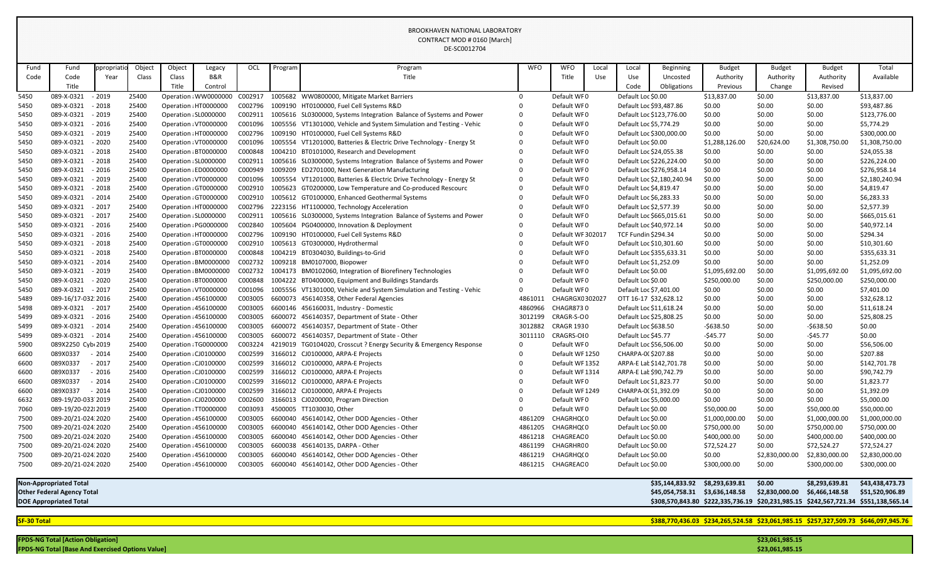|                                                                    |                               |            |        |                      |                       |            |         | UL-JUULL/U4                                                          |            |                   |                                                                                     |                            |                                |                |                |                |                 |
|--------------------------------------------------------------------|-------------------------------|------------|--------|----------------------|-----------------------|------------|---------|----------------------------------------------------------------------|------------|-------------------|-------------------------------------------------------------------------------------|----------------------------|--------------------------------|----------------|----------------|----------------|-----------------|
| Fund                                                               | Fund                          | ppropriati | Object | Object               | Legacy                | <b>OCI</b> | Program | Program                                                              | <b>WFO</b> | <b>WFO</b>        | Local                                                                               | Local                      | Beginning                      | <b>Budget</b>  | <b>Budget</b>  | <b>Budget</b>  | Total           |
| Code                                                               | Code                          | Year       | Class  | Class                | B&R                   |            |         | Title                                                                |            | Title             | Use                                                                                 | Use                        | Uncosted                       | Authority      | Authority      | Authority      | Available       |
|                                                                    | Title                         |            |        | Title                | Control               |            |         |                                                                      |            |                   |                                                                                     | Code                       | Obligations                    | Previous       | Change         | Revised        |                 |
| 5450                                                               | 089-X-0321                    | $-2019$    | 25400  |                      | Operation : WW0000000 | C002917    |         | 1005682 WW0800000, Mitigate Market Barriers                          |            | Default WF0       |                                                                                     | Default Loc \$0.00         |                                | \$13,837.00    | \$0.00         | \$13,837.00    | \$13,837.00     |
| 5450                                                               | 089-X-0321                    | $-2018$    | 25400  |                      | Operation : HT0000000 | C002796    |         | 1009190 HT0100000, Fuel Cell Systems R&D                             |            | Default WF0       |                                                                                     |                            | Default Loc \$93,487.86        | \$0.00         | \$0.00         | \$0.00         | \$93,487.86     |
| 5450                                                               | 089-X-0321                    | $-2019$    | 25400  |                      | Operation ¿SL0000000  | C002911    |         | 1005616 SL0300000, Systems Integration Balance of Systems and Power  |            | Default WF0       |                                                                                     |                            | Default Loc \$123,776.00       | \$0.00         | \$0.00         | \$0.00         | \$123,776.00    |
| 5450                                                               | 089-X-0321                    | $-2016$    | 25400  |                      | Operation : VT0000000 | C001096    |         | 1005556 VT1301000, Vehicle and System Simulation and Testing - Vehic |            | Default WF0       |                                                                                     | Default Loc \$5,774.29     |                                | \$0.00         | \$0.00         | \$0.00         | \$5,774.29      |
| 5450                                                               | 089-X-0321                    | $-2019$    | 25400  |                      | Operation : HT0000000 | C002796    |         | 1009190 HT0100000, Fuel Cell Systems R&D                             |            | Default WF0       |                                                                                     |                            | Default Loc \$300,000.00       | \$0.00         | \$0.00         | \$0.00         | \$300,000.00    |
| 5450                                                               | 089-X-0321                    | $-2020$    | 25400  |                      | Operation : VT0000000 | C001096    |         | 1005554 VT1201000, Batteries & Electric Drive Technology - Energy St |            | Default WF0       |                                                                                     | Default Loc \$0.00         |                                | \$1,288,126.00 | \$20,624.00    | \$1,308,750.00 | \$1,308,750.00  |
| 5450                                                               | 089-X-0321                    | $-2018$    | 25400  |                      | Operation : BT0000000 | C000848    |         | 1004210 BT0101000, Research and Development                          |            | Default WF0       |                                                                                     |                            | Default Loc \$24,055.38        | \$0.00         | \$0.00         | \$0.00         | \$24,055.38     |
| 5450                                                               | 089-X-0321                    | $-2018$    | 25400  | Operation ¿SL0000000 |                       | C002911    |         | 1005616 SL0300000, Systems Integration Balance of Systems and Power  |            | Default WF0       |                                                                                     |                            | Default Loc \$226,224.00       | \$0.00         | \$0.00         | \$0.00         | \$226,224.00    |
| 5450                                                               | 089-X-0321                    | $-2016$    | 25400  |                      | Operation ¿ED0000000  | C000949    |         | 1009209 ED2701000, Next Generation Manufacturing                     |            | Default WF0       |                                                                                     |                            | Default Loc \$276,958.14       | \$0.00         | \$0.00         | \$0.00         | \$276,958.14    |
| 5450                                                               | 089-X-0321                    | $-2019$    | 25400  |                      | Operation ¿VT0000000  | C001096    |         | 1005554 VT1201000, Batteries & Electric Drive Technology - Energy St |            | Default WF0       |                                                                                     |                            | Default Loc \$2,180,240.94     | \$0.00         | \$0.00         | \$0.00         | \$2,180,240.94  |
| 5450                                                               | 089-X-0321                    | $-2018$    | 25400  |                      | Operation ¿GT0000000  | C002910    |         | 1005623 GT0200000, Low Temperature and Co-produced Rescourc          |            | Default WF0       |                                                                                     | Default Loc \$4,819.47     |                                | \$0.00         | \$0.00         | \$0.00         | \$4,819.47      |
| 5450                                                               | 089-X-0321                    | $-2014$    | 25400  |                      | Operation ¿GT0000000  | C002910    |         | 1005612 GT0100000, Enhanced Geothermal Systems                       |            | Default WF0       |                                                                                     | Default Loc \$6,283.33     |                                | \$0.00         | \$0.00         | \$0.00         | \$6,283.33      |
| 5450                                                               | 089-X-0321                    | $-2017$    | 25400  |                      | Operation : HT0000000 | C002796    |         | 2223156 HT1100000, Technology Acceleration                           |            | Default WF0       |                                                                                     | Default Loc \$2,577.39     |                                | \$0.00         | \$0.00         | \$0.00         | \$2,577.39      |
| 5450                                                               | 089-X-0321                    | $-2017$    | 25400  | Operation ¿SL0000000 |                       | C002911    |         | 1005616 SL0300000, Systems Integration Balance of Systems and Power  |            | Default WF0       |                                                                                     |                            | Default Loc \$665,015.61       | \$0.00         | \$0.00         | \$0.00         | \$665,015.61    |
| 5450                                                               | 089-X-0321                    | $-2016$    | 25400  |                      | Operation : PG0000000 | C002840    |         | 1005604 PG0400000, Innovation & Deployment                           |            | Default WF0       |                                                                                     |                            | Default Loc \$40,972.14        | \$0.00         | \$0.00         | \$0.00         | \$40,972.14     |
| 5450                                                               | 089-X-0321                    | $-2016$    | 25400  |                      | Operation : HT0000000 | C002796    |         | 1009190 HT0100000, Fuel Cell Systems R&D                             |            | Default WF 302017 |                                                                                     | <b>TCF Fundin \$294.34</b> |                                | \$0.00         | \$0.00         | \$0.00         | \$294.34        |
| 5450                                                               | 089-X-0321                    | $-2018$    | 25400  |                      | Operation (GT0000000  | C002910    |         | 1005613 GT0300000, Hydrothermal                                      |            | Default WF0       |                                                                                     |                            | Default Loc \$10,301.60        | \$0.00         | \$0.00         | \$0.00         | \$10,301.60     |
| 5450                                                               | 089-X-0321                    | $-2018$    | 25400  |                      | Operation : BT0000000 | C000848    |         | 1004219 BT0304030, Buildings-to-Grid                                 |            | Default WF0       |                                                                                     |                            | Default Loc \$355,633.31       | \$0.00         | \$0.00         | \$0.00         | \$355,633.31    |
| 5450                                                               | 089-X-0321                    | $-2014$    | 25400  |                      | Operation ¿BM0000000  | C002732    |         | 1009218 BM0107000, Biopower                                          |            | Default WF0       |                                                                                     | Default Loc \$1,252.09     |                                | \$0.00         | \$0.00         | \$0.00         | \$1,252.09      |
| 5450                                                               | 089-X-0321                    | $-2019$    | 25400  |                      | Operation : BM0000000 | C002732    |         | 1004173 BM0102060, Integration of Biorefinery Technologies           |            | Default WF0       |                                                                                     | Default Loc \$0.00         |                                | \$1,095,692.00 | \$0.00         | \$1,095,692.00 | \$1,095,692.00  |
| 5450                                                               | 089-X-0321                    | $-2020$    | 25400  |                      | Operation : BT0000000 | C000848    |         | 1004222 BT0400000, Equipment and Buildings Standards                 |            | Default WF0       |                                                                                     | Default Loc \$0.00         |                                | \$250,000.00   | \$0.00         | \$250,000.00   | \$250,000.00    |
| 5450                                                               | 089-X-0321                    | $-2017$    | 25400  |                      | Operation : VT0000000 | C001096    |         | 1005556 VT1301000, Vehicle and System Simulation and Testing - Vehic |            | Default WF0       |                                                                                     | Default Loc \$7,401.00     |                                | \$0.00         | \$0.00         | \$0.00         | \$7,401.00      |
| 5489                                                               | 089-16/17-032 2016            |            | 25400  |                      | Operation : 456100000 | C003005    |         | 6600073 456140358, Other Federal Agencies                            | 4861011    | CHAGRGX0302021    |                                                                                     |                            | OTT 16-17 \$32,628.12          | \$0.00         | \$0.00         | \$0.00         | \$32,628.12     |
| 5498                                                               | 089-X-0321                    | $-2017$    | 25400  |                      | Operation : 456100000 | C003005    |         | 6600146 456160031, Industry - Domestic                               | 4860966    | <b>CHAGR8730</b>  |                                                                                     |                            | Default Loc \$11,618.24        | \$0.00         | \$0.00         | \$0.00         | \$11,618.24     |
| 5499                                                               | 089-X-0321                    | $-2016$    | 25400  |                      | Operation : 456100000 | C003005    |         | 6600072 456140357, Department of State - Other                       | 3012199    | CRAGR-S-O0        |                                                                                     |                            | Default Loc \$25,808.25        | \$0.00         | \$0.00         | \$0.00         | \$25,808.25     |
| 5499                                                               | 089-X-0321                    | $-2014$    | 25400  |                      | Operation : 456100000 | C003005    |         | 6600072 456140357, Department of State - Other                       | 3012882    | <b>CRAGR 1930</b> |                                                                                     | Default Loc \$638.50       |                                | $-5638.50$     | \$0.00         | $-5638.50$     | \$0.00          |
| 5499                                                               | 089-X-0321                    | - 2014     | 25400  |                      | Operation : 456100000 | C003005    |         | 6600072 456140357, Department of State - Other                       | 3011110    | CRAGRS-OI0        |                                                                                     | Default Loc \$45.77        |                                | $-545.77$      | \$0.00         | $-545.77$      | \$0.00          |
| 5900                                                               | 089X2250 Cyb+2019             |            | 25400  |                      | Operation : TG0000000 | C003224    |         | 4219019 TG0104020, Crosscut ? Energy Security & Emergency Response   |            | Default WF0       |                                                                                     |                            | Default Loc \$56,506.00        | \$0.00         | \$0.00         | \$0.00         | \$56,506.00     |
| 6600                                                               | 089X0337                      | $-2014$    | 25400  |                      | Operation ¿CJ0100000  | C002599    |         | 3166012 CJ0100000, ARPA-E Projects                                   |            | Default WF 1250   |                                                                                     | CHARPA-00\$207.88          |                                | \$0.00         | \$0.00         | \$0.00         | \$207.88        |
| 6600                                                               | 089X0337                      | $-2017$    | 25400  |                      | Operation ¿CJ0100000  | C002599    |         | 3166012 CJ0100000, ARPA-E Projects                                   |            | Default WF 1352   |                                                                                     |                            | ARPA-E Lat \$142,701.78        | \$0.00         | \$0.00         | \$0.00         | \$142,701.78    |
| 6600                                                               | 089X0337                      | $-2016$    | 25400  |                      | Operation ¿CJ0100000  | C002599    |         | 3166012 CJ0100000, ARPA-E Projects                                   |            | Default WF 1314   |                                                                                     |                            | ARPA-E Lat \$90,742.79         | \$0.00         | \$0.00         | \$0.00         | \$90,742.79     |
| 6600                                                               | 089X0337                      | $-2014$    | 25400  | Operation ¿CJ0100000 |                       | C002599    |         | 3166012 CJ0100000, ARPA-E Projects                                   |            | Default WF0       |                                                                                     | Default Loc \$1,823.77     |                                | \$0.00         | \$0.00         | \$0.00         | \$1,823.77      |
| 6600                                                               | 089X0337                      | $-2014$    | 25400  |                      | Operation ¿CJ0100000  | C002599    |         | 3166012 CJ0100000, ARPA-E Projects                                   |            | Default WF 1249   |                                                                                     | CHARPA-00\$1,392.09        |                                | \$0.00         | \$0.00         | \$0.00         | \$1,392.09      |
| 6632                                                               | 089-19/20-033 2019            |            | 25400  | Operation ¿CJ0200000 |                       | C002600    |         | 3166013 CJ0200000, Program Direction                                 |            | Default WF0       |                                                                                     | Default Loc \$5,000.00     |                                | \$0.00         | \$0.00         | \$0.00         | \$5,000.00      |
| 7060                                                               | 089-19/20-022 2019            |            | 25400  |                      | Operation : TT0000000 | C003093    |         | 4500005 TT1030030, Other                                             |            | Default WF0       |                                                                                     | Default Loc \$0.00         |                                | \$50,000.00    | \$0.00         | \$50,000.00    | \$50,000.00     |
| 7500                                                               | 089-20/21-024 2020            |            | 25400  |                      | Operation : 456100000 | C003005    |         | 6600040 456140142, Other DOD Agencies - Other                        | 4861209    | CHAGRHQ(0         |                                                                                     | Default Loc \$0.00         |                                | \$1,000,000.00 | \$0.00         | \$1,000,000.00 | \$1,000,000.00  |
| 7500                                                               | 089-20/21-024.2020            |            | 25400  |                      | Operation : 456100000 | C003005    |         | 6600040 456140142, Other DOD Agencies - Other                        | 4861205    | CHAGRHQ(0         |                                                                                     | Default Loc \$0.00         |                                | \$750,000.00   | \$0.00         | \$750,000.00   | \$750,000.00    |
| 7500                                                               | 089-20/21-024 2020            |            | 25400  |                      | Operation : 456100000 | C003005    |         | 6600040 456140142, Other DOD Agencies - Other                        | 4861218    | CHAGREAC 0        |                                                                                     | Default Loc \$0.00         |                                | \$400,000.00   | \$0.00         | \$400,000.00   | \$400,000.00    |
| 7500                                                               | 089-20/21-024.2020            |            | 25400  |                      | Operation : 456100000 | C003005    |         | 6600038 456140135, DARPA - Other                                     | 4861199    | CHAGRHR00         |                                                                                     | Default Loc \$0.00         |                                | \$72,524.27    | \$0.00         | \$72,524.27    | \$72,524.27     |
| 7500                                                               | 089-20/21-024 2020            |            | 25400  |                      | Operation : 456100000 | C003005    |         | 6600040 456140142, Other DOD Agencies - Other                        | 4861219    | CHAGRHQ(0         |                                                                                     | Default Loc \$0.00         |                                | \$0.00         | \$2,830,000.00 | \$2,830,000.00 | \$2,830,000.00  |
| 7500                                                               | 089-20/21-024 2020            |            | 25400  |                      | Operation : 456100000 | C003005    |         | 6600040 456140142, Other DOD Agencies - Other                        | 4861215    | CHAGREAC 0        |                                                                                     | Default Loc \$0.00         |                                | \$300,000.00   | \$0.00         | \$300,000.00   | \$300,000.00    |
|                                                                    | <b>Non-Appropriated Total</b> |            |        |                      |                       |            |         |                                                                      |            |                   |                                                                                     |                            | \$35,144,833.92 \$8,293,639.81 |                | \$0.00         | \$8,293,639.81 | \$43,438,473.73 |
|                                                                    |                               |            |        |                      |                       |            |         |                                                                      |            |                   |                                                                                     |                            | \$45,054,758.31 \$3,636,148.58 |                | \$2,830,000.00 | \$6,466,148.58 | \$51,520,906.89 |
| <b>Other Federal Agency Total</b><br><b>DOE Appropriated Total</b> |                               |            |        |                      |                       |            |         |                                                                      |            |                   | \$308,570,843.80 \$222,335,736.19 \$20,231,985.15 \$242,567,721.34 \$551,138,565.14 |                            |                                |                |                |                |                 |
|                                                                    |                               |            |        |                      |                       |            |         |                                                                      |            |                   |                                                                                     |                            |                                |                |                |                |                 |

**SF-30 Total \$388,770,436.03 \$234,265,524.58 \$23,061,985.15 \$257,327,509.73 \$646,097,945.76**

**FPDS-NG Total [Action Obligation] \$23,061,985.15 FPDS-NG Total [Base And Exercised Options Value] \$23,061,985.15**